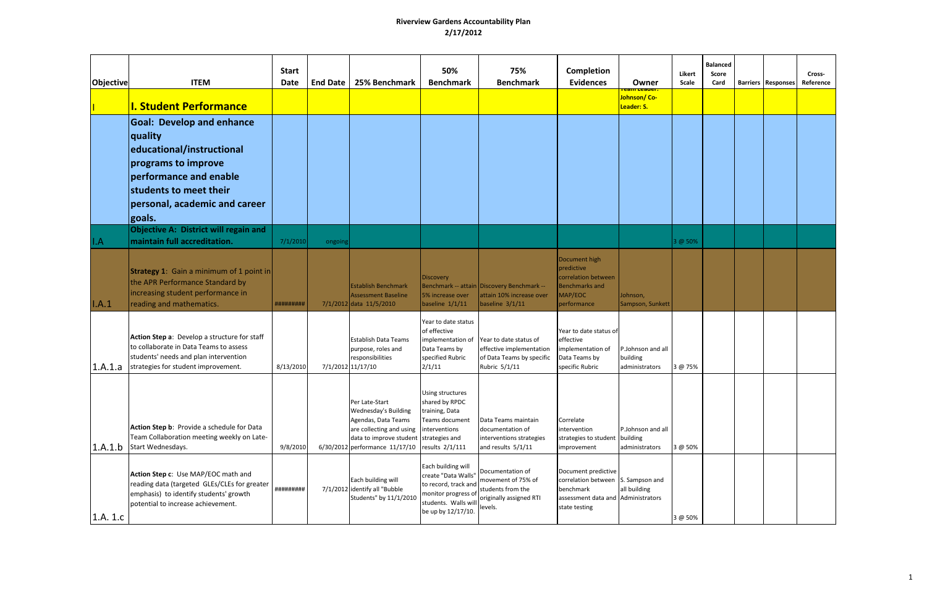| Objective | <b>ITEM</b><br><b>I. Student Performance</b>                                                                                                                                                          | <b>Start</b><br><b>Date</b> | <b>End Date</b> | 25% Benchmark                                                                                                                                                 | 50%<br><b>Benchmark</b>                                                                                                                | 75%<br><b>Benchmark</b>                                                                           | Completion<br><b>Evidences</b>                                                                                                | Owner<br>Johnson/Co-<br>Leader: S.              | Likert<br>Scale | <b>Balanced</b><br>Score<br>Card | <b>Barriers Responses</b> | Cross-<br>Reference |
|-----------|-------------------------------------------------------------------------------------------------------------------------------------------------------------------------------------------------------|-----------------------------|-----------------|---------------------------------------------------------------------------------------------------------------------------------------------------------------|----------------------------------------------------------------------------------------------------------------------------------------|---------------------------------------------------------------------------------------------------|-------------------------------------------------------------------------------------------------------------------------------|-------------------------------------------------|-----------------|----------------------------------|---------------------------|---------------------|
|           | <b>Goal: Develop and enhance</b><br><b>quality</b><br>educational/instructional<br>programs to improve<br>performance and enable<br>students to meet their<br>personal, academic and career<br>goals. |                             |                 |                                                                                                                                                               |                                                                                                                                        |                                                                                                   |                                                                                                                               |                                                 |                 |                                  |                           |                     |
| II.A      | Objective A: District will regain and<br>maintain full accreditation.                                                                                                                                 | 7/1/2010                    | ongoing         |                                                                                                                                                               |                                                                                                                                        |                                                                                                   |                                                                                                                               |                                                 | 3 @ 50%         |                                  |                           |                     |
| I.A.1     | <b>Strategy 1:</b> Gain a minimum of 1 point in<br>the APR Performance Standard by<br>increasing student performance in<br>reading and mathematics.                                                   | #########                   |                 | <b>Establish Benchmark</b><br><b>Assessment Baseline</b><br>7/1/2012 data 11/5/2010                                                                           | Discovery<br>5% increase over<br>baseline $1/1/11$                                                                                     | Benchmark -- attain Discovery Benchmark --<br>attain 10% increase over<br>baseline $3/1/11$       | Document high<br>predictive<br>correlation between<br><b>Benchmarks and</b><br>MAP/EOC<br>performance                         | Johnson,<br>Sampson, Sunkett                    |                 |                                  |                           |                     |
| 1.A.1.a   | Action Step a: Develop a structure for staff<br>to collaborate in Data Teams to assess<br>students' needs and plan intervention<br>strategies for student improvement.                                | 8/13/2010                   |                 | <b>Establish Data Teams</b><br>purpose, roles and<br>responsibilities<br>7/1/2012 11/17/10                                                                    | Year to date status<br>of effective<br>implementation of<br>Data Teams by<br>specified Rubric<br>2/1/11                                | Year to date status of<br>effective implementation<br>of Data Teams by specific<br>Rubric 5/1/11  | Year to date status of<br>effective<br>implementation of<br>Data Teams by<br>specific Rubric                                  | P.Johnson and all<br>building<br>administrators | 3 @ 75%         |                                  |                           |                     |
| 1.A.1.b   | Action Step b: Provide a schedule for Data<br>Team Collaboration meeting weekly on Late-<br>Start Wednesdays.                                                                                         | 9/8/2010                    |                 | Per Late-Start<br><b>Wednesday's Building</b><br>Agendas, Data Teams<br>are collecting and using<br>data to improve student<br>6/30/2012 performance 11/17/10 | Using structures<br>shared by RPDC<br>training, Data<br>Teams document<br>interventions<br>strategies and<br>results 2/1/111           | Data Teams maintain<br>documentation of<br>interventions strategies<br>and results 5/1/11         | Correlate<br>intervention<br>strategies to student building<br>improvement                                                    | P.Johnson and all<br>administrators             | 3 @ 50%         |                                  |                           |                     |
| 1.A. 1.c  | Action Step c: Use MAP/EOC math and<br>reading data (targeted GLEs/CLEs for greater<br>emphasis) to identify students' growth<br>potential to increase achievement.                                   | #########                   |                 | Each building will<br>7/1/2012 identify all "Bubble<br>Students" by 11/1/2010                                                                                 | Each building will<br>create "Data Walls"<br>to record, track and<br>monitor progress of<br>students. Walls will<br>be up by 12/17/10. | Documentation of<br>movement of 75% of<br>students from the<br>originally assigned RTI<br>levels. | Document predictive<br>correlation between S. Sampson and<br>benchmark<br>assessment data and Administrators<br>state testing | all building                                    | 3 @ 50%         |                                  |                           |                     |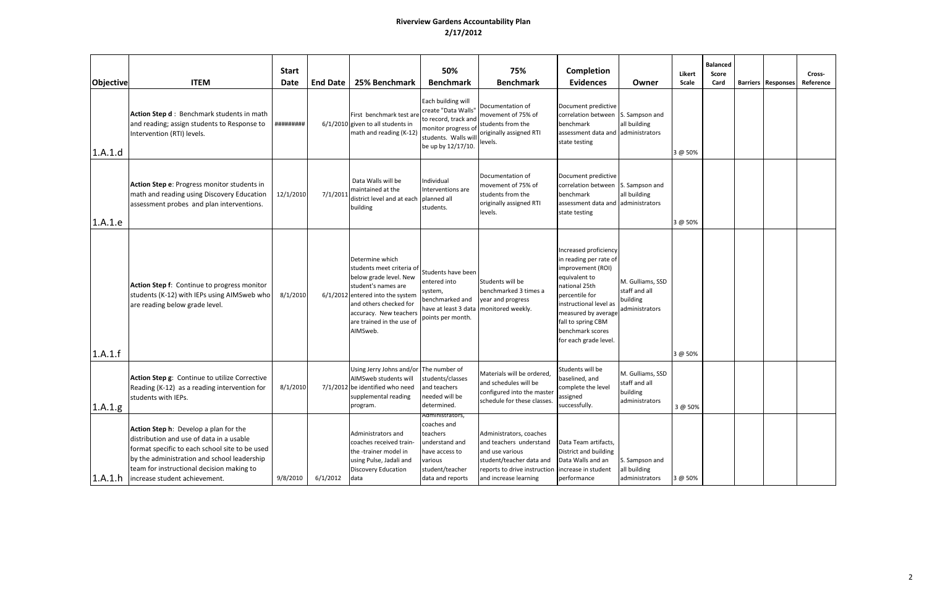| Objective | <b>ITEM</b>                                                                                                                                                                                                                                                      | <b>Start</b><br><b>Date</b> | <b>End Date</b> | 25% Benchmark                                                                                                                                                                                                                  | 50%<br><b>Benchmark</b>                                                                                                                | 75%<br><b>Benchmark</b>                                                                                                                                                        | Completion<br><b>Evidences</b>                                                                                                                                                                                                               | Owner                                                           | Likert<br>Scale | <b>Balanced</b><br>Score<br>Card | <b>Barriers Responses</b> | Cross-<br>Reference |
|-----------|------------------------------------------------------------------------------------------------------------------------------------------------------------------------------------------------------------------------------------------------------------------|-----------------------------|-----------------|--------------------------------------------------------------------------------------------------------------------------------------------------------------------------------------------------------------------------------|----------------------------------------------------------------------------------------------------------------------------------------|--------------------------------------------------------------------------------------------------------------------------------------------------------------------------------|----------------------------------------------------------------------------------------------------------------------------------------------------------------------------------------------------------------------------------------------|-----------------------------------------------------------------|-----------------|----------------------------------|---------------------------|---------------------|
| 1.A.1.d   | Action Step d: Benchmark students in math<br>and reading; assign students to Response to<br>Intervention (RTI) levels.                                                                                                                                           | #########                   |                 | First benchmark test are<br>$6/1/2010$ given to all students in<br>math and reading (K-12)                                                                                                                                     | Each building will<br>create "Data Walls"<br>to record, track and<br>monitor progress of<br>students. Walls will<br>be up by 12/17/10. | Documentation of<br>movement of 75% of<br>students from the<br>originally assigned RTI<br>levels.                                                                              | Document predictive<br>correlation between<br>benchmark<br>assessment data and<br>state testing                                                                                                                                              | S. Sampson and<br>all building<br>administrators                | 3 @ 50%         |                                  |                           |                     |
| 1.A.1.e   | Action Step e: Progress monitor students in<br>math and reading using Discovery Education<br>assessment probes and plan interventions.                                                                                                                           | 12/1/2010                   | 7/1/2011        | Data Walls will be<br>maintained at the<br>district level and at each<br>building                                                                                                                                              | ndividual<br>Interventions are<br>planned all<br>students.                                                                             | Documentation of<br>movement of 75% of<br>students from the<br>originally assigned RTI<br>levels.                                                                              | Document predictive<br>correlation between S. Sampson and<br>benchmark<br>assessment data and administrators<br>state testing                                                                                                                | all building                                                    | 3 @ 50%         |                                  |                           |                     |
| 1.A.1.f   | Action Step f: Continue to progress monitor<br>students (K-12) with IEPs using AIMSweb who<br>are reading below grade level.                                                                                                                                     | 8/1/2010                    |                 | Determine which<br>students meet criteria of<br>below grade level. New<br>student's names are<br>6/1/2012 entered into the system<br>and others checked for<br>accuracy. New teachers<br>are trained in the use of<br>AIMSweb. | Students have been<br>entered into<br>system,<br>benchmarked and<br>have at least 3 data<br>points per month.                          | Students will be<br>benchmarked 3 times a<br>year and progress<br>monitored weekly.                                                                                            | Increased proficiency<br>in reading per rate of<br>improvement (ROI)<br>equivalent to<br>national 25th<br>percentile for<br>instructional level as<br>measured by average<br>fall to spring CBM<br>benchmark scores<br>for each grade level. | M. Gulliams, SSD<br>staff and all<br>building<br>administrators | 3 @ 50%         |                                  |                           |                     |
| 1.A.1.g   | Action Step g: Continue to utilize Corrective<br>Reading (K-12) as a reading intervention for<br>students with IEPs.                                                                                                                                             | 8/1/2010                    |                 | Using Jerry Johns and/or<br>AIMSweb students will<br>7/1/2012 be identified who need<br>supplemental reading<br>program.                                                                                                       | The number of<br>students/classes<br>and teachers<br>needed will be<br>determined.                                                     | Materials will be ordered.<br>and schedules will be<br>configured into the master<br>schedule for these classes.                                                               | Students will be<br>baselined, and<br>complete the level<br>assigned<br>successfully.                                                                                                                                                        | M. Gulliams, SSD<br>staff and all<br>building<br>administrators | 3 @ 50%         |                                  |                           |                     |
| 1.A.1.h   | Action Step h: Develop a plan for the<br>distribution and use of data in a usable<br>format specific to each school site to be used<br>by the administration and school leadership<br>team for instructional decision making to<br>increase student achievement. | 9/8/2010                    | 6/1/2012        | Administrators and<br>coaches received train-<br>the -trainer model in<br>using Pulse, Jadali and<br>Discovery Education<br>data                                                                                               | Administrators,<br>coaches and<br>teachers<br>understand and<br>ave access to<br>various<br>student/teacher<br>data and reports        | Administrators, coaches<br>and teachers understand<br>and use various<br>student/teacher data and<br>reports to drive instruction increase in student<br>and increase learning | Data Team artifacts,<br>District and building<br>Data Walls and an<br>performance                                                                                                                                                            | S. Sampson and<br>all building<br>administrators                | 3 @ 50%         |                                  |                           |                     |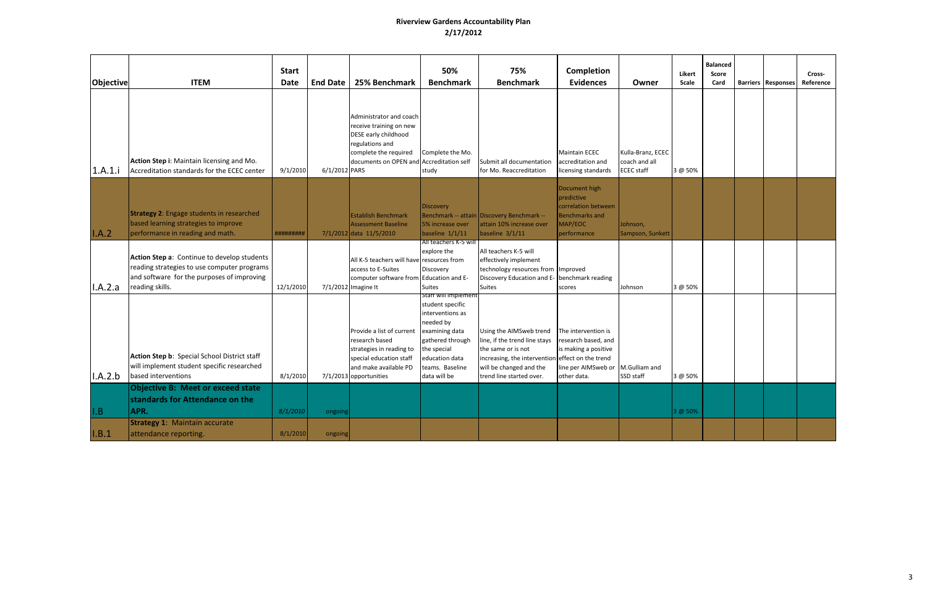| Objective | <b>ITEM</b>                                                                                                                                                 | <b>Start</b><br><b>Date</b> | <b>End Date</b> | 25% Benchmark                                                                                                                                         | 50%<br><b>Benchmark</b>                                                                                                                                                             | 75%<br><b>Benchmark</b>                                                                                                                                                                   | Completion<br><b>Evidences</b>                                                                           | Owner                                                   | Likert<br>Scale | <b>Balanced</b><br><b>Score</b><br>Card | <b>Barriers   Responses</b> | Cross-<br>Reference |
|-----------|-------------------------------------------------------------------------------------------------------------------------------------------------------------|-----------------------------|-----------------|-------------------------------------------------------------------------------------------------------------------------------------------------------|-------------------------------------------------------------------------------------------------------------------------------------------------------------------------------------|-------------------------------------------------------------------------------------------------------------------------------------------------------------------------------------------|----------------------------------------------------------------------------------------------------------|---------------------------------------------------------|-----------------|-----------------------------------------|-----------------------------|---------------------|
| 1.A.1.i   | Action Step i: Maintain licensing and Mo.<br>Accreditation standards for the ECEC center                                                                    | 9/1/2010                    | 6/1/2012 PARS   | Administrator and coach<br>receive training on new<br>DESE early childhood<br>egulations and<br>complete the required<br>documents on OPEN and        | Complete the Mo.<br>Accreditation self<br>study                                                                                                                                     | Submit all documentation<br>for Mo. Reaccreditation                                                                                                                                       | <b>Maintain ECEC</b><br>accreditation and<br>licensing standards                                         | Kulla-Branz, ECEC<br>coach and all<br><b>ECEC</b> staff | 3 @ 50%         |                                         |                             |                     |
| I.A.2     | <b>Strategy 2: Engage students in researched</b><br>based learning strategies to improve<br>performance in reading and math.                                | #########                   |                 | <b>Establish Benchmark</b><br><b>Assessment Baseline</b><br>7/1/2012 data 11/5/2010                                                                   | <b>Discovery</b><br>5% increase over<br>baseline $1/1/11$                                                                                                                           | Benchmark -- attain Discovery Benchmark --<br>attain 10% increase over<br>baseline $3/1/11$                                                                                               | Document high<br>predictive<br>correlation between<br><b>Benchmarks and</b><br>MAP/EOC<br>performance    | Johnson,<br>Sampson, Sunkett                            |                 |                                         |                             |                     |
| I.A.2.a   | Action Step a: Continue to develop students<br>reading strategies to use computer programs<br>and software for the purposes of improving<br>reading skills. | 12/1/2010                   |                 | All K-5 teachers will have resources from<br>access to E-Suites<br>computer software from Education and E-<br>7/1/2012 Imagine It                     | All teachers K-5 will<br>explore the<br>Discovery<br><b>Suites</b>                                                                                                                  | All teachers K-5 will<br>effectively implement<br>technology resources from Improved<br>Discovery Education and E- benchmark reading<br><b>Suites</b>                                     | scores                                                                                                   | Johnson                                                 | 3 @ 50%         |                                         |                             |                     |
| I.A.2.b   | Action Step b: Special School District staff<br>will implement student specific researched<br>based interventions                                           | 8/1/2010                    |                 | Provide a list of current<br>research based<br>strategies in reading to<br>special education staff<br>and make available PD<br>7/1/2013 opportunities | staff will implement<br>student specific<br>interventions as<br>needed by<br>examining data<br>gathered through<br>the special<br>education data<br>teams. Baseline<br>data will be | Using the AIMSweb trend<br>line, if the trend line stays<br>the same or is not<br>increasing, the intervention effect on the trend<br>will be changed and the<br>trend line started over. | The intervention is<br>research based, and<br>is making a positive<br>line per AIMSweb or<br>other data. | M.Gulliam and<br>SSD staff                              | 3 @ 50%         |                                         |                             |                     |
| I.B       | <b>Objective B: Meet or exceed state</b><br>standards for Attendance on the<br>APR.                                                                         | 8/1/2010                    | ongoin          |                                                                                                                                                       |                                                                                                                                                                                     |                                                                                                                                                                                           |                                                                                                          |                                                         | 3 @ 50%         |                                         |                             |                     |
| I.B.1     | <b>Strategy 1: Maintain accurate</b><br>attendance reporting.                                                                                               | 8/1/2010                    | ongoing         |                                                                                                                                                       |                                                                                                                                                                                     |                                                                                                                                                                                           |                                                                                                          |                                                         |                 |                                         |                             |                     |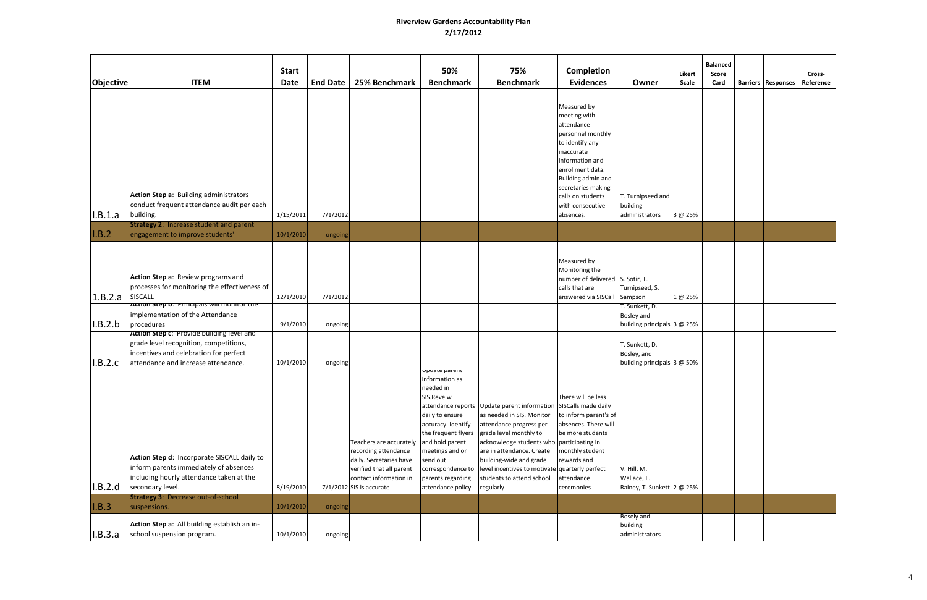| <b>Objective</b>  | <b>ITEM</b>                                                                                                                                                                                       | <b>Start</b><br><b>Date</b> | <b>End Date</b> | 25% Benchmark                                                                                                                                                | 50%<br><b>Benchmark</b>                                                                                                                                                                                                                     | 75%<br><b>Benchmark</b>                                                                                                                                                                                                                                                                                                                             | Completion<br><b>Evidences</b>                                                                                                                                                                                                           | Owner                                                        | Likert<br>Scale | <b>Balanced</b><br><b>Score</b><br>Card | <b>Barriers Responses</b> | Cross-<br>Reference |
|-------------------|---------------------------------------------------------------------------------------------------------------------------------------------------------------------------------------------------|-----------------------------|-----------------|--------------------------------------------------------------------------------------------------------------------------------------------------------------|---------------------------------------------------------------------------------------------------------------------------------------------------------------------------------------------------------------------------------------------|-----------------------------------------------------------------------------------------------------------------------------------------------------------------------------------------------------------------------------------------------------------------------------------------------------------------------------------------------------|------------------------------------------------------------------------------------------------------------------------------------------------------------------------------------------------------------------------------------------|--------------------------------------------------------------|-----------------|-----------------------------------------|---------------------------|---------------------|
| I.B.1.a           | Action Step a: Building administrators<br>conduct frequent attendance audit per each<br>building.                                                                                                 | 1/15/2011                   | 7/1/2012        |                                                                                                                                                              |                                                                                                                                                                                                                                             |                                                                                                                                                                                                                                                                                                                                                     | Measured by<br>meeting with<br>attendance<br>personnel monthly<br>to identify any<br>inaccurate<br>information and<br>enrollment data.<br>Building admin and<br>secretaries making<br>calls on students<br>with consecutive<br>absences. | T. Turnipseed and<br>building<br>administrators              | 3 @ 25%         |                                         |                           |                     |
| I.B.2             | <b>Strategy 2: Increase student and parent</b><br>engagement to improve students'                                                                                                                 | 10/1/2010                   | ongoing         |                                                                                                                                                              |                                                                                                                                                                                                                                             |                                                                                                                                                                                                                                                                                                                                                     |                                                                                                                                                                                                                                          |                                                              |                 |                                         |                           |                     |
| $1.8.2.a$ SISCALL | Action Step a: Review programs and<br>processes for monitoring the effectiveness of<br>Action step o: Principals will monitor the                                                                 | 12/1/2010                   | 7/1/2012        |                                                                                                                                                              |                                                                                                                                                                                                                                             |                                                                                                                                                                                                                                                                                                                                                     | Measured by<br>Monitoring the<br>number of delivered S. Sotir, T.<br>calls that are<br>answered via SISCall                                                                                                                              | Turnipseed, S.<br>Sampson<br>T. Sunkett, D.                  | 1 @ 25%         |                                         |                           |                     |
| I.B.2.b           | implementation of the Attendance<br>procedures                                                                                                                                                    | 9/1/2010                    | ongoing         |                                                                                                                                                              |                                                                                                                                                                                                                                             |                                                                                                                                                                                                                                                                                                                                                     |                                                                                                                                                                                                                                          | Bosley and<br>building principals 3 @ 25%                    |                 |                                         |                           |                     |
| I.B.2.c           | Action Step c: Provide building level and<br>grade level recognition, competitions,<br>incentives and celebration for perfect<br>attendance and increase attendance.                              | 10/1/2010                   | ongoing         |                                                                                                                                                              |                                                                                                                                                                                                                                             |                                                                                                                                                                                                                                                                                                                                                     |                                                                                                                                                                                                                                          | T. Sunkett, D.<br>Bosley, and<br>building principals 3 @ 50% |                 |                                         |                           |                     |
| I.B.2.d           | Action Step d: Incorporate SISCALL daily to<br>inform parents immediately of absences<br>ncluding hourly attendance taken at the<br>secondary level.<br><b>Strategy 3: Decrease out-of-school</b> | 8/19/2010                   |                 | Teachers are accurately<br>recording attendance<br>daily. Secretaries have<br>verified that all parent<br>contact information in<br>7/1/2012 SIS is accurate | opuate parent<br>information as<br>needed in<br>SIS.Reveiw<br>daily to ensure<br>accuracy. Identify<br>the frequent flyers<br>and hold parent<br>meetings and or<br>send out<br>correspondence to<br>parents regarding<br>attendance policy | attendance reports Update parent information SISCalls made daily<br>as needed in SIS. Monitor<br>attendance progress per<br>grade level monthly to<br>acknowledge students who participating in<br>are in attendance. Create<br>building-wide and grade<br>level incentives to motivate quarterly perfect<br>students to attend school<br>regularly | There will be less<br>to inform parent's of<br>absences. There will<br>be more students<br>monthly student<br>rewards and<br>attendance<br>ceremonies                                                                                    | V. Hill, M.<br>Wallace, L.<br>Rainey, T. Sunkett 2 @ 25%     |                 |                                         |                           |                     |
| I.B.3             | suspensions.                                                                                                                                                                                      | 10/1/2010                   | ongoing         |                                                                                                                                                              |                                                                                                                                                                                                                                             |                                                                                                                                                                                                                                                                                                                                                     |                                                                                                                                                                                                                                          | Bosely and                                                   |                 |                                         |                           |                     |
| I.B.3.a           | Action Step a: All building establish an in-<br>school suspension program.                                                                                                                        | 10/1/2010                   | ongoing         |                                                                                                                                                              |                                                                                                                                                                                                                                             |                                                                                                                                                                                                                                                                                                                                                     |                                                                                                                                                                                                                                          | building<br>administrators                                   |                 |                                         |                           |                     |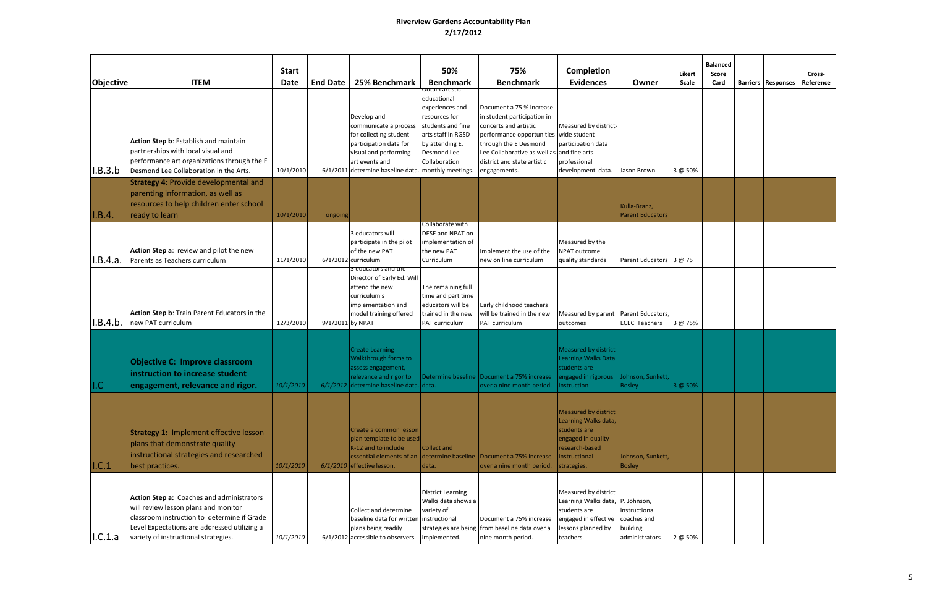| Objective | <b>ITEM</b>                                                                                                                                                                                                              | <b>Start</b><br><b>Date</b> | <b>End Date</b>  | 25% Benchmark                                                                                                                                                                              | 50%<br><b>Benchmark</b>                                                                                                                                          | 75%<br><b>Benchmark</b>                                                                                                                                                                                                                          | Completion<br><b>Evidences</b>                                                                                                               | Owner                                                      | Likert<br>Scale | <b>Balanced</b><br>Score<br>Card | <b>Barriers Responses</b> | Cross-<br>Reference |
|-----------|--------------------------------------------------------------------------------------------------------------------------------------------------------------------------------------------------------------------------|-----------------------------|------------------|--------------------------------------------------------------------------------------------------------------------------------------------------------------------------------------------|------------------------------------------------------------------------------------------------------------------------------------------------------------------|--------------------------------------------------------------------------------------------------------------------------------------------------------------------------------------------------------------------------------------------------|----------------------------------------------------------------------------------------------------------------------------------------------|------------------------------------------------------------|-----------------|----------------------------------|---------------------------|---------------------|
| I.B.3.b   | Action Step b: Establish and maintain<br>partnerships with local visual and<br>performance art organizations through the E<br>Desmond Lee Collaboration in the Arts.                                                     | 10/1/2010                   |                  | Develop and<br>communicate a process<br>for collecting student<br>participation data for<br>visual and performing<br>art events and<br>6/1/2011 determine baseline data. monthly meetings. | Obtain artistic<br>educational<br>experiences and<br>resources for<br>students and fine<br>arts staff in RGSD<br>by attending E.<br>Desmond Lee<br>Collaboration | Document a 75 % increase<br>in student participation in<br>concerts and artistic<br>performance opportunities wide student<br>through the E Desmond<br>Lee Collaborative as well as and fine arts<br>district and state artistic<br>engagements. | Measured by district-<br>participation data<br>professional<br>development data.                                                             | Jason Brown                                                | 3 @ 50%         |                                  |                           |                     |
| I.B.4.    | <b>Strategy 4: Provide developmental and</b><br>parenting information, as well as<br>resources to help children enter school<br>ready to learn                                                                           | 10/1/2010                   | ongoing          |                                                                                                                                                                                            |                                                                                                                                                                  |                                                                                                                                                                                                                                                  |                                                                                                                                              | Kulla-Branz,<br><b>Parent Educators</b>                    |                 |                                  |                           |                     |
| I.B.4.a.  | Action Step a: review and pilot the new<br>Parents as Teachers curriculum                                                                                                                                                | 11/1/2010                   |                  | 3 educators will<br>participate in the pilot<br>of the new PAT<br>6/1/2012 curriculum                                                                                                      | Collaborate with<br>DESE and NPAT on<br>implementation of<br>the new PAT<br>Curriculum                                                                           | Implement the use of the<br>new on line curriculum                                                                                                                                                                                               | Measured by the<br>NPAT outcome<br>quality standards                                                                                         | Parent Educators 3 @ 75                                    |                 |                                  |                           |                     |
| I.B.4.b.  | Action Step b: Train Parent Educators in the<br>new PAT curriculum                                                                                                                                                       | 12/3/2010                   | 9/1/2011 by NPAT | 3 educators and the<br>Director of Early Ed. Will<br>attend the new<br>curriculum's<br>implementation and<br>model training offered                                                        | The remaining full<br>time and part time<br>educators will be<br>trained in the new<br>PAT curriculum                                                            | Early childhood teachers<br>will be trained in the new<br>PAT curriculum                                                                                                                                                                         | Measured by parent Parent Educators,<br>outcomes                                                                                             | <b>ECEC Teachers</b>                                       | 3 @ 75%         |                                  |                           |                     |
| I.C       | <b>Objective C: Improve classroom</b><br>instruction to increase student<br>engagement, relevance and rigor.                                                                                                             | 10/1/2010                   |                  | <b>Create Learning</b><br>Walkthrough forms to<br>assess engagement,<br>relevance and rigor to<br>6/1/2012 determine baseline data. data.                                                  |                                                                                                                                                                  | Determine baseline   Document a 75% increase<br>over a nine month period.                                                                                                                                                                        | <b>Measured by district</b><br><b>Learning Walks Data</b><br>students are<br>engaged in rigorous<br>instruction                              | ohnson, Sunkett,<br><b>Bosley</b>                          | 3 @ 50%         |                                  |                           |                     |
| I.C.1     | <b>Strategy 1: Implement effective lesson</b><br>plans that demonstrate quality<br>instructional strategies and researched<br>best practices.                                                                            | 10/1/2010                   |                  | Create a common lesson<br>plan template to be used<br>K-12 and to include<br>$6/1/2010$ effective lesson.                                                                                  | Collect and<br>data.                                                                                                                                             | essential elements of an determine baseline Document a 75% increase<br>over a nine month period.                                                                                                                                                 | Measured by district<br>Learning Walks data,<br>students are<br>engaged in quality<br>research-based<br><i>linstructional</i><br>strategies. | Johnson, Sunkett,<br><b>Bosley</b>                         |                 |                                  |                           |                     |
| I.C.1.a   | Action Step a: Coaches and administrators<br>will review lesson plans and monitor<br>classroom instruction to determine if Grade<br>Level Expectations are addressed utilizing a<br>variety of instructional strategies. | 10/1/2010                   |                  | Collect and determine<br>baseline data for written<br>plans being readily<br>6/1/2012 accessible to observers.                                                                             | <b>District Learning</b><br>Walks data shows a<br>variety of<br>instructional<br>implemented.                                                                    | Document a 75% increase<br>strategies are being from baseline data over a<br>nine month period.                                                                                                                                                  | Measured by district<br>Learning Walks data, P. Johnson,<br>students are<br>engaged in effective<br>lessons planned by<br>teachers.          | instructional<br>coaches and<br>building<br>administrators | 2 @ 50%         |                                  |                           |                     |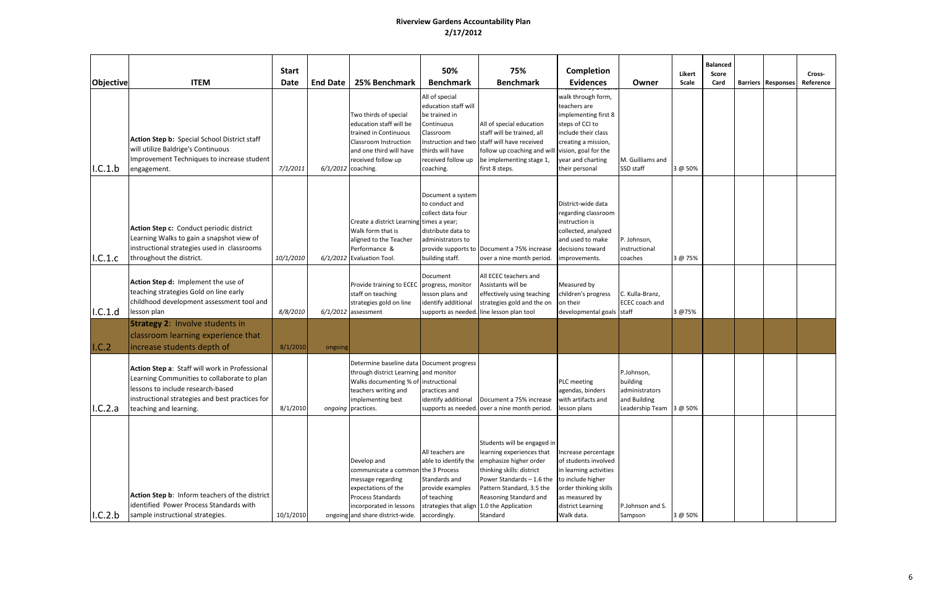| <b>Objective</b> | <b>ITEM</b>                                                                                                                                                                                                     | <b>Start</b><br><b>Date</b> | <b>End Date</b> | 25% Benchmark                                                                                                                                                                                 | 50%<br><b>Benchmark</b>                                                                                                                   | 75%<br><b>Benchmark</b>                                                                                                                                                                                                                                                                              | Completion<br><b>Evidences</b>                                                                                                                                     | Owner                                                                               | Likert<br>Scale | <b>Balanced</b><br>Score<br>Card | <b>Barriers   Responses</b> | Cross-<br>Reference |
|------------------|-----------------------------------------------------------------------------------------------------------------------------------------------------------------------------------------------------------------|-----------------------------|-----------------|-----------------------------------------------------------------------------------------------------------------------------------------------------------------------------------------------|-------------------------------------------------------------------------------------------------------------------------------------------|------------------------------------------------------------------------------------------------------------------------------------------------------------------------------------------------------------------------------------------------------------------------------------------------------|--------------------------------------------------------------------------------------------------------------------------------------------------------------------|-------------------------------------------------------------------------------------|-----------------|----------------------------------|-----------------------------|---------------------|
| I.C.1.b          | Action Step b: Special School District staff<br>will utilize Baldrige's Continuous<br>Improvement Techniques to increase student<br>engagement.                                                                 | 7/1/2011                    |                 | Two thirds of special<br>education staff will be<br>trained in Continuous<br>Classroom Instruction<br>and one third will have<br>received follow up<br>6/1/2012 coaching.                     | All of special<br>education staff will<br>be trained in<br>Continuous<br>Classroom<br>thirds will have<br>received follow up<br>coaching. | All of special education<br>staff will be trained, all<br>Instruction and two staff will have received<br>follow up coaching and will vision, goal for the<br>be implementing stage 1,<br>first 8 steps.                                                                                             | walk through form,<br>teachers are<br>implementing first 8<br>steps of CCI to<br>include their class<br>creating a mission,<br>year and charting<br>their personal | M. Guilliams and<br>SSD staff                                                       | 3 @ 50%         |                                  |                             |                     |
| I.C.1.c          | Action Step c: Conduct periodic district<br>Learning Walks to gain a snapshot view of<br>instructional strategies used in classrooms<br>throughout the district.                                                | 10/1/2010                   |                 | Create a district Learning<br>Walk form that is<br>aligned to the Teacher<br>Performance &<br>6/1/2012 Evaluation Tool.                                                                       | Document a system<br>to conduct and<br>collect data four<br>times a year;<br>distribute data to<br>administrators to<br>building staff.   | provide supports to Document a 75% increase<br>over a nine month period.                                                                                                                                                                                                                             | District-wide data<br>regarding classroom<br>instruction is<br>collected, analyzed<br>and used to make<br>decisions toward<br>improvements.                        | P. Johnson,<br>instructional<br>coaches                                             | 3 @ 75%         |                                  |                             |                     |
| I.C.1.d          | Action Step d: Implement the use of<br>teaching strategies Gold on line early<br>childhood development assessment tool and<br>lesson plan                                                                       | 8/8/2010                    |                 | Provide training to ECEC<br>staff on teaching<br>strategies gold on line<br>$6/1/2012$ assessment                                                                                             | Document<br>progress, monitor<br>lesson plans and<br>identify additional                                                                  | All ECEC teachers and<br>Assistants will be<br>effectively using teaching<br>strategies gold and the on<br>supports as needed. line lesson plan tool                                                                                                                                                 | Measured by<br>children's progress<br>on their<br>developmental goals staff                                                                                        | C. Kulla-Branz,<br><b>ECEC</b> coach and                                            | 3 @75%          |                                  |                             |                     |
| I.C.2            | <b>Strategy 2: Involve students in</b><br>classroom learning experience that<br>increase students depth of                                                                                                      | 8/1/2010                    | ongoing         |                                                                                                                                                                                               |                                                                                                                                           |                                                                                                                                                                                                                                                                                                      |                                                                                                                                                                    |                                                                                     |                 |                                  |                             |                     |
| I.C.2.a          | Action Step a: Staff will work in Professional<br>Learning Communities to collaborate to plan<br>lessons to include research-based<br>instructional strategies and best practices for<br>teaching and learning. | 8/1/2010                    |                 | Determine baseline data Document progress<br>through district Learning and monitor<br>Walks documenting % of instructional<br>teachers writing and<br>implementing best<br>ongoing practices. | practices and<br>identify additional                                                                                                      | Document a 75% increase<br>supports as needed. over a nine month period.                                                                                                                                                                                                                             | <b>PLC</b> meeting<br>agendas, binders<br>with artifacts and<br>lesson plans                                                                                       | P.Johnson,<br>building<br>administrators<br>and Building<br>Leadership Team 3 @ 50% |                 |                                  |                             |                     |
| I.C.2.b          | Action Step b: Inform teachers of the district<br>identified Power Process Standards with<br>sample instructional strategies.                                                                                   | 10/1/2010                   |                 | Develop and<br>communicate a common the 3 Process<br>message regarding<br>expectations of the<br>Process Standards<br>incorporated in lessons<br>ongoing and share district-wide.             | All teachers are<br>Standards and<br>provide examples<br>of teaching<br>accordingly.                                                      | Students will be engaged in<br>learning experiences that<br>able to identify the emphasize higher order<br>thinking skills: district<br>Power Standards $-1.6$ the to include higher<br>Pattern Standard, 3.5 the<br>Reasoning Standard and<br>strategies that align 1.0 the Application<br>Standard | Increase percentage<br>of students involved<br>in learning activities<br>order thinking skills<br>as measured by<br>district Learning<br>Walk data.                | P.Johnson and S.<br>Sampson                                                         | 3 @ 50%         |                                  |                             |                     |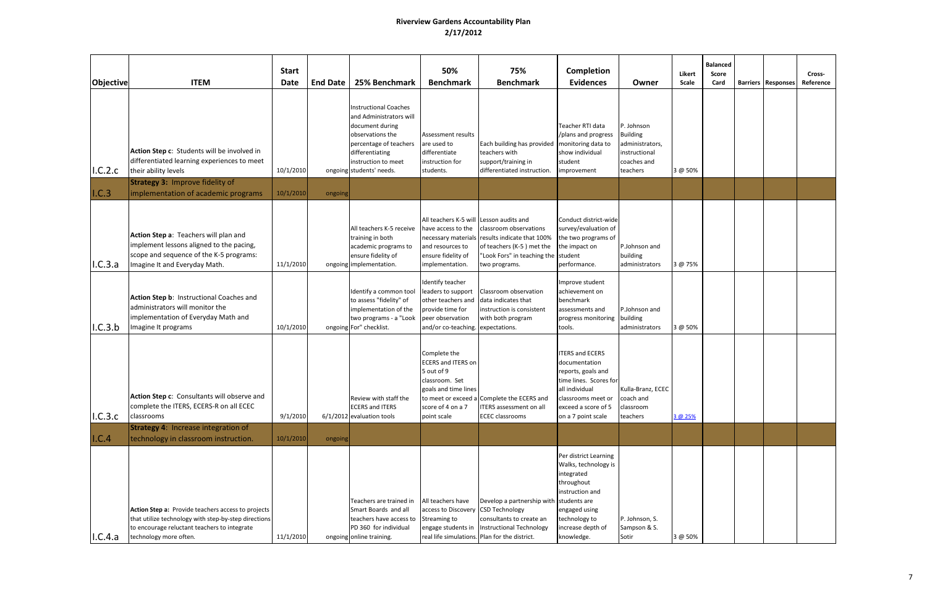| Objective | <b>ITEM</b>                                                                                                                                                                          | <b>Start</b><br><b>Date</b> | <b>End Date</b> | 25% Benchmark                                                                                                                                                                                  | 50%<br><b>Benchmark</b>                                                                                                                   | 75%<br><b>Benchmark</b>                                                                                                                                                                        | Completion<br><b>Evidences</b>                                                                                                                                               | Owner                                                                                        | Likert<br>Scale | <b>Balanced</b><br>Score<br>Card | <b>Barriers Responses</b> | Cross-<br>Reference |
|-----------|--------------------------------------------------------------------------------------------------------------------------------------------------------------------------------------|-----------------------------|-----------------|------------------------------------------------------------------------------------------------------------------------------------------------------------------------------------------------|-------------------------------------------------------------------------------------------------------------------------------------------|------------------------------------------------------------------------------------------------------------------------------------------------------------------------------------------------|------------------------------------------------------------------------------------------------------------------------------------------------------------------------------|----------------------------------------------------------------------------------------------|-----------------|----------------------------------|---------------------------|---------------------|
| I.C.2.c   | Action Step c: Students will be involved in<br>differentiated learning experiences to meet<br>their ability levels<br><b>Strategy 3: Improve fidelity of</b>                         | 10/1/2010                   |                 | <b>Instructional Coaches</b><br>and Administrators will<br>document during<br>observations the<br>percentage of teachers<br>differentiating<br>instruction to meet<br>ongoing students' needs. | Assessment results<br>are used to<br>differentiate<br>instruction for<br>students.                                                        | Each building has provided   monitoring data to<br>teachers with<br>support/training in<br>differentiated instruction.                                                                         | Teacher RTI data<br>/plans and progress<br>show individual<br>student<br>improvement                                                                                         | P. Johnson<br><b>Building</b><br>administrators,<br>instructional<br>coaches and<br>teachers | 3 @ 50%         |                                  |                           |                     |
| I.C.3     | implementation of academic programs                                                                                                                                                  | 10/1/2010                   | ongoing         |                                                                                                                                                                                                |                                                                                                                                           |                                                                                                                                                                                                |                                                                                                                                                                              |                                                                                              |                 |                                  |                           |                     |
| I.C.3.a   | Action Step a: Teachers will plan and<br>implement lessons aligned to the pacing,<br>scope and sequence of the K-5 programs:<br>Imagine It and Everyday Math.                        | 11/1/2010                   |                 | All teachers K-5 receive<br>training in both<br>academic programs to<br>ensure fidelity of<br>ongoing implementation.                                                                          | All teachers K-5 will Lesson audits and<br>have access to the<br>and resources to<br>ensure fidelity of<br>implementation.                | classroom observations<br>necessary materials results indicate that 100%<br>of teachers (K-5) met the<br>"Look Fors" in teaching the student<br>two programs.                                  | Conduct district-wide<br>survey/evaluation of<br>the two programs of<br>the impact on<br>performance.                                                                        | P.Johnson and<br>building<br>administrators                                                  | 3 @ 75%         |                                  |                           |                     |
| I.C.3.b   | Action Step b: Instructional Coaches and<br>administrators will monitor the<br>implementation of Everyday Math and<br>magine It programs                                             | 10/1/2010                   |                 | Identify a common tool<br>to assess "fidelity" of<br>mplementation of the<br>two programs - a "Look<br>ongoing For" checklist.                                                                 | Identify teacher<br>leaders to support<br>other teachers and<br>provide time for<br>peer observation<br>and/or co-teaching. expectations. | Classroom observation<br>data indicates that<br>instruction is consistent<br>with both program                                                                                                 | Improve student<br>achievement on<br>benchmark<br>assessments and<br>progress monitoring<br>tools.                                                                           | P.Johnson and<br>building<br>administrators                                                  | 3 @ 50%         |                                  |                           |                     |
| 1.C.3.c   | Action Step c: Consultants will observe and<br>complete the ITERS, ECERS-R on all ECEC<br>classrooms                                                                                 | 9/1/2010                    |                 | Review with staff the<br><b>ECERS and ITERS</b><br>6/1/2012 evaluation tools                                                                                                                   | Complete the<br><b>ECERS and ITERS on</b><br>5 out of 9<br>classroom. Set<br>goals and time lines<br>score of 4 on a 7<br>point scale     | to meet or exceed a Complete the ECERS and<br><b>ITERS</b> assessment on all<br><b>ECEC</b> classrooms                                                                                         | <b>ITERS and ECERS</b><br>documentation<br>reports, goals and<br>time lines. Scores for<br>all individual<br>classrooms meet or<br>exceed a score of 5<br>on a 7 point scale | Kulla-Branz, ECEC<br>coach and<br>classroom<br>teachers                                      | 3 @ 25%         |                                  |                           |                     |
| I.C.4     | <b>Strategy 4: Increase integration of</b><br>technology in classroom instruction.                                                                                                   | 10/1/2010                   | ongoing         |                                                                                                                                                                                                |                                                                                                                                           |                                                                                                                                                                                                |                                                                                                                                                                              |                                                                                              |                 |                                  |                           |                     |
| I.C.4.a   | Action Step a: Provide teachers access to projects<br>that utilize technology with step-by-step directions<br>to encourage reluctant teachers to integrate<br>technology more often. | 11/1/2010                   |                 | Teachers are trained in<br>Smart Boards and all<br>teachers have access to<br>PD 360 for individual<br>ongoing online training.                                                                | All teachers have<br>access to Discovery<br>Streaming to                                                                                  | Develop a partnership with students are<br><b>CSD Technology</b><br>consultants to create an<br>engage students in   Instructional Technology<br>real life simulations. Plan for the district. | Per district Learning<br>Walks, technology is<br>integrated<br>throughout<br>instruction and<br>engaged using<br>technology to<br>increase depth of<br>knowledge.            | P. Johnson, S.<br>Sampson & S.<br>Sotir                                                      | 3 @ 50%         |                                  |                           |                     |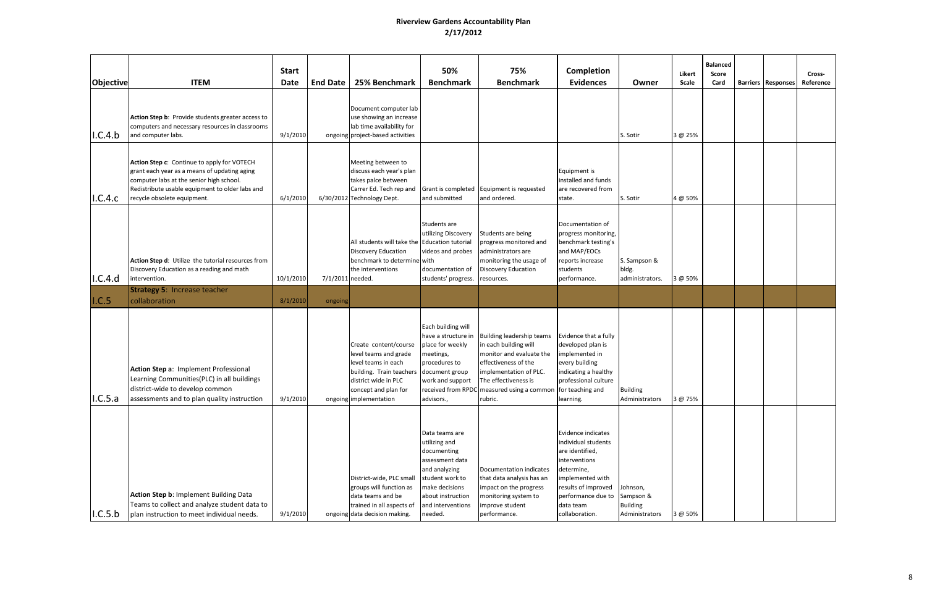| Objective | <b>ITEM</b>                                                                                                                                                                                                               | <b>Start</b><br><b>Date</b> | <b>End Date</b>  | 25% Benchmark                                                                                                                                                             | 50%<br><b>Benchmark</b>                                                                                                                                                      | 75%<br><b>Benchmark</b>                                                                                                                                                                                                                   | Completion<br><b>Evidences</b>                                                                                                                                                              | Owner                                                     | Likert<br>Scale | <b>Balanced</b><br>Score<br>Card | <b>Barriers   Responses</b> | Cross-<br>Reference |
|-----------|---------------------------------------------------------------------------------------------------------------------------------------------------------------------------------------------------------------------------|-----------------------------|------------------|---------------------------------------------------------------------------------------------------------------------------------------------------------------------------|------------------------------------------------------------------------------------------------------------------------------------------------------------------------------|-------------------------------------------------------------------------------------------------------------------------------------------------------------------------------------------------------------------------------------------|---------------------------------------------------------------------------------------------------------------------------------------------------------------------------------------------|-----------------------------------------------------------|-----------------|----------------------------------|-----------------------------|---------------------|
| I.C.4.b   | Action Step b: Provide students greater access to<br>computers and necessary resources in classrooms<br>and computer labs.                                                                                                | 9/1/2010                    |                  | Document computer lab<br>use showing an increase<br>lab time availability for<br>ongoing project-based activities                                                         |                                                                                                                                                                              |                                                                                                                                                                                                                                           |                                                                                                                                                                                             | S. Sotir                                                  | 3 @ 25%         |                                  |                             |                     |
| 1.C.4.c   | Action Step c: Continue to apply for VOTECH<br>grant each year as a means of updating aging<br>computer labs at the senior high school.<br>Redistribute usable equipment to older labs and<br>recycle obsolete equipment. | 6/1/2010                    |                  | Meeting between to<br>discuss each year's plan<br>takes palce between<br>Carrer Ed. Tech rep and<br>6/30/2012 Technology Dept.                                            | and submitted                                                                                                                                                                | Grant is completed Equipment is requested<br>and ordered.                                                                                                                                                                                 | Equipment is<br>installed and funds<br>are recovered from<br>state.                                                                                                                         | S. Sotir                                                  | 4 @ 50%         |                                  |                             |                     |
| 1.C.4.d   | Action Step d: Utilize the tutorial resources from<br>Discovery Education as a reading and math<br>intervention.                                                                                                          | 10/1/2010                   | 7/1/2011 needed. | All students will take the Education tutorial<br>Discovery Education<br>benchmark to determine with<br>the interventions                                                  | Students are<br>utilizing Discovery<br>videos and probes<br>documentation of<br>students' progress.                                                                          | Students are being<br>progress monitored and<br>administrators are<br>monitoring the usage of<br><b>Discovery Education</b><br>resources.                                                                                                 | Documentation of<br>progress monitoring,<br>benchmark testing's<br>and MAP/EOCs<br>reports increase<br>students<br>performance.                                                             | S. Sampson &<br>bldg.<br>administrators.                  | 3 @ 50%         |                                  |                             |                     |
| I.C.5     | <b>Strategy 5: Increase teacher</b><br>collaboration                                                                                                                                                                      | 8/1/2010                    | ongoing          |                                                                                                                                                                           |                                                                                                                                                                              |                                                                                                                                                                                                                                           |                                                                                                                                                                                             |                                                           |                 |                                  |                             |                     |
| I.C.5.a   | Action Step a: Implement Professional<br>Learning Communities(PLC) in all buildings<br>district-wide to develop common<br>assessments and to plan quality instruction                                                     | 9/1/2010                    |                  | Create content/course<br>evel teams and grade<br>evel teams in each<br>building. Train teachers<br>district wide in PLC<br>concept and plan for<br>ongoing implementation | Each building will<br>have a structure in<br>place for weekly<br>meetings,<br>procedures to<br>document group<br>work and support<br>advisors.,                              | <b>Building leadership teams</b><br>in each building will<br>monitor and evaluate the<br>effectiveness of the<br>implementation of PLC.<br>The effectiveness is<br>received from RPDC measured using a common for teaching and<br>rubric. | Evidence that a fully<br>developed plan is<br>implemented in<br>every building<br>indicating a healthy<br>professional culture<br>learning.                                                 | <b>Building</b><br>Administrators                         | 3 @ 75%         |                                  |                             |                     |
| I.C.5.b   | Action Step b: Implement Building Data<br>Teams to collect and analyze student data to<br>plan instruction to meet individual needs.                                                                                      | 9/1/2010                    |                  | District-wide, PLC small<br>groups will function as<br>data teams and be<br>trained in all aspects of<br>ongoing data decision making.                                    | Data teams are<br>utilizing and<br>documenting<br>assessment data<br>and analyzing<br>student work to<br>make decisions<br>about instruction<br>and interventions<br>needed. | Documentation indicates<br>that data analysis has an<br>impact on the progress<br>monitoring system to<br>improve student<br>performance.                                                                                                 | Evidence indicates<br>individual students<br>are identified,<br>interventions<br>determine,<br>implemented with<br>results of improved<br>performance due to<br>data team<br>collaboration. | ohnson,<br>Sampson &<br><b>Building</b><br>Administrators | 3 @ 50%         |                                  |                             |                     |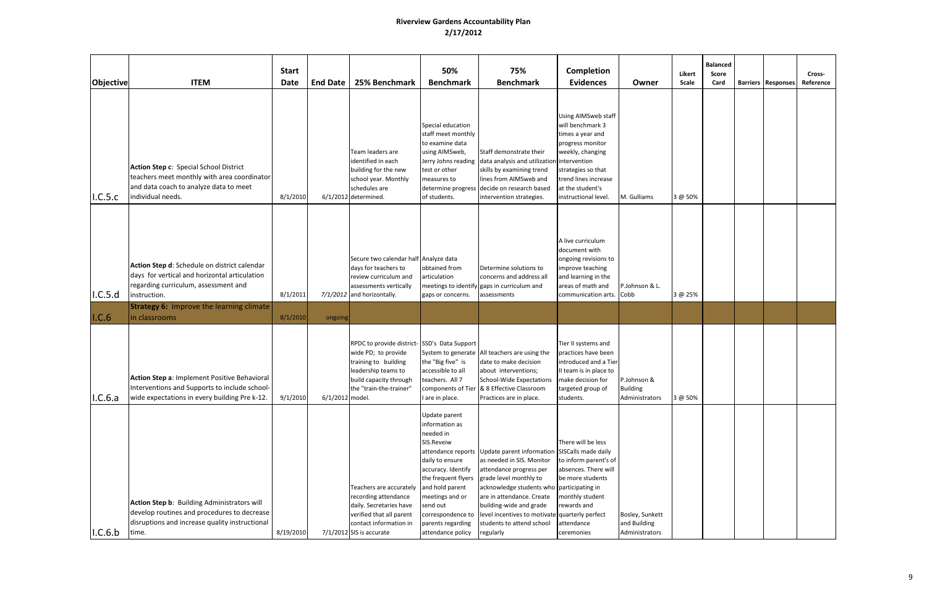| <b>Objective</b> | <b>ITEM</b>                                                                                                                                                                                              | <b>Start</b><br>Date | <b>End Date</b> | 25% Benchmark                                                                                                                                                          | 50%<br><b>Benchmark</b>                                                                                                                                                                                                                                           | 75%<br><b>Benchmark</b>                                                                                                                                                                                                                                                                                                          | <b>Completion</b><br><b>Evidences</b>                                                                                                                                                         | Owner                                             | <b>Likert</b><br>Scale | <b>Balanced</b><br><b>Score</b><br>Card | <b>Barriers Responses</b> | Cross-<br>Reference |
|------------------|----------------------------------------------------------------------------------------------------------------------------------------------------------------------------------------------------------|----------------------|-----------------|------------------------------------------------------------------------------------------------------------------------------------------------------------------------|-------------------------------------------------------------------------------------------------------------------------------------------------------------------------------------------------------------------------------------------------------------------|----------------------------------------------------------------------------------------------------------------------------------------------------------------------------------------------------------------------------------------------------------------------------------------------------------------------------------|-----------------------------------------------------------------------------------------------------------------------------------------------------------------------------------------------|---------------------------------------------------|------------------------|-----------------------------------------|---------------------------|---------------------|
| I.C.5.c          | Action Step c: Special School District<br>teachers meet monthly with area coordinator<br>and data coach to analyze data to meet<br>individual needs.                                                     | 8/1/2010             |                 | Team leaders are<br>identified in each<br>building for the new<br>school year. Monthly<br>schedules are<br>$6/1/2012$ determined.                                      | Special education<br>staff meet monthly<br>to examine data<br>using AIMSweb,<br>Jerry Johns reading<br>test or other<br>measures to<br>determine progress<br>of students.                                                                                         | Staff demonstrate their<br>data analysis and utilization intervention<br>skills by examining trend<br>lines from AIMSweb and<br>decide on research based<br>intervention strategies.                                                                                                                                             | Using AIMSweb staff<br>will benchmark 3<br>times a year and<br>progress monitor<br>weekly, changing<br>strategies so that<br>trend lines increase<br>at the student's<br>instructional level. | M. Gulliams                                       | 3 @ 50%                |                                         |                           |                     |
| I.C.5.d          | Action Step d: Schedule on district calendar<br>days for vertical and horizontal articulation<br>regarding curriculum, assessment and<br>instruction.<br><b>Strategy 6:</b> Improve the learning climate | 8/1/2011             |                 | Secure two calendar half Analyze data<br>days for teachers to<br>review curriculum and<br>assessments vertically<br>7/1/2012 and horizontally.                         | obtained from<br>articulation<br>meetings to identify<br>gaps or concerns.                                                                                                                                                                                        | Determine solutions to<br>concerns and address all<br>gaps in curriculum and<br>assessments                                                                                                                                                                                                                                      | A live curriculum<br>document with<br>ongoing revisions to<br>improve teaching<br>and learning in the<br>areas of math and<br>communication arts. Cobb                                        | P.Johnson & L.                                    | 3 @ 25%                |                                         |                           |                     |
| I.C.6            | in classrooms                                                                                                                                                                                            | 8/1/2010             | ongoing         |                                                                                                                                                                        |                                                                                                                                                                                                                                                                   |                                                                                                                                                                                                                                                                                                                                  |                                                                                                                                                                                               |                                                   |                        |                                         |                           |                     |
| I.C.6.a          | Action Step a: Implement Positive Behavioral<br>Interventions and Supports to include school-<br>wide expectations in every building Pre k-12.                                                           | 9/1/2010             | 6/1/2012 model. | RPDC to provide district-SSD's Data Support<br>wide PD; to provide<br>training to building<br>leadership teams to<br>build capacity through<br>the "train-the-trainer" | the "Big five" is<br>accessible to all<br>teachers. All 7<br>are in place.                                                                                                                                                                                        | System to generate All teachers are using the<br>date to make decision<br>about interventions;<br><b>School-Wide Expectations</b><br>components of Tier   & 8 Effective Classroom<br>Practices are in place.                                                                                                                     | Tier II systems and<br>practices have been<br>introduced and a Tier<br>II team is in place to<br>make decision for<br>targeted group of<br>students.                                          | P.Johnson &<br><b>Building</b><br>Administrators  | 3 @ 50%                |                                         |                           |                     |
| 1.C.6.b          | Action Step b: Building Administrators will<br>develop routines and procedures to decrease<br>disruptions and increase quality instructional<br>time.                                                    | 8/19/2010            |                 | Teachers are accurately<br>recording attendance<br>daily. Secretaries have<br>verified that all parent<br>contact information in<br>7/1/2012 SIS is accurate           | Update parent<br>information as<br>needed in<br>SIS.Reveiw<br>attendance reports<br>daily to ensure<br>accuracy. Identify<br>the frequent flyers<br>and hold parent<br>meetings and or<br>send out<br>correspondence to<br>parents regarding<br>attendance policy | Update parent information SISCalls made daily<br>as needed in SIS. Monitor<br>attendance progress per<br>grade level monthly to<br>acknowledge students who participating in<br>are in attendance. Create<br>building-wide and grade<br>level incentives to motivate quarterly perfect<br>students to attend school<br>regularly | There will be less<br>to inform parent's of<br>absences. There will<br>be more students<br>monthly student<br>rewards and<br>attendance<br>ceremonies                                         | Bosley, Sunkett<br>and Building<br>Administrators |                        |                                         |                           |                     |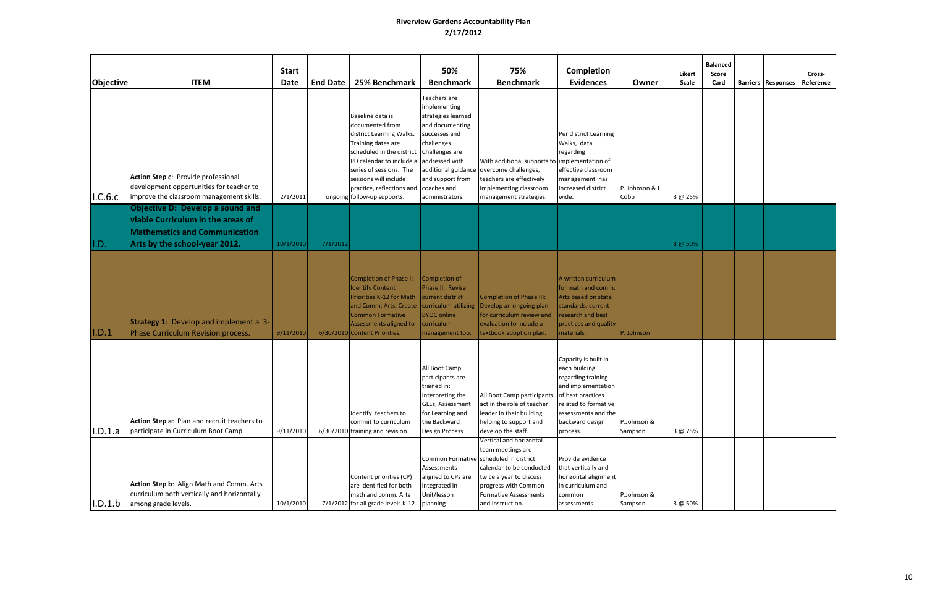| Objective | <b>ITEM</b>                                                                                                                                           | <b>Start</b><br><b>Date</b> | <b>End Date</b> | 25% Benchmark                                                                                                                                                                                                                                                  | 50%<br><b>Benchmark</b>                                                                                                                                                                         | 75%<br><b>Benchmark</b>                                                                                                                                                                                            | <b>Completion</b><br><b>Evidences</b>                                                                                                                                                | Owner                   | Likert<br><b>Scale</b> | <b>Balanced</b><br>Score<br>Card | <b>Barriers Responses</b> | Cross-<br>Reference |
|-----------|-------------------------------------------------------------------------------------------------------------------------------------------------------|-----------------------------|-----------------|----------------------------------------------------------------------------------------------------------------------------------------------------------------------------------------------------------------------------------------------------------------|-------------------------------------------------------------------------------------------------------------------------------------------------------------------------------------------------|--------------------------------------------------------------------------------------------------------------------------------------------------------------------------------------------------------------------|--------------------------------------------------------------------------------------------------------------------------------------------------------------------------------------|-------------------------|------------------------|----------------------------------|---------------------------|---------------------|
| I.C.6.c   | Action Step c: Provide professional<br>development opportunities for teacher to<br>improve the classroom management skills.                           | 2/1/2011                    |                 | Baseline data is<br>documented from<br>district Learning Walks.<br>Training dates are<br>scheduled in the district<br>PD calendar to include a<br>series of sessions. The<br>sessions will include<br>practice, reflections and<br>ongoing follow-up supports. | Teachers are<br>implementing<br>strategies learned<br>and documenting<br>successes and<br>challenges.<br>Challenges are<br>addressed with<br>and support from<br>coaches and<br>administrators. | With additional supports to implementation of<br>additional guidance overcome challenges,<br>teachers are effectively<br>implementing classroom<br>management strategies.                                          | Per district Learning<br>Walks, data<br>regarding<br>effective classroom<br>management has<br>increased district<br>wide.                                                            | P. Johnson & L.<br>Cobb | 3 @ 25%                |                                  |                           |                     |
| I.D.      | <b>Objective D: Develop a sound and</b><br>viable Curriculum in the areas of<br><b>Mathematics and Communication</b><br>Arts by the school-year 2012. | 10/1/2010                   | 7/1/2012        |                                                                                                                                                                                                                                                                |                                                                                                                                                                                                 |                                                                                                                                                                                                                    |                                                                                                                                                                                      |                         | 3 @ 50%                |                                  |                           |                     |
| I.D.1     | <b>Strategy 1:</b> Develop and implement a 3-<br>Phase Curriculum Revision process.                                                                   | 9/11/2010                   |                 | Completion of Phase I:<br><b>Identify Content</b><br>Priorities K-12 for Math<br>and Comm. Arts; Create<br><b>Common Formative</b><br>Assessments aligned to<br>6/30/2010 Content Priorities.                                                                  | Completion of<br>Phase II: Revise<br>current district<br>curriculum utilizing<br><b>BYOC online</b><br>curriculum<br>management too.                                                            | Completion of Phase III:<br>Develop an ongoing plan<br>for curriculum review and<br>evaluation to include a<br>textbook adoption plan.                                                                             | A written curriculum<br>for math and comm.<br>Arts based on state<br>standards, current<br>research and best<br>practices and quality<br>materials.                                  | P. Johnson              |                        |                                  |                           |                     |
| I.D.1.a   | Action Step a: Plan and recruit teachers to<br>participate in Curriculum Boot Camp.                                                                   | 9/11/2010                   |                 | Identify teachers to<br>commit to curriculum<br>6/30/2010 training and revision.                                                                                                                                                                               | All Boot Camp<br>participants are<br>trained in:<br>Interpreting the<br><b>GLEs, Assessment</b><br>for Learning and<br>the Backward<br>Design Process                                           | All Boot Camp participants<br>act in the role of teacher<br>leader in their building<br>helping to support and<br>develop the staff.                                                                               | Capacity is built in<br>each building<br>regarding training<br>and implementation<br>of best practices<br>related to formative<br>assessments and the<br>backward design<br>process. | P.Johnson &<br>Sampson  | 3 @ 75%                |                                  |                           |                     |
| I.D.1.b   | Action Step b: Align Math and Comm. Arts<br>curriculum both vertically and horizontally<br>among grade levels.                                        | 10/1/2010                   |                 | Content priorities (CP)<br>are identified for both<br>math and comm. Arts<br>7/1/2012 for all grade levels K-12.                                                                                                                                               | Assessments<br>aligned to CPs are<br>integrated in<br>Unit/lesson<br>planning                                                                                                                   | Vertical and horizontal<br>team meetings are<br>Common Formative scheduled in district<br>calendar to be conducted<br>twice a year to discuss<br>progress with Common<br>Formative Assessments<br>and Instruction. | Provide evidence<br>that vertically and<br>horizontal alignment<br>in curriculum and<br>common<br>assessments                                                                        | P.Johnson &<br>Sampson  | 3 @ 50%                |                                  |                           |                     |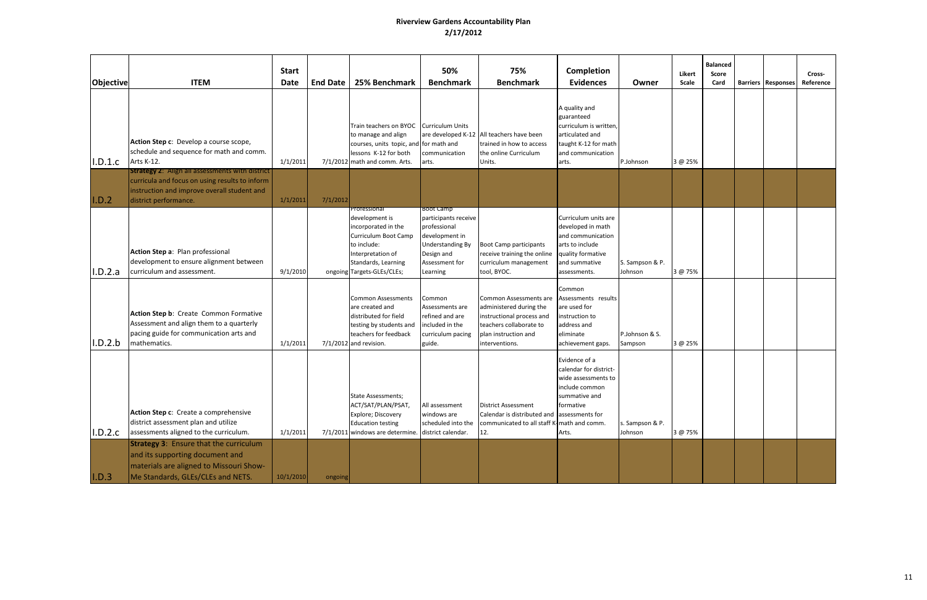| Objective | <b>ITEM</b>                                                                                                                                                                      | <b>Start</b><br><b>Date</b> | <b>End Date</b> | 25% Benchmark                                                                                                                                                          | 50%<br><b>Benchmark</b>                                                                                                                    | 75%<br><b>Benchmark</b>                                                                                                                             | Completion<br><b>Evidences</b>                                                                                                          | Owner                      | Likert<br>Scale | <b>Balanced</b><br>Score<br>Card | <b>Barriers Responses</b> | Cross-<br>Reference |
|-----------|----------------------------------------------------------------------------------------------------------------------------------------------------------------------------------|-----------------------------|-----------------|------------------------------------------------------------------------------------------------------------------------------------------------------------------------|--------------------------------------------------------------------------------------------------------------------------------------------|-----------------------------------------------------------------------------------------------------------------------------------------------------|-----------------------------------------------------------------------------------------------------------------------------------------|----------------------------|-----------------|----------------------------------|---------------------------|---------------------|
| I.D.1.c   | Action Step c: Develop a course scope,<br>schedule and sequence for math and comm.<br>Arts K-12.                                                                                 | 1/1/2011                    |                 | Train teachers on BYOC Curriculum Units<br>to manage and align<br>courses, units topic, and<br>lessons K-12 for both<br>7/1/2012 math and comm. Arts.                  | for math and<br>communication<br>arts.                                                                                                     | are developed K-12 All teachers have been<br>trained in how to access<br>the online Curriculum<br>Units.                                            | A quality and<br>guaranteed<br>curriculum is written,<br>articulated and<br>taught K-12 for math<br>and communication<br>arts.          | P.Johnson                  | 3 @ 25%         |                                  |                           |                     |
| I.D.2     | <b>Strategy 2: Align all assessments with district</b><br>curricula and focus on using results to inform<br>instruction and improve overall student and<br>district performance. | 1/1/2011                    | 7/1/2012        |                                                                                                                                                                        |                                                                                                                                            |                                                                                                                                                     |                                                                                                                                         |                            |                 |                                  |                           |                     |
| I.D.2.a   | Action Step a: Plan professional<br>development to ensure alignment between<br>curriculum and assessment.                                                                        | 9/1/2010                    |                 | Professional<br>development is<br>incorporated in the<br>Curriculum Boot Camp<br>to include:<br>Interpretation of<br>Standards, Learning<br>ongoing Targets-GLEs/CLEs; | Boot Camp<br>participants receive<br>professional<br>development in<br><b>Understanding By</b><br>Design and<br>Assessment for<br>Learning | <b>Boot Camp participants</b><br>receive training the online<br>curriculum management<br>tool, BYOC.                                                | Curriculum units are<br>developed in math<br>and communication<br>arts to include<br>quality formative<br>and summative<br>assessments. | S. Sampson & P.<br>Johnson | 3 @ 75%         |                                  |                           |                     |
| I.D.2.b   | Action Step b: Create Common Formative<br>Assessment and align them to a quarterly<br>pacing guide for communication arts and<br>mathematics.                                    | 1/1/2011                    |                 | <b>Common Assessments</b><br>are created and<br>distributed for field<br>testing by students and<br>teachers for feedback<br>$7/1/2012$ and revision.                  | Common<br>Assessments are<br>refined and are<br>included in the<br>curriculum pacing<br>guide.                                             | Common Assessments are<br>administered during the<br>instructional process and<br>teachers collaborate to<br>plan instruction and<br>interventions. | Common<br>Assessments results<br>are used for<br>instruction to<br>address and<br>eliminate<br>achievement gaps.                        | P.Johnson & S.<br>Sampson  | 3 @ 25%         |                                  |                           |                     |
| I.D.2.c   | Action Step c: Create a comprehensive<br>district assessment plan and utilize<br>assessments aligned to the curriculum.                                                          | 1/1/2011                    |                 | <b>State Assessments;</b><br>ACT/SAT/PLAN/PSAT,<br>Explore; Discovery<br><b>Education testing</b><br>7/1/2011 windows are determine.                                   | All assessment<br>windows are<br>scheduled into the<br>district calendar.                                                                  | <b>District Assessment</b><br>Calendar is distributed and lassessments for<br>communicated to all staff K-math and comm.<br>12.                     | Evidence of a<br>calendar for district-<br>wide assessments to<br>include common<br>summative and<br>formative<br>Arts.                 | s. Sampson & P.<br>Johnson | 3 @ 75%         |                                  |                           |                     |
| I.D.3     | <b>Strategy 3: Ensure that the curriculum</b><br>and its supporting document and<br>materials are aligned to Missouri Show-<br>Me Standards, GLEs/CLEs and NETS.                 | 10/1/2010                   | ongoing         |                                                                                                                                                                        |                                                                                                                                            |                                                                                                                                                     |                                                                                                                                         |                            |                 |                                  |                           |                     |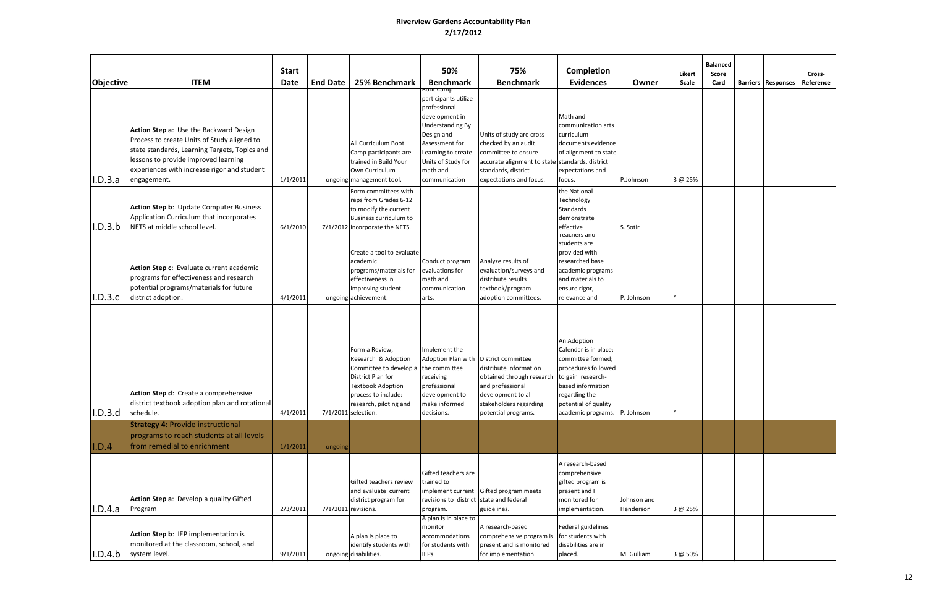| Objective | <b>ITEM</b>                                                                                                                                                                                                                                  | <b>Start</b><br><b>Date</b> | <b>End Date</b> | 25% Benchmark                                                                                                                                                                            | 50%<br><b>Benchmark</b>                                                                                                                                                                                     | 75%<br><b>Benchmark</b>                                                                                                                                                                 | <b>Completion</b><br><b>Evidences</b>                                                                                                                                                                | Owner                    | Likert<br>Scale | <b>Balanced</b><br>Score<br>Card | <b>Barriers   Responses</b> | Cross-<br>Reference |
|-----------|----------------------------------------------------------------------------------------------------------------------------------------------------------------------------------------------------------------------------------------------|-----------------------------|-----------------|------------------------------------------------------------------------------------------------------------------------------------------------------------------------------------------|-------------------------------------------------------------------------------------------------------------------------------------------------------------------------------------------------------------|-----------------------------------------------------------------------------------------------------------------------------------------------------------------------------------------|------------------------------------------------------------------------------------------------------------------------------------------------------------------------------------------------------|--------------------------|-----------------|----------------------------------|-----------------------------|---------------------|
| I.D.3.a   | Action Step a: Use the Backward Design<br>Process to create Units of Study aligned to<br>state standards, Learning Targets, Topics and<br>lessons to provide improved learning<br>experiences with increase rigor and student<br>engagement. | 1/1/2011                    |                 | All Curriculum Boot<br>Camp participants are<br>trained in Build Your<br>Own Curriculum<br>ongoing management tool.                                                                      | <del>300t camp</del><br>participants utilize<br>professional<br>development in<br>Understanding By<br>Design and<br>Assessment for<br>Learning to create<br>Units of Study for<br>math and<br>communication | Units of study are cross<br>checked by an audit<br>committee to ensure<br>accurate alignment to state standards, district<br>standards, district<br>expectations and focus.             | Math and<br>communication arts<br>curriculum<br>documents evidence<br>of alignment to state<br>expectations and<br>focus.                                                                            | P.Johnson                | 3 @ 25%         |                                  |                             |                     |
| I.D.3.b   | Action Step b: Update Computer Business<br>Application Curriculum that incorporates<br>NETS at middle school level.                                                                                                                          | 6/1/2010                    |                 | Form committees with<br>reps from Grades 6-12<br>to modify the current<br>Business curriculum to<br>7/1/2012 incorporate the NETS.                                                       |                                                                                                                                                                                                             |                                                                                                                                                                                         | the National<br>Technology<br><b>Standards</b><br>demonstrate<br>effective                                                                                                                           | S. Sotir                 |                 |                                  |                             |                     |
| I.D.3.c   | Action Step c: Evaluate current academic<br>programs for effectiveness and research<br>potential programs/materials for future<br>district adoption.                                                                                         | 4/1/2011                    |                 | Create a tool to evaluate<br>academic<br>programs/materials for<br>effectiveness in<br>improving student<br>ongoing achievement.                                                         | Conduct program<br>evaluations for<br>math and<br>communication<br>arts.                                                                                                                                    | Analyze results of<br>evaluation/surveys and<br>distribute results<br>textbook/program<br>adoption committees.                                                                          | reachers and<br>students are<br>provided with<br>researched base<br>academic programs<br>and materials to<br>ensure rigor,<br>relevance and                                                          | P. Johnson               |                 |                                  |                             |                     |
| I.D.3.d   | Action Step d: Create a comprehensive<br>district textbook adoption plan and rotational<br>schedule.                                                                                                                                         | 4/1/2011                    |                 | Form a Review,<br>Research & Adoption<br>Committee to develop a<br>District Plan for<br><b>Textbook Adoption</b><br>process to include:<br>research, piloting and<br>7/1/2011 selection. | Implement the<br>the committee<br>receiving<br>professional<br>development to<br>make informed<br>decisions.                                                                                                | Adoption Plan with District committee<br>distribute information<br>obtained through research<br>and professional<br>development to all<br>stakeholders regarding<br>potential programs. | An Adoption<br>Calendar is in place;<br>committee formed;<br>procedures followed<br>to gain research-<br>based information<br>regarding the<br>potential of quality<br>academic programs. P. Johnson |                          |                 |                                  |                             |                     |
| I.D.4     | <b>Strategy 4: Provide instructional</b><br>programs to reach students at all levels<br>from remedial to enrichment                                                                                                                          | 1/1/2011                    | ongoing         |                                                                                                                                                                                          |                                                                                                                                                                                                             |                                                                                                                                                                                         |                                                                                                                                                                                                      |                          |                 |                                  |                             |                     |
| I.D.4.a   | Action Step a: Develop a quality Gifted<br>Program                                                                                                                                                                                           | 2/3/2011                    |                 | Gifted teachers review<br>and evaluate current<br>district program for<br>7/1/2011 revisions.                                                                                            | Gifted teachers are<br>trained to<br>revisions to district state and federal<br>program.                                                                                                                    | implement current Gifted program meets<br>guidelines.                                                                                                                                   | A research-based<br>comprehensive<br>gifted program is<br>present and I<br>monitored for<br>implementation.                                                                                          | Johnson and<br>Henderson | 3 @ 25%         |                                  |                             |                     |
| .D.4.b    | Action Step b: IEP implementation is<br>monitored at the classroom, school, and<br>system level.                                                                                                                                             | 9/1/2011                    |                 | A plan is place to<br>identify students with<br>ongoing disabilities.                                                                                                                    | A plan is in place to<br>monitor<br>accommodations<br>for students with<br>IEPs.                                                                                                                            | A research-based<br>comprehensive program is<br>present and is monitored<br>for implementation.                                                                                         | Federal guidelines<br>for students with<br>disabilities are in<br>placed.                                                                                                                            | M. Gulliam               | 3 @ 50%         |                                  |                             |                     |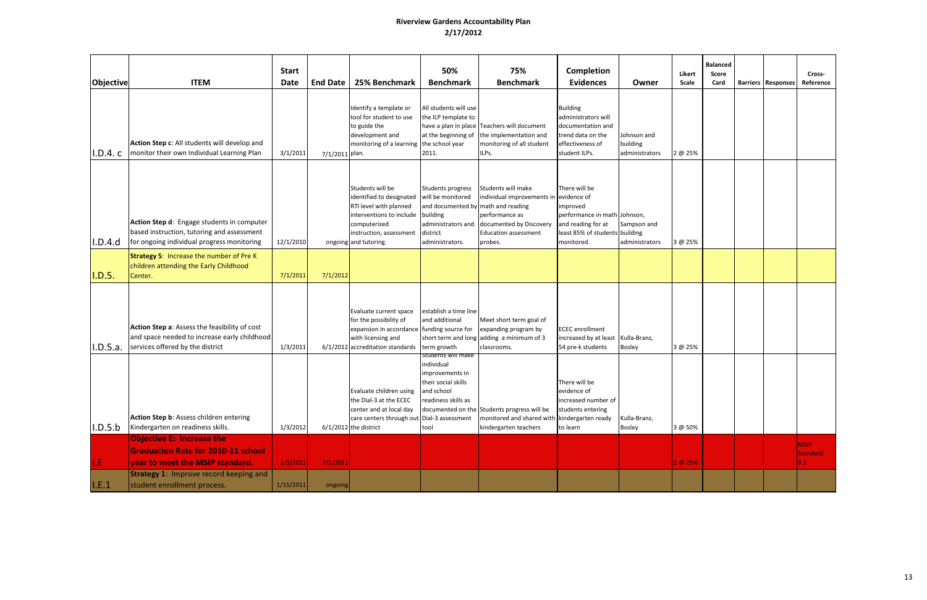| <b>Objective</b> | <b>ITEM</b>                                                                                                                                                       | <b>Start</b><br><b>Date</b> | <b>End Date</b> | 25% Benchmark                                                                                                                                                          | 50%<br><b>Benchmark</b>                                                                                                                       | 75%<br><b>Benchmark</b>                                                                                                                             | Completion<br><b>Evidences</b>                                                                                         | Owner                                     | Likert<br>Scale | <b>Balanced</b><br><b>Score</b><br>Card | <b>Barriers Responses</b> | Cross-<br>Reference                          |
|------------------|-------------------------------------------------------------------------------------------------------------------------------------------------------------------|-----------------------------|-----------------|------------------------------------------------------------------------------------------------------------------------------------------------------------------------|-----------------------------------------------------------------------------------------------------------------------------------------------|-----------------------------------------------------------------------------------------------------------------------------------------------------|------------------------------------------------------------------------------------------------------------------------|-------------------------------------------|-----------------|-----------------------------------------|---------------------------|----------------------------------------------|
| I.D.4.c          | Action Step c: All students will develop and<br>monitor their own Individual Learning Plan                                                                        | 3/1/2011                    | 7/1/2011 plan.  | Identify a template or<br>tool for student to use<br>to guide the<br>development and<br>monitoring of a learning                                                       | All students will use<br>the ILP template to<br>at the beginning of<br>the school year<br>2011.                                               | have a plan in place Teachers will document<br>the implementation and<br>monitoring of all student<br>ILPs.                                         | <b>Building</b><br>administrators will<br>documentation and<br>trend data on the<br>effectiveness of<br>student ILPs.  | Johnson and<br>building<br>administrators | 2 @ 25%         |                                         |                           |                                              |
| I.D.4.d          | Action Step d: Engage students in computer<br>based instruction, tutoring and assessment<br>for ongoing individual progress monitoring                            | 12/1/2010                   |                 | Students will be<br>identified to designated<br>RTI level with planned<br>interventions to include<br>computerized<br>instruction, assessment<br>ongoing and tutoring. | Students progress<br>will be monitored<br>and documented by math and reading<br>building<br>administrators and<br>district<br>administrators. | Students will make<br>individual improvements in evidence of<br>performance as<br>documented by Discovery<br><b>Education assessment</b><br>probes. | There will be<br>improved<br>performance in math Johnson,<br>and reading for at<br>least 85% of students<br>monitored. | Sampson and<br>building<br>administrators | 3 @ 25%         |                                         |                           |                                              |
| I.D.5.           | <b>Strategy 5: Increase the number of Pre K</b><br>children attending the Early Childhood<br>Center.                                                              | 7/1/2011                    | 7/1/2012        |                                                                                                                                                                        |                                                                                                                                               |                                                                                                                                                     |                                                                                                                        |                                           |                 |                                         |                           |                                              |
| I.D.5.a.         | Action Step a: Assess the feasibility of cost<br>and space needed to increase early childhood<br>services offered by the district                                 | 1/3/2011                    |                 | Evaluate current space<br>for the possibility of<br>expansion in accordance funding source for<br>with licensing and<br>6/1/2012 accreditation standards               | establish a time line<br>and additional<br>term growth                                                                                        | Meet short term goal of<br>expanding program by<br>short term and long adding a minimum of 3<br>classrooms.                                         | <b>ECEC</b> enrollment<br>increased by at least<br>54 pre-k students                                                   | Kulla-Branz,<br>Bosley                    | 3 @ 25%         |                                         |                           |                                              |
| I.D.5.b          | Action Step b: Assess children entering<br>Kindergarten on readiness skills.                                                                                      | 1/3/2012                    |                 | Evaluate children using<br>the Dial-3 at the ECEC<br>center and at local day<br>care centers through out Dial-3 assessment<br>$6/1/2012$ the district                  | students will make<br>individual<br>improvements in<br>their social skills<br>and school<br>readiness skills as<br>tool                       | documented on the Students progress will be<br>monitored and shared with kindergarten ready<br>kindergarten teachers                                | There will be<br>evidence of<br>increased number of<br>students entering<br>to learn                                   | Kulla-Branz,<br>Bosley                    | 3 @ 50%         |                                         |                           |                                              |
| I.E              | <b>Objective E: Increase the</b><br><b>Graduation Rate for 2010-11 school</b><br>year to meet the MSIP standard.<br><b>Strategy 1: Improve record keeping and</b> | 1/3/2011                    | 7/1/2011        |                                                                                                                                                                        |                                                                                                                                               |                                                                                                                                                     |                                                                                                                        |                                           | 2 @ 25%         |                                         |                           | <b>MSIP</b><br>Standard:<br>9.3 <sub>1</sub> |
| I.E.1            | student enrollment process.                                                                                                                                       | 1/15/2011                   | ongoing         |                                                                                                                                                                        |                                                                                                                                               |                                                                                                                                                     |                                                                                                                        |                                           |                 |                                         |                           |                                              |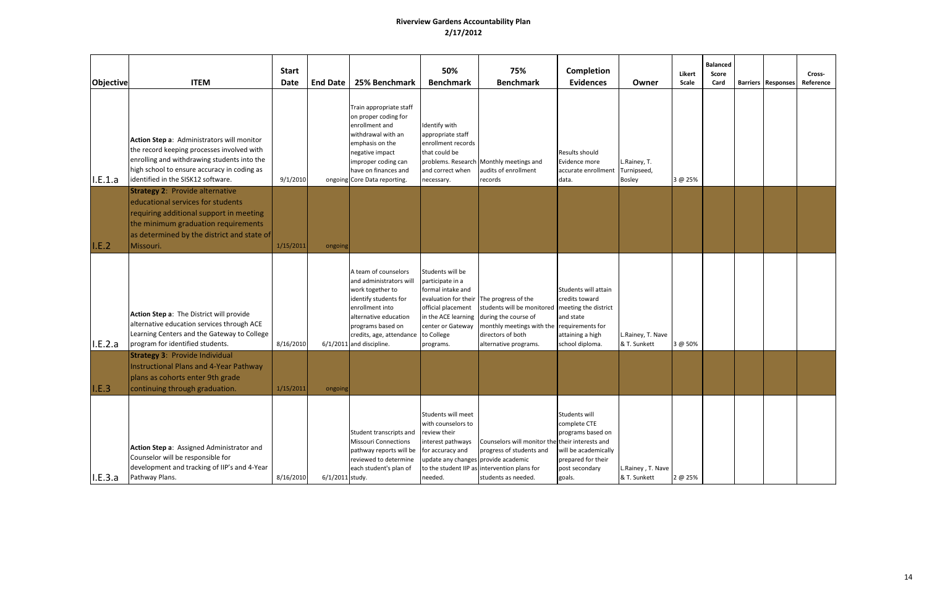| Objective | <b>ITEM</b>                                                                                                                                                                                                                  | <b>Start</b><br><b>Date</b> | <b>End Date</b> | 25% Benchmark                                                                                                                                                                                                         | 50%<br><b>Benchmark</b>                                                                                                                             | 75%<br><b>Benchmark</b>                                                                                                                                                                                                             | <b>Completion</b><br><b>Evidences</b>                                                                                        | Owner                                        | Likert<br><b>Scale</b> | <b>Balanced</b><br>Score<br>Card | <b>Barriers   Responses</b> | Cross-<br>Reference |
|-----------|------------------------------------------------------------------------------------------------------------------------------------------------------------------------------------------------------------------------------|-----------------------------|-----------------|-----------------------------------------------------------------------------------------------------------------------------------------------------------------------------------------------------------------------|-----------------------------------------------------------------------------------------------------------------------------------------------------|-------------------------------------------------------------------------------------------------------------------------------------------------------------------------------------------------------------------------------------|------------------------------------------------------------------------------------------------------------------------------|----------------------------------------------|------------------------|----------------------------------|-----------------------------|---------------------|
| I.E.1.a   | Action Step a: Administrators will monitor<br>the record keeping processes involved with<br>enrolling and withdrawing students into the<br>high school to ensure accuracy in coding as<br>identified in the SISK12 software. | 9/1/2010                    |                 | Train appropriate staff<br>on proper coding for<br>enrollment and<br>withdrawal with an<br>emphasis on the<br>negative impact<br>mproper coding can<br>have on finances and<br>ongoing Core Data reporting.           | Identify with<br>appropriate staff<br>enrollment records<br>that could be<br>and correct when<br>necessary.                                         | problems. Research Monthly meetings and<br>audits of enrollment<br>records                                                                                                                                                          | Results should<br>Evidence more<br>accurate enrollment<br>data.                                                              | L.Rainey, T.<br>Turnipseed,<br><b>Bosley</b> | 3 @ 25%                |                                  |                             |                     |
| I.E.2     | <b>Strategy 2: Provide alternative</b><br>educational services for students<br>requiring additional support in meeting<br>the minimum graduation requirements<br>as determined by the district and state of<br>Missouri.     | 1/15/2011                   | ongoing         |                                                                                                                                                                                                                       |                                                                                                                                                     |                                                                                                                                                                                                                                     |                                                                                                                              |                                              |                        |                                  |                             |                     |
| I.E.2.a   | Action Step a: The District will provide<br>alternative education services through ACE<br>Learning Centers and the Gateway to College<br>program for identified students.                                                    | 8/16/2010                   |                 | A team of counselors<br>and administrators will<br>work together to<br>identify students for<br>enrollment into<br>alternative education<br>programs based on<br>credits, age, attendance<br>6/1/2011 and discipline. | Students will be<br>participate in a<br>formal intake and<br>official placement<br>center or Gateway<br>to College<br>programs.                     | evaluation for their The progress of the<br>students will be monitored meeting the district<br>in the ACE learning during the course of<br>monthly meetings with the requirements for<br>directors of both<br>alternative programs. | Students will attain<br>credits toward<br>and state<br>attaining a high<br>school diploma.                                   | L.Rainey, T. Nave<br>& T. Sunkett            | 3 @ 50%                |                                  |                             |                     |
| I.E.3     | <b>Strategy 3: Provide Individual</b><br><b>Instructional Plans and 4-Year Pathway</b><br>plans as cohorts enter 9th grade<br>continuing through graduation.                                                                 | 1/15/2011                   | ongoing         |                                                                                                                                                                                                                       |                                                                                                                                                     |                                                                                                                                                                                                                                     |                                                                                                                              |                                              |                        |                                  |                             |                     |
| I.E.3.a   | Action Step a: Assigned Administrator and<br>Counselor will be responsible for<br>development and tracking of IIP's and 4-Year<br>Pathway Plans.                                                                             | 8/16/2010                   | 6/1/2011 study. | Student transcripts and<br><b>Missouri Connections</b><br>pathway reports will be<br>reviewed to determine<br>each student's plan of                                                                                  | Students will meet<br>with counselors to<br>review their<br>interest pathways<br>for accuracy and<br>update any changes provide academic<br>needed. | Counselors will monitor the their interests and<br>progress of students and<br>to the student IIP as intervention plans for<br>students as needed.                                                                                  | Students will<br>complete CTE<br>programs based on<br>will be academically<br>prepared for their<br>post secondary<br>goals. | L.Rainey, T. Nave<br>& T. Sunkett            | 2 @ 25%                |                                  |                             |                     |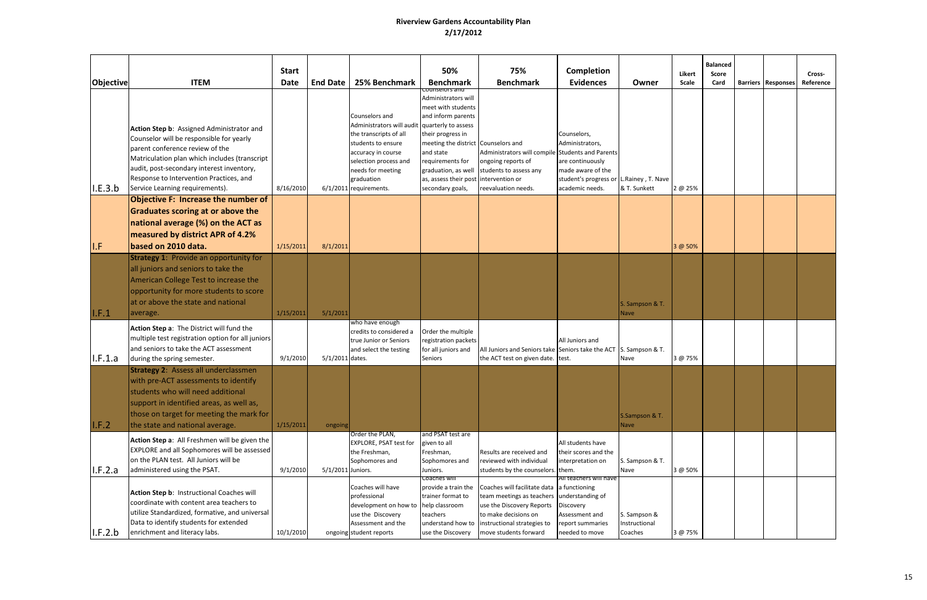|           |                                                                                                                                                                                                                                                                                                      | <b>Start</b> |                   |                                                                                                                                                                                                         | 50%                                                                                                                                                                                                                                                               | 75%                                                                                                                                                                                                   | <b>Completion</b>                                                                                                                     |                                          | Likert       | <b>Balanced</b><br>Score |                           | Cross-    |
|-----------|------------------------------------------------------------------------------------------------------------------------------------------------------------------------------------------------------------------------------------------------------------------------------------------------------|--------------|-------------------|---------------------------------------------------------------------------------------------------------------------------------------------------------------------------------------------------------|-------------------------------------------------------------------------------------------------------------------------------------------------------------------------------------------------------------------------------------------------------------------|-------------------------------------------------------------------------------------------------------------------------------------------------------------------------------------------------------|---------------------------------------------------------------------------------------------------------------------------------------|------------------------------------------|--------------|--------------------------|---------------------------|-----------|
| Objective | <b>ITEM</b>                                                                                                                                                                                                                                                                                          | <b>Date</b>  | <b>End Date</b>   | 25% Benchmark                                                                                                                                                                                           | <b>Benchmark</b>                                                                                                                                                                                                                                                  | <b>Benchmark</b>                                                                                                                                                                                      | <b>Evidences</b>                                                                                                                      | Owner                                    | <b>Scale</b> | Card                     | <b>Barriers Responses</b> | Reference |
| I.E.3.b   | Action Step b: Assigned Administrator and<br>Counselor will be responsible for yearly<br>parent conference review of the<br>Matriculation plan which includes (transcript<br>audit, post-secondary interest inventory,<br>Response to Intervention Practices, and<br>Service Learning requirements). | 8/16/2010    |                   | Counselors and<br>Administrators will audit<br>the transcripts of all<br>students to ensure<br>accuracy in course<br>selection process and<br>needs for meeting<br>graduation<br>6/1/2011 requirements. | ounseiors and<br>Administrators will<br>meet with students<br>and inform parents<br>quarterly to assess<br>their progress in<br>meeting the district Counselors and<br>and state<br>requirements for<br>as, assess their post intervention or<br>secondary goals, | Administrators will compile Students and Parents<br>ongoing reports of<br>graduation, as well students to assess any<br>reevaluation needs.                                                           | Counselors,<br>Administrators,<br>are continuously<br>made aware of the<br>student's progress or L.Rainey, T. Nave<br>academic needs. | & T. Sunkett                             | 2 @ 25%      |                          |                           |           |
|           | <b>Objective F: Increase the number of</b><br>Graduates scoring at or above the<br>national average (%) on the ACT as<br>measured by district APR of 4.2%                                                                                                                                            |              |                   |                                                                                                                                                                                                         |                                                                                                                                                                                                                                                                   |                                                                                                                                                                                                       |                                                                                                                                       |                                          |              |                          |                           |           |
| I.F       | based on 2010 data.                                                                                                                                                                                                                                                                                  | 1/15/2011    | 8/1/2011          |                                                                                                                                                                                                         |                                                                                                                                                                                                                                                                   |                                                                                                                                                                                                       |                                                                                                                                       |                                          | 3 @ 50%      |                          |                           |           |
| I.F.1     | <b>Strategy 1: Provide an opportunity for</b><br>all juniors and seniors to take the<br>American College Test to increase the<br>opportunity for more students to score<br>at or above the state and national<br>average.                                                                            | 1/15/2011    | 5/1/2011          |                                                                                                                                                                                                         |                                                                                                                                                                                                                                                                   |                                                                                                                                                                                                       |                                                                                                                                       | S. Sampson & T.<br>Nave                  |              |                          |                           |           |
| I.F.1.a   | Action Step a: The District will fund the<br>multiple test registration option for all juniors<br>and seniors to take the ACT assessment<br>during the spring semester.                                                                                                                              | 9/1/2010     | 5/1/2011 dates.   | who have enough<br>credits to considered a<br>true Junior or Seniors<br>and select the testing                                                                                                          | Order the multiple<br>registration packets<br>for all juniors and<br>Seniors                                                                                                                                                                                      | All Juniors and Seniors take Seniors take the ACT S. Sampson & T.<br>the ACT test on given date. test.                                                                                                | All Juniors and                                                                                                                       | Nave                                     | 3 @ 75%      |                          |                           |           |
| I.F.2     | <b>Strategy 2: Assess all underclassmen</b><br>with pre-ACT assessments to identify<br>students who will need additional<br>support in identified areas, as well as,<br>those on target for meeting the mark for<br>the state and national average.                                                  | 1/15/2011    | ongoing           |                                                                                                                                                                                                         |                                                                                                                                                                                                                                                                   |                                                                                                                                                                                                       |                                                                                                                                       | <b>S.Sampson &amp; T.</b><br>Nave        |              |                          |                           |           |
| I.F.2.a   | Action Step a: All Freshmen will be given the<br>EXPLORE and all Sophomores will be assessed<br>on the PLAN test. All Juniors will be<br>administered using the PSAT.                                                                                                                                | 9/1/2010     | 5/1/2011 Juniors. | Order the PLAN,<br>EXPLORE, PSAT test for<br>the Freshman,<br>Sophomores and                                                                                                                            | and PSAT test are<br>given to all<br>Freshman,<br>Sophomores and<br>Juniors.                                                                                                                                                                                      | Results are received and<br>reviewed with individual<br>students by the counselors. them.                                                                                                             | All students have<br>their scores and the<br>interpretation on                                                                        | S. Sampson & T.<br>Nave                  | 3 @ 50%      |                          |                           |           |
| I.F.2.b   | Action Step b: Instructional Coaches will<br>coordinate with content area teachers to<br>utilize Standardized, formative, and universal<br>Data to identify students for extended<br>enrichment and literacy labs.                                                                                   | 10/1/2010    |                   | Coaches will have<br>professional<br>development on how to<br>use the Discovery<br>Assessment and the<br>ongoing student reports                                                                        | <del>Coacnes will</del><br>provide a train the<br>trainer format to<br>help classroom<br>teachers<br>understand how to<br>use the Discovery                                                                                                                       | Coaches will facilitate data a functioning<br>team meetings as teachers understanding of<br>use the Discovery Reports<br>to make decisions on<br>instructional strategies to<br>move students forward | All teachers will have<br>Discovery<br>Assessment and<br>report summaries<br>needed to move                                           | S. Sampson &<br>Instructional<br>Coaches | 3 @ 75%      |                          |                           |           |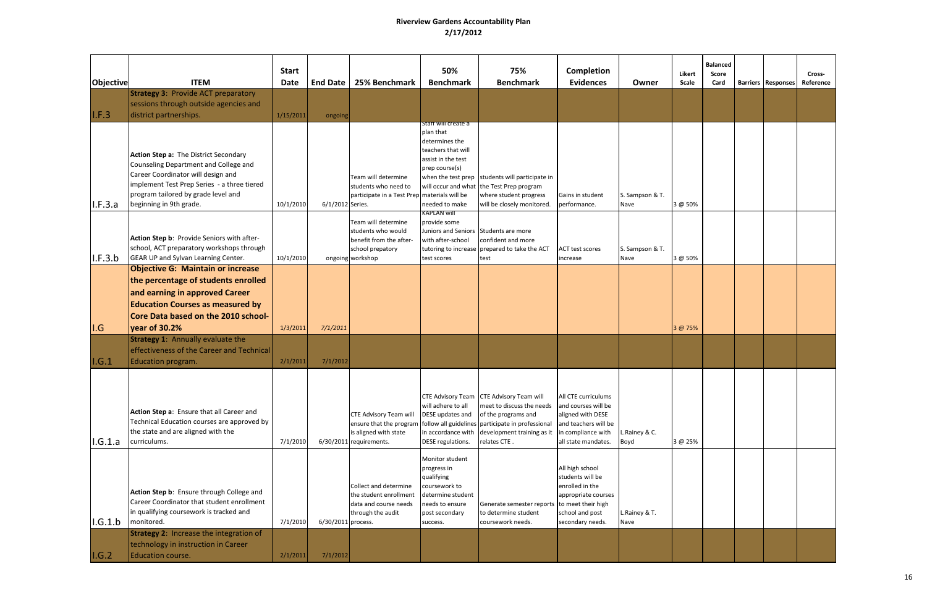| <b>Objective</b> | <b>ITEM</b>                                                                                                                                                                                                                           | <b>Start</b><br><b>Date</b> | <b>End Date</b>    | 25% Benchmark                                                                                                | 50%<br><b>Benchmark</b>                                                                                                                                 | 75%<br><b>Benchmark</b>                                                                                                                                                                                                    | Completion<br><b>Evidences</b>                                                                                                       | Owner                   | Likert<br>Scale | <b>Balanced</b><br>Score<br>Card | <b>Barriers   Responses</b> | Cross-<br>Reference |
|------------------|---------------------------------------------------------------------------------------------------------------------------------------------------------------------------------------------------------------------------------------|-----------------------------|--------------------|--------------------------------------------------------------------------------------------------------------|---------------------------------------------------------------------------------------------------------------------------------------------------------|----------------------------------------------------------------------------------------------------------------------------------------------------------------------------------------------------------------------------|--------------------------------------------------------------------------------------------------------------------------------------|-------------------------|-----------------|----------------------------------|-----------------------------|---------------------|
| I.F.3            | <b>Strategy 3: Provide ACT preparatory</b><br>sessions through outside agencies and<br>district partnerships.                                                                                                                         | 1/15/2011                   | ongoing            |                                                                                                              |                                                                                                                                                         |                                                                                                                                                                                                                            |                                                                                                                                      |                         |                 |                                  |                             |                     |
| II.F.3.a         | Action Step a: The District Secondary<br>Counseling Department and College and<br>Career Coordinator will design and<br>implement Test Prep Series - a three tiered<br>program tailored by grade level and<br>beginning in 9th grade. | 10/1/2010                   | 6/1/2012 Series.   | Team will determine<br>students who need to<br>participate in a Test Prep                                    | staff will create a<br>plan that<br>determines the<br>teachers that will<br>assist in the test<br>prep course(s)<br>materials will be<br>needed to make | when the test prep students will participate in<br>will occur and what the Test Prep program<br>where student progress<br>will be closely monitored.                                                                       | Gains in student<br>performance.                                                                                                     | S. Sampson & T.<br>Nave | 3 @ 50%         |                                  |                             |                     |
| I.F.3.b          | Action Step b: Provide Seniors with after-<br>school, ACT preparatory workshops through<br>GEAR UP and Sylvan Learning Center.                                                                                                        | 10/1/2010                   |                    | Team will determine<br>students who would<br>benefit from the after-<br>school prepatory<br>ongoing workshop | kaplan will<br>provide some<br>with after-school<br>test scores                                                                                         | Juniors and Seniors Students are more<br>confident and more<br>tutoring to increase prepared to take the ACT<br>test                                                                                                       | <b>ACT test scores</b><br>increase                                                                                                   | S. Sampson & T.<br>Nave | 3 @ 50%         |                                  |                             |                     |
| I.G              | <b>Objective G: Maintain or increase</b><br>the percentage of students enrolled<br>and earning in approved Career<br><b>Education Courses as measured by</b><br>Core Data based on the 2010 school-<br>year of 30.2%                  | 1/3/2011                    | 7/1/2011           |                                                                                                              |                                                                                                                                                         |                                                                                                                                                                                                                            |                                                                                                                                      |                         | 3 @ 75%         |                                  |                             |                     |
| I.G.1            | <b>Strategy 1: Annually evaluate the</b><br>effectiveness of the Career and Technical<br><b>Education program.</b>                                                                                                                    | 2/1/2011                    | 7/1/2012           |                                                                                                              |                                                                                                                                                         |                                                                                                                                                                                                                            |                                                                                                                                      |                         |                 |                                  |                             |                     |
| I.G.1.a          | Action Step a: Ensure that all Career and<br>Technical Education courses are approved by<br>the state and are aligned with the<br>curriculums.                                                                                        | 7/1/2010                    |                    | CTE Advisory Team will<br>ensure that the program<br>is aligned with state<br>6/30/2011 requirements.        | will adhere to all<br>DESE updates and<br>DESE regulations.                                                                                             | CTE Advisory Team CTE Advisory Team will<br>meet to discuss the needs<br>of the programs and<br>follow all guidelines participate in professional<br>in accordance with $\vert$ development training as it<br>relates CTE. | All CTE curriculums<br>and courses will be<br>aligned with DESE<br>and teachers will be<br>in compliance with<br>all state mandates. | L.Rainey & C.<br>Boyd   | 3 @ 25%         |                                  |                             |                     |
| I.G.1.b          | Action Step b: Ensure through College and<br>Career Coordinator that student enrollment<br>in qualifying coursework is tracked and<br>monitored.                                                                                      | 7/1/2010                    | 6/30/2011 process. | Collect and determine<br>the student enrollment<br>data and course needs<br>through the audit                | Monitor student<br>progress in<br>qualifying<br>coursework to<br>determine student<br>needs to ensure<br>post secondary<br>success.                     | Generate semester reports to meet their high<br>to determine student<br>coursework needs.                                                                                                                                  | All high school<br>students will be<br>enrolled in the<br>appropriate courses<br>school and post<br>secondary needs.                 | L.Rainey & T.<br>Nave   |                 |                                  |                             |                     |
| I.G.2            | <b>Strategy 2: Increase the integration of</b><br>technology in instruction in Career<br><b>Education course.</b>                                                                                                                     | 2/1/2011                    | 7/1/2012           |                                                                                                              |                                                                                                                                                         |                                                                                                                                                                                                                            |                                                                                                                                      |                         |                 |                                  |                             |                     |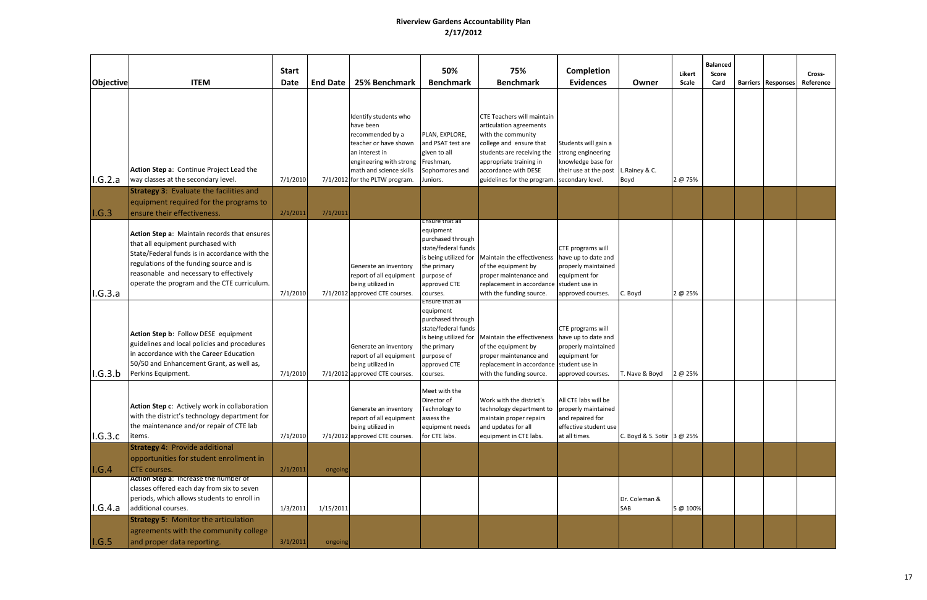| <b>Objective</b> | <b>ITEM</b>                                                                                                                                                                                                                                                              | <b>Start</b><br><b>Date</b> | <b>End Date</b> | 25% Benchmark                                                                                                                                                                             | 50%<br><b>Benchmark</b>                                                                                                                      | 75%<br><b>Benchmark</b>                                                                                                                                                                                                                        | Completion<br><b>Evidences</b>                                                                            | Owner                      | Likert<br>Scale | <b>Balanced</b><br>Score<br>Card | <b>Barriers   Responses</b> | Cross-<br>Reference |
|------------------|--------------------------------------------------------------------------------------------------------------------------------------------------------------------------------------------------------------------------------------------------------------------------|-----------------------------|-----------------|-------------------------------------------------------------------------------------------------------------------------------------------------------------------------------------------|----------------------------------------------------------------------------------------------------------------------------------------------|------------------------------------------------------------------------------------------------------------------------------------------------------------------------------------------------------------------------------------------------|-----------------------------------------------------------------------------------------------------------|----------------------------|-----------------|----------------------------------|-----------------------------|---------------------|
| I.G.2.a          | Action Step a: Continue Project Lead the<br>way classes at the secondary level.                                                                                                                                                                                          | 7/1/2010                    |                 | Identify students who<br>have been<br>recommended by a<br>teacher or have shown<br>an interest in<br>engineering with strong<br>math and science skills<br>7/1/2012 for the PLTW program. | PLAN, EXPLORE,<br>and PSAT test are<br>given to all<br>Freshman,<br>Sophomores and<br>Juniors.                                               | <b>CTE Teachers will maintain</b><br>articulation agreements<br>with the community<br>college and ensure that<br>students are receiving the<br>appropriate training in<br>accordance with DESE<br>guidelines for the program. secondary level. | Students will gain a<br>strong engineering<br>knowledge base for<br>their use at the post                 | L.Rainey & C.<br>Boyd      | 2 @ 75%         |                                  |                             |                     |
| I.G.3            | <b>Strategy 3: Evaluate the facilities and</b><br>equipment required for the programs to<br>ensure their effectiveness.                                                                                                                                                  | 2/1/2011                    | 7/1/2011        |                                                                                                                                                                                           |                                                                                                                                              |                                                                                                                                                                                                                                                |                                                                                                           |                            |                 |                                  |                             |                     |
| I.G.3.a          | Action Step a: Maintain records that ensures<br>that all equipment purchased with<br>State/Federal funds is in accordance with the<br>regulations of the funding source and is<br>reasonable and necessary to effectively<br>operate the program and the CTE curriculum. | 7/1/2010                    |                 | Generate an inventory<br>report of all equipment<br>being utilized in<br>7/1/2012 approved CTE courses.                                                                                   | <del>nsure that al</del> :<br>equipment<br>purchased through<br>state/federal funds<br>he primary:<br>purpose of<br>approved CTE<br>courses. | is being utilized for Maintain the effectiveness have up to date and<br>of the equipment by<br>proper maintenance and<br>replacement in accordance student use in<br>with the funding source.                                                  | CTE programs will<br>properly maintained<br>equipment for<br>approved courses.                            | C. Boyd                    | 2 @ 25%         |                                  |                             |                     |
| I.G.3.b          | Action Step b: Follow DESE equipment<br>guidelines and local policies and procedures<br>in accordance with the Career Education<br>50/50 and Enhancement Grant, as well as,<br>Perkins Equipment.                                                                        | 7/1/2010                    |                 | Generate an inventory<br>report of all equipment<br>being utilized in<br>7/1/2012 approved CTE courses.                                                                                   | Ensure that all<br>equipment<br>purchased through<br>state/federal funds<br>the primary<br>purpose of<br>approved CTE<br>courses.            | is being utilized for Maintain the effectiveness have up to date and<br>of the equipment by<br>proper maintenance and<br>replacement in accordance student use in<br>with the funding source.                                                  | CTE programs will<br>properly maintained<br>equipment for<br>approved courses.                            | T. Nave & Boyd             | 2 @ 25%         |                                  |                             |                     |
| I.G.3.c          | Action Step c: Actively work in collaboration<br>with the district's technology department for<br>the maintenance and/or repair of CTE lab<br>items.                                                                                                                     | 7/1/2010                    |                 | Generate an inventory<br>report of all equipment<br>being utilized in<br>7/1/2012 approved CTE courses.                                                                                   | Meet with the<br>Director of<br>Technology to<br>assess the<br>equipment needs<br>for CTE labs.                                              | Work with the district's<br>technology department to<br>maintain proper repairs<br>and updates for all<br>equipment in CTE labs.                                                                                                               | All CTE labs will be<br>properly maintained<br>and repaired for<br>effective student use<br>at all times. | C. Boyd & S. Sotir 3 @ 25% |                 |                                  |                             |                     |
| I.G.4            | <b>Strategy 4: Provide additional</b><br>opportunities for student enrollment in<br><b>CTE</b> courses.                                                                                                                                                                  | 2/1/2011                    | ongoing         |                                                                                                                                                                                           |                                                                                                                                              |                                                                                                                                                                                                                                                |                                                                                                           |                            |                 |                                  |                             |                     |
| I.G.4.a          | Action Step a: Increase the number of<br>classes offered each day from six to seven<br>periods, which allows students to enroll in<br>additional courses.                                                                                                                | 1/3/2011                    | 1/15/2011       |                                                                                                                                                                                           |                                                                                                                                              |                                                                                                                                                                                                                                                |                                                                                                           | Dr. Coleman &<br>SAB       | 5 @ 100%        |                                  |                             |                     |
| I.G.5            | <b>Strategy 5: Monitor the articulation</b><br>agreements with the community college<br>and proper data reporting.                                                                                                                                                       | 3/1/2011                    | ongoing         |                                                                                                                                                                                           |                                                                                                                                              |                                                                                                                                                                                                                                                |                                                                                                           |                            |                 |                                  |                             |                     |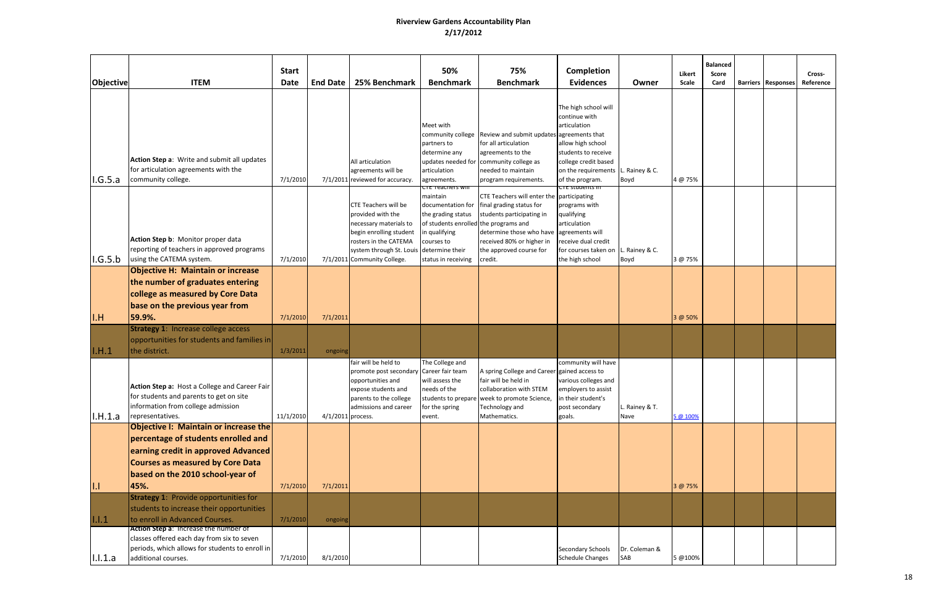| <b>Objective</b> | <b>ITEM</b>                                                                                                                                                                                                | <b>Start</b><br><b>Date</b> | <b>End Date</b>   | 25% Benchmark                                                                                                                                                                             | 50%<br><b>Benchmark</b>                                                                                                                                                         | 75%<br><b>Benchmark</b>                                                                                                                                                                                                 | <b>Completion</b><br><b>Evidences</b>                                                                                                                                              | Owner                  | Likert<br><b>Scale</b> | <b>Balanced</b><br>Score<br>Card | <b>Barriers Responses</b> | Cross-<br>Reference |
|------------------|------------------------------------------------------------------------------------------------------------------------------------------------------------------------------------------------------------|-----------------------------|-------------------|-------------------------------------------------------------------------------------------------------------------------------------------------------------------------------------------|---------------------------------------------------------------------------------------------------------------------------------------------------------------------------------|-------------------------------------------------------------------------------------------------------------------------------------------------------------------------------------------------------------------------|------------------------------------------------------------------------------------------------------------------------------------------------------------------------------------|------------------------|------------------------|----------------------------------|---------------------------|---------------------|
| I.G.5.a          | Action Step a: Write and submit all updates<br>for articulation agreements with the<br>community college.                                                                                                  | 7/1/2010                    |                   | All articulation<br>agreements will be<br>7/1/2011 reviewed for accuracy.                                                                                                                 | Meet with<br>community college<br>partners to<br>determine any<br>updates needed for<br>articulation<br>agreements.                                                             | Review and submit updates agreements that<br>for all articulation<br>agreements to the<br>community college as<br>needed to maintain<br>program requirements.                                                           | The high school will<br>continue with<br>articulation<br>allow high school<br>students to receive<br>college credit based<br>on the requirements L. Rainey & C.<br>of the program. | Boyd                   | 4 @ 75%                |                                  |                           |                     |
| I.G.5.b          | Action Step b: Monitor proper data<br>reporting of teachers in approved programs<br>using the CATEMA system.                                                                                               | 7/1/2010                    |                   | <b>CTE Teachers will be</b><br>provided with the<br>necessary materials to<br>begin enrolling student<br>rosters in the CATEMA<br>system through St. Louis<br>7/1/2011 Community College. | <u>CTE Teachers will</u><br>maintain<br>documentation for<br>the grading status<br>of students enrolled<br>n qualifying<br>courses to<br>determine their<br>status in receiving | CTE Teachers will enter the<br>final grading status for<br>students participating in<br>the programs and<br>determine those who have agreements will<br>received 80% or higher in<br>the approved course for<br>credit. | <del>UTE students in</del><br>participating<br>programs with<br>qualifying<br>articulation<br>receive dual credit<br>for courses taken on L. Rainey & C.<br>the high school        | Boyd                   | 3 @ 75%                |                                  |                           |                     |
| I.H              | <b>Objective H: Maintain or increase</b><br>the number of graduates entering<br>college as measured by Core Data<br>base on the previous year from<br>59.9%.                                               | 7/1/2010                    | 7/1/2011          |                                                                                                                                                                                           |                                                                                                                                                                                 |                                                                                                                                                                                                                         |                                                                                                                                                                                    |                        | 3 @ 50%                |                                  |                           |                     |
| I.H.1            | <b>Strategy 1: Increase college access</b><br>opportunities for students and families in<br>the district.                                                                                                  | 1/3/2011                    | ongoing           |                                                                                                                                                                                           |                                                                                                                                                                                 |                                                                                                                                                                                                                         |                                                                                                                                                                                    |                        |                        |                                  |                           |                     |
| I.H.1.a          | Action Step a: Host a College and Career Fair<br>for students and parents to get on site<br>information from college admission<br>representatives.                                                         | 11/1/2010                   | 4/1/2011 process. | fair will be held to<br>promote post secondary<br>opportunities and<br>expose students and<br>parents to the college<br>admissions and career                                             | The College and<br>Career fair team<br>will assess the<br>needs of the<br>for the spring<br>event.                                                                              | A spring College and Career gained access to<br>fair will be held in<br>collaboration with STEM<br>students to prepare week to promote Science,<br>Technology and<br>Mathematics.                                       | community will have<br>various colleges and<br>employers to assist<br>n their student's<br>post secondary<br>goals.                                                                | L. Rainey & T.<br>Nave | 5 @ 100%               |                                  |                           |                     |
| 1.1              | <b>Objective I: Maintain or increase the</b><br>percentage of students enrolled and<br>earning credit in approved Advanced<br>Courses as measured by Core Data<br>based on the 2010 school-year of<br>45%. | 7/1/2010                    | 7/1/2011          |                                                                                                                                                                                           |                                                                                                                                                                                 |                                                                                                                                                                                                                         |                                                                                                                                                                                    |                        | 3 @ 75%                |                                  |                           |                     |
| 1.1.1            | <b>Strategy 1: Provide opportunities for</b><br>students to increase their opportunities<br>to enroll in Advanced Courses.                                                                                 | 7/1/2010                    | ongoing           |                                                                                                                                                                                           |                                                                                                                                                                                 |                                                                                                                                                                                                                         |                                                                                                                                                                                    |                        |                        |                                  |                           |                     |
| I.I.1.a          | Action Step a: Increase the number of<br>classes offered each day from six to seven<br>periods, which allows for students to enroll in<br>additional courses.                                              | 7/1/2010                    | 8/1/2010          |                                                                                                                                                                                           |                                                                                                                                                                                 |                                                                                                                                                                                                                         | <b>Secondary Schools</b><br><b>Schedule Changes</b>                                                                                                                                | Dr. Coleman &<br>SAB   | 5 @100%                |                                  |                           |                     |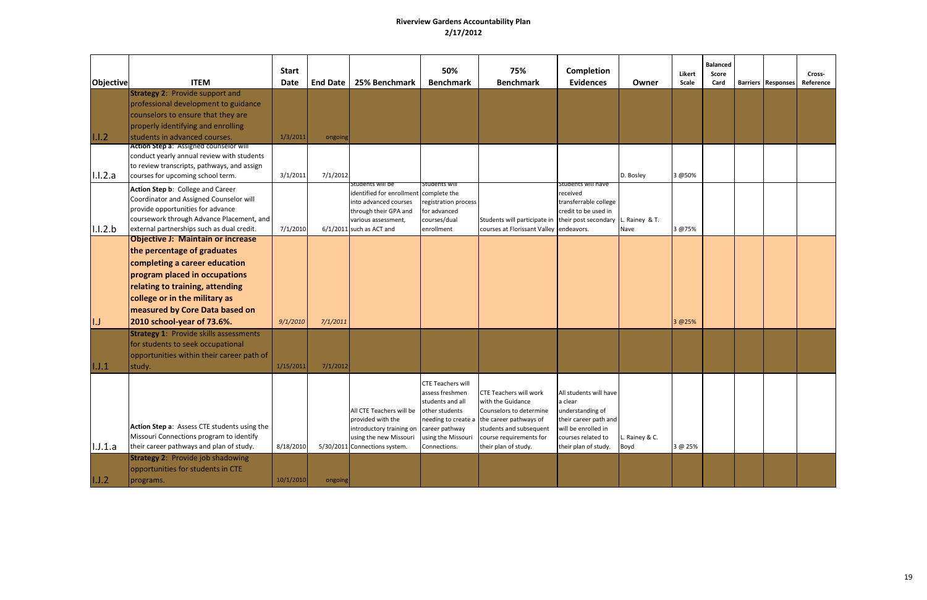|                  |                                                                                                                                                                                                                                                 | <b>Start</b>          |                      |                                                                                                                                                      | 50%                                                                                                                                | 75%                                                                                                                                                                                                       | Completion                                                                                                                                          |                        |                 | <b>Balanced</b> |                           |                     |
|------------------|-------------------------------------------------------------------------------------------------------------------------------------------------------------------------------------------------------------------------------------------------|-----------------------|----------------------|------------------------------------------------------------------------------------------------------------------------------------------------------|------------------------------------------------------------------------------------------------------------------------------------|-----------------------------------------------------------------------------------------------------------------------------------------------------------------------------------------------------------|-----------------------------------------------------------------------------------------------------------------------------------------------------|------------------------|-----------------|-----------------|---------------------------|---------------------|
| <b>Objective</b> | <b>ITEM</b>                                                                                                                                                                                                                                     | <b>Date</b>           | <b>End Date</b>      | 25% Benchmark                                                                                                                                        | <b>Benchmark</b>                                                                                                                   | <b>Benchmark</b>                                                                                                                                                                                          | <b>Evidences</b>                                                                                                                                    | Owner                  | Likert<br>Scale | Score<br>Card   | <b>Barriers Responses</b> | Cross-<br>Reference |
|                  | <b>Strategy 2: Provide support and</b><br>professional development to guidance<br>counselors to ensure that they are<br>properly identifying and enrolling                                                                                      |                       |                      |                                                                                                                                                      |                                                                                                                                    |                                                                                                                                                                                                           |                                                                                                                                                     |                        |                 |                 |                           |                     |
| $ 1.1.2\rangle$  | students in advanced courses.<br><b>Action Step a: Assigned counselor will</b>                                                                                                                                                                  | 1/3/2011              | ongoing              |                                                                                                                                                      |                                                                                                                                    |                                                                                                                                                                                                           |                                                                                                                                                     |                        |                 |                 |                           |                     |
| 1.1.2.a          | conduct yearly annual review with students<br>to review transcripts, pathways, and assign<br>courses for upcoming school term.                                                                                                                  | 3/1/2011              | 7/1/2012             |                                                                                                                                                      |                                                                                                                                    |                                                                                                                                                                                                           |                                                                                                                                                     | D. Bosley              | 3 @50%          |                 |                           |                     |
| 1.1.2.b          | Action Step b: College and Career<br>Coordinator and Assigned Counselor will<br>provide opportunities for advance<br>coursework through Advance Placement, and<br>external partnerships such as dual credit.                                    | 7/1/2010              |                      | students will be<br>identified for enrollment<br>into advanced courses<br>through their GPA and<br>various assessment,<br>$6/1/2011$ such as ACT and | Students will<br>complete the<br>registration process<br>for advanced<br>courses/dual<br>enrollment                                | Students will participate in their post secondary<br>courses at Florissant Valley endeavors.                                                                                                              | Students will have<br>received<br>transferrable college<br>credit to be used in                                                                     | L. Rainey & T.<br>Nave | 3 @75%          |                 |                           |                     |
|                  | <b>Objective J: Maintain or increase</b><br>the percentage of graduates<br>completing a career education<br>program placed in occupations<br>relating to training, attending<br>college or in the military as<br>measured by Core Data based on |                       |                      |                                                                                                                                                      |                                                                                                                                    |                                                                                                                                                                                                           |                                                                                                                                                     |                        |                 |                 |                           |                     |
| I.J<br> I.J.1    | 2010 school-year of 73.6%.<br><b>Strategy 1: Provide skills assessments</b><br>for students to seek occupational<br>opportunities within their career path of<br>study.                                                                         | 9/1/2010<br>1/15/2011 | 7/1/2011<br>7/1/2012 |                                                                                                                                                      |                                                                                                                                    |                                                                                                                                                                                                           |                                                                                                                                                     |                        | 3 @25%          |                 |                           |                     |
| I.J.1.a          | Action Step a: Assess CTE students using the<br>Missouri Connections program to identify<br>their career pathways and plan of study.                                                                                                            | 8/18/2010             |                      | All CTE Teachers will be<br>provided with the<br>introductory training on<br>using the new Missouri<br>5/30/2011 Connections system.                 | CTE Teachers will<br>assess freshmen<br>students and all<br>other students<br>career pathway<br>using the Missouri<br>Connections. | <b>CTE Teachers will work</b><br>with the Guidance<br>Counselors to determine<br>needing to create a the career pathways of<br>students and subsequent<br>course requirements for<br>their plan of study. | All students will have<br>a clear<br>understanding of<br>their career path and<br>will be enrolled in<br>courses related to<br>their plan of study. | Rainey & C.<br>Boyd    | 3 @ 25%         |                 |                           |                     |
| I.J.2            | <b>Strategy 2: Provide job shadowing</b><br>opportunities for students in CTE<br>programs.                                                                                                                                                      | 10/1/2010             | ongoing              |                                                                                                                                                      |                                                                                                                                    |                                                                                                                                                                                                           |                                                                                                                                                     |                        |                 |                 |                           |                     |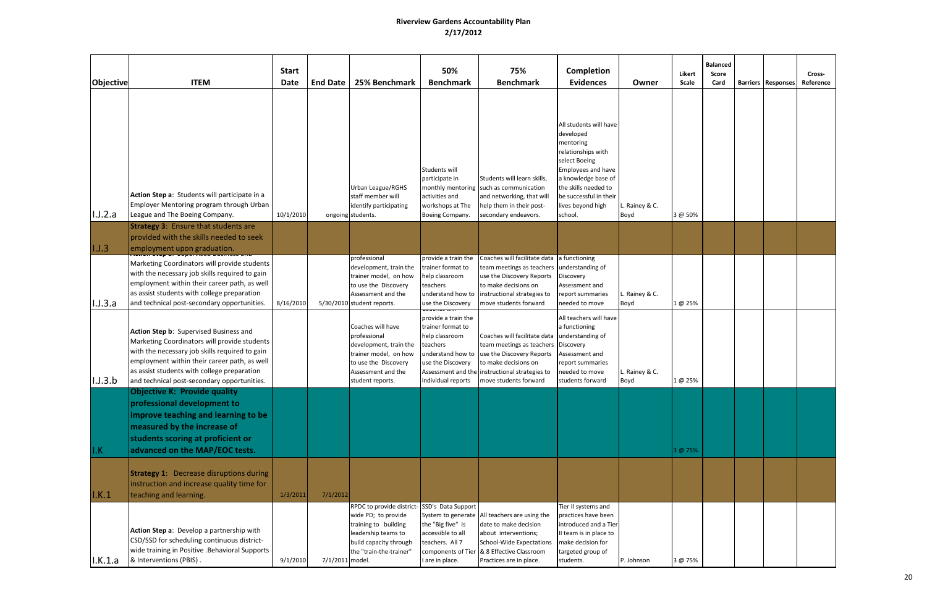| Objective          | <b>ITEM</b>                                                                                                                                                                                                                                                                            | <b>Start</b><br>Date | <b>End Date</b> | 25% Benchmark                                                                                                                                                          | 50%<br><b>Benchmark</b>                                                                                                                | 75%<br><b>Benchmark</b>                                                                                                                                                                                                | Completion<br><b>Evidences</b>                                                                                                                                                                                         | Owner                  | Likert<br>Scale | <b>Balanced</b><br>Score<br>Card | <b>Barriers Responses</b> | Cross-<br>Reference |
|--------------------|----------------------------------------------------------------------------------------------------------------------------------------------------------------------------------------------------------------------------------------------------------------------------------------|----------------------|-----------------|------------------------------------------------------------------------------------------------------------------------------------------------------------------------|----------------------------------------------------------------------------------------------------------------------------------------|------------------------------------------------------------------------------------------------------------------------------------------------------------------------------------------------------------------------|------------------------------------------------------------------------------------------------------------------------------------------------------------------------------------------------------------------------|------------------------|-----------------|----------------------------------|---------------------------|---------------------|
| I.J.2.a            | Action Step a: Students will participate in a<br>Employer Mentoring program through Urban<br>League and The Boeing Company.                                                                                                                                                            | 10/1/2010            |                 | Urban League/RGHS<br>staff member will<br>identify participating<br>ongoing students.                                                                                  | Students will<br>participate in<br>activities and<br>workshops at The<br>Boeing Company.                                               | Students will learn skills,<br>monthly mentoring such as communication<br>and networking, that will<br>help them in their post-<br>secondary endeavors.                                                                | All students will have<br>developed<br>mentoring<br>relationships with<br>select Boeing<br>Employees and have<br>a knowledge base of<br>the skills needed to<br>be successful in their<br>lives beyond high<br>school. | L. Rainey & C.<br>Boyd | 3 @ 50%         |                                  |                           |                     |
| 1.1.3              | <b>Strategy 3: Ensure that students are</b><br>provided with the skills needed to seek<br>employment upon graduation.                                                                                                                                                                  |                      |                 |                                                                                                                                                                        |                                                                                                                                        |                                                                                                                                                                                                                        |                                                                                                                                                                                                                        |                        |                 |                                  |                           |                     |
| I.J.3.a            | Marketing Coordinators will provide students<br>with the necessary job skills required to gain<br>employment within their career path, as well<br>as assist students with college preparation<br>and technical post-secondary opportunities.                                           | 8/16/2010            |                 | professional<br>development, train the<br>trainer model, on how<br>to use the Discovery<br>Assessment and the<br>5/30/2010 student reports.                            | provide a train the<br>trainer format to<br>help classroom<br>teachers<br>understand how to<br>use the Discovery                       | Coaches will facilitate data a functioning<br>team meetings as teachers understanding of<br>use the Discovery Reports<br>to make decisions on<br>instructional strategies to<br>move students forward                  | Discovery<br>Assessment and<br>report summaries<br>needed to move                                                                                                                                                      | L. Rainey & C.<br>Boyd | 1 @ 25%         |                                  |                           |                     |
| I.J.3.b            | Action Step b: Supervised Business and<br>Marketing Coordinators will provide students<br>with the necessary job skills required to gain<br>employment within their career path, as well<br>as assist students with college preparation<br>and technical post-secondary opportunities. |                      |                 | Coaches will have<br>professional<br>development, train the<br>trainer model, on how<br>to use the Discovery<br>Assessment and the<br>student reports.                 | provide a train the<br>trainer format to<br>help classroom<br>teachers<br>understand how to<br>use the Discovery<br>individual reports | Coaches will facilitate data understanding of<br>team meetings as teachers   Discovery<br>use the Discovery Reports<br>to make decisions on<br>Assessment and the instructional strategies to<br>move students forward | All teachers will have<br>a functioning<br>Assessment and<br>report summaries<br>needed to move<br>students forward                                                                                                    | L. Rainey & C.<br>Boyd | 1 @ 25%         |                                  |                           |                     |
| I.K                | <b>Objective K: Provide quality</b><br>professional development to<br>improve teaching and learning to be<br>measured by the increase of<br>students scoring at proficient or<br>advanced on the MAP/EOC tests.                                                                        |                      |                 |                                                                                                                                                                        |                                                                                                                                        |                                                                                                                                                                                                                        |                                                                                                                                                                                                                        |                        | 3 @ 75%         |                                  |                           |                     |
| I.K.1              | <b>Strategy 1:</b> Decrease disruptions during<br>instruction and increase quality time for<br>teaching and learning.                                                                                                                                                                  | 1/3/2011             | 7/1/2012        |                                                                                                                                                                        |                                                                                                                                        |                                                                                                                                                                                                                        |                                                                                                                                                                                                                        |                        |                 |                                  |                           |                     |
| $\mathsf{I.K.1.a}$ | Action Step a: Develop a partnership with<br>CSD/SSD for scheduling continuous district-<br>wide training in Positive .Behavioral Supports<br>& Interventions (PBIS).                                                                                                                  | 9/1/2010             | 7/1/2011 model. | RPDC to provide district-SSD's Data Support<br>wide PD; to provide<br>training to building<br>leadership teams to<br>build capacity through<br>the "train-the-trainer" | the "Big five" is<br>accessible to all<br>teachers. All 7<br>I are in place.                                                           | System to generate All teachers are using the<br>date to make decision<br>about interventions;<br><b>School-Wide Expectations</b><br>components of Tier & 8 Effective Classroom<br>Practices are in place.             | Tier II systems and<br>practices have been<br>introduced and a Tier<br>II team is in place to<br>make decision for<br>targeted group of<br>students.                                                                   | P. Johnson             | 3 @ 75%         |                                  |                           |                     |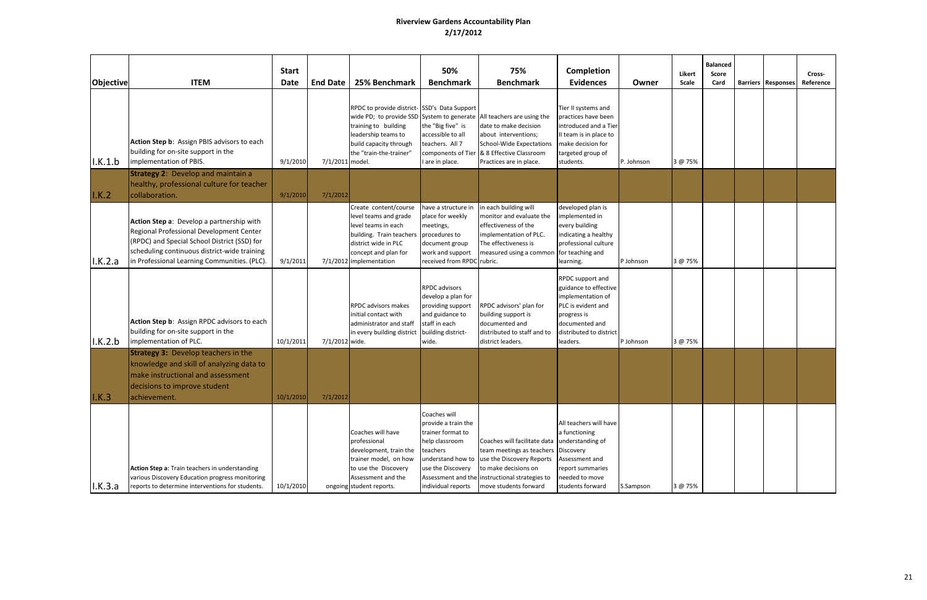| Objective       | <b>ITEM</b>                                                                                                                                                                                                                           | <b>Start</b><br>Date | <b>End Date</b> | 25% Benchmark                                                                                                                                                               | 50%<br><b>Benchmark</b>                                                                                                                                | 75%<br><b>Benchmark</b>                                                                                                                                                                                                | Completion<br><b>Evidences</b>                                                                                                                               | Owner      | Likert<br>Scale | <b>Balanced</b><br>Score<br>Card | <b>Barriers   Responses</b> | Cross-<br>Reference |
|-----------------|---------------------------------------------------------------------------------------------------------------------------------------------------------------------------------------------------------------------------------------|----------------------|-----------------|-----------------------------------------------------------------------------------------------------------------------------------------------------------------------------|--------------------------------------------------------------------------------------------------------------------------------------------------------|------------------------------------------------------------------------------------------------------------------------------------------------------------------------------------------------------------------------|--------------------------------------------------------------------------------------------------------------------------------------------------------------|------------|-----------------|----------------------------------|-----------------------------|---------------------|
| I.K.1.b         | Action Step b: Assign PBIS advisors to each<br>building for on-site support in the<br>implementation of PBIS.                                                                                                                         | 9/1/2010             | 7/1/2011 model. | RPDC to provide district-SSD's Data Support<br>training to building<br>leadership teams to<br>build capacity through<br>the "train-the-trainer"                             | the "Big five" is<br>accessible to all<br>teachers. All 7<br>components of Tier<br>I are in place.                                                     | wide PD; to provide SSD System to generate All teachers are using the<br>date to make decision<br>about interventions;<br><b>School-Wide Expectations</b><br>& 8 Effective Classroom<br>Practices are in place.        | Tier II systems and<br>practices have been<br>introduced and a Tier<br>II team is in place to<br>make decision for<br>targeted group of<br>students.         | P. Johnson | 3 @ 75%         |                                  |                             |                     |
| I.K.2           | <b>Strategy 2: Develop and maintain a</b><br>healthy, professional culture for teacher<br>collaboration.                                                                                                                              | 9/1/2010             | 7/1/2012        |                                                                                                                                                                             |                                                                                                                                                        |                                                                                                                                                                                                                        |                                                                                                                                                              |            |                 |                                  |                             |                     |
| I.K.2.a         | Action Step a: Develop a partnership with<br>Regional Professional Development Center<br>(RPDC) and Special School District (SSD) for<br>scheduling continuous district-wide training<br>in Professional Learning Communities. (PLC). | 9/1/2011             |                 | Create content/course<br>level teams and grade<br>evel teams in each<br>building. Train teachers<br>district wide in PLC<br>concept and plan for<br>7/1/2012 implementation | have a structure in<br>place for weekly<br>meetings,<br>procedures to<br>document group<br>work and support<br>received from RPDC                      | in each building will<br>monitor and evaluate the<br>effectiveness of the<br>implementation of PLC.<br>The effectiveness is<br>measured using a common for teaching and<br>rubric.                                     | developed plan is<br>implemented in<br>every building<br>indicating a healthy<br>professional culture<br>learning.                                           | P Johnson  | 3 @ 75%         |                                  |                             |                     |
| $\vert$ l.K.2.b | Action Step b: Assign RPDC advisors to each<br>building for on-site support in the<br>implementation of PLC.                                                                                                                          | 10/1/2011            | 7/1/2012 wide.  | <b>RPDC</b> advisors makes<br>initial contact with<br>administrator and staff<br>in every building district                                                                 | <b>RPDC</b> advisors<br>develop a plan for<br>providing support<br>and guidance to<br>staff in each<br>building district-<br>wide.                     | RPDC advisors' plan for<br>building support is<br>documented and<br>distributed to staff and to<br>district leaders.                                                                                                   | RPDC support and<br>guidance to effective<br>implementation of<br>PLC is evident and<br>progress is<br>documented and<br>distributed to district<br>leaders. | P Johnson  | 3 @ 75%         |                                  |                             |                     |
| $\vert$ I.K.3   | <b>Strategy 3: Develop teachers in the</b><br>knowledge and skill of analyzing data to<br>make instructional and assessment<br>decisions to improve student<br>achievement.                                                           | 10/1/2010            | 7/1/2012        |                                                                                                                                                                             |                                                                                                                                                        |                                                                                                                                                                                                                        |                                                                                                                                                              |            |                 |                                  |                             |                     |
| I.K.3.a         | Action Step a: Train teachers in understanding<br>various Discovery Education progress monitoring<br>reports to determine interventions for students.                                                                                 | 10/1/2010            |                 | Coaches will have<br>professional<br>development, train the<br>trainer model, on how<br>to use the Discovery<br>Assessment and the<br>ongoing student reports.              | Coaches will<br>provide a train the<br>trainer format to<br>help classroom<br>teachers<br>understand how to<br>use the Discovery<br>individual reports | Coaches will facilitate data understanding of<br>team meetings as teachers   Discovery<br>use the Discovery Reports<br>to make decisions on<br>Assessment and the instructional strategies to<br>move students forward | All teachers will have<br>a functioning<br>Assessment and<br>report summaries<br>needed to move<br>students forward                                          | S.Sampson  | 3 @ 75%         |                                  |                             |                     |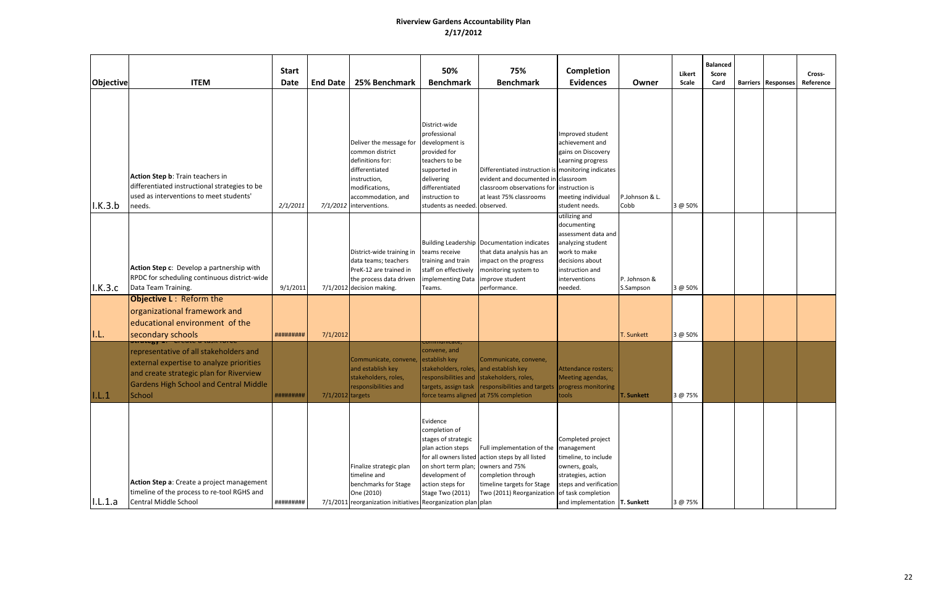| Objective       | <b>ITEM</b>                                                                                                                                                                                                                       | <b>Start</b><br><b>Date</b> | <b>End Date</b>    | 25% Benchmark                                                                                                                                                       | 50%<br><b>Benchmark</b>                                                                                                                                                              | 75%<br><b>Benchmark</b>                                                                                                                                                                       | Completion<br><b>Evidences</b>                                                                                                                             | Owner                     | Likert<br>Scale | <b>Balanced</b><br>Score<br>Card | <b>Barriers Responses</b> | Cross-<br>Reference |
|-----------------|-----------------------------------------------------------------------------------------------------------------------------------------------------------------------------------------------------------------------------------|-----------------------------|--------------------|---------------------------------------------------------------------------------------------------------------------------------------------------------------------|--------------------------------------------------------------------------------------------------------------------------------------------------------------------------------------|-----------------------------------------------------------------------------------------------------------------------------------------------------------------------------------------------|------------------------------------------------------------------------------------------------------------------------------------------------------------|---------------------------|-----------------|----------------------------------|---------------------------|---------------------|
| $\vert$ l.K.3.b | Action Step b: Train teachers in<br>differentiated instructional strategies to be<br>used as interventions to meet students'<br>needs.                                                                                            | 2/1/2011                    |                    | Deliver the message for<br>common district<br>definitions for:<br>differentiated<br>instruction,<br>modifications,<br>accommodation, and<br>7/1/2012 interventions. | District-wide<br>professional<br>development is<br>provided for<br>teachers to be<br>supported in<br>delivering<br>differentiated<br>instruction to<br>students as needed. observed. | Differentiated instruction is monitoring indicates<br>evident and documented in classroom<br>classroom observations for instruction is<br>at least 75% classrooms                             | Improved student<br>achievement and<br>gains on Discovery<br>Learning progress<br>meeting individual<br>student needs.                                     | P.Johnson & L.<br>Cobb    | 3 @ 50%         |                                  |                           |                     |
| I.K.3.c         | Action Step c: Develop a partnership with<br>RPDC for scheduling continuous district-wide<br>Data Team Training.                                                                                                                  | 9/1/2011                    |                    | District-wide training in<br>data teams; teachers<br>PreK-12 are trained in<br>the process data driven<br>7/1/2012 decision making.                                 | teams receive<br>training and train<br>staff on effectively<br>implementing Data<br>Teams.                                                                                           | Building Leadership   Documentation indicates<br>that data analysis has an<br>impact on the progress<br>monitoring system to<br>improve student<br>performance.                               | utilizing and<br>documenting<br>assessment data and<br>analyzing student<br>work to make<br>decisions about<br>instruction and<br>interventions<br>needed. | P. Johnson &<br>S.Sampson | 3 @ 50%         |                                  |                           |                     |
| II.L.           | <b>Objective L: Reform the</b><br>organizational framework and<br>educational environment of the<br>secondary schools                                                                                                             | #########                   | 7/1/2012           |                                                                                                                                                                     |                                                                                                                                                                                      |                                                                                                                                                                                               |                                                                                                                                                            | T. Sunkett                | 3 @ 50%         |                                  |                           |                     |
| 1,L,1           | <b>TURESY 2. Create a task</b><br>representative of all stakeholders and<br>external expertise to analyze priorities<br>and create strategic plan for Riverview<br><b>Gardens High School and Central Middle</b><br><b>School</b> | ##########                  | $7/1/2012$ targets | Communicate, convene,<br>and establish key<br>stakeholders, roles,<br>responsibilities and                                                                          | <del>ommunicate</del><br>convene, and<br>establish key<br>stakeholders, roles, and establish key<br>responsibilities and<br>force teams aligned at 75% completion                    | Communicate, convene,<br>stakeholders, roles,<br>targets, assign task   responsibilities and targets   progress monitoring                                                                    | Attendance rosters;<br>Meeting agendas,<br>tools                                                                                                           | <b>T. Sunkett</b>         | 3 @ 75%         |                                  |                           |                     |
| I.L.1.a         | Action Step a: Create a project management<br>timeline of the process to re-tool RGHS and<br>Central Middle School                                                                                                                | #########                   |                    | Finalize strategic plan<br>timeline and<br>benchmarks for Stage<br>One (2010)<br>7/1/2011 reorganization initiatives Reorganization plan plan                       | Evidence<br>completion of<br>stages of strategic<br>plan action steps<br>on short term plan; owners and 75%<br>development of<br>action steps for<br>Stage Two (2011)                | Full implementation of the management<br>for all owners listed action steps by all listed<br>completion through<br>timeline targets for Stage<br>Two (2011) Reorganization of task completion | Completed project<br>timeline, to include<br>owners, goals,<br>strategies, action<br>steps and verification<br>and implementation T. Sunkett               |                           | 3 @ 75%         |                                  |                           |                     |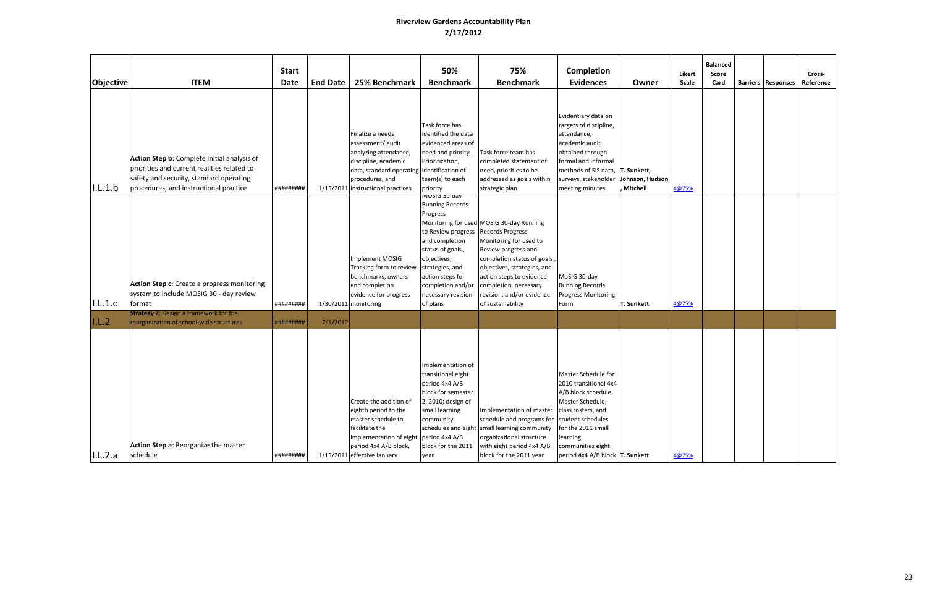| <b>Objective</b>   | <b>ITEM</b>                                                                                                                                                                     | <b>Start</b><br>Date   | <b>End Date</b> | 25% Benchmark                                                                                                                                                                               | 50%<br><b>Benchmark</b>                                                                                                                                                                                                      | 75%<br><b>Benchmark</b>                                                                                                                                                                                                                                        | Completion<br><b>Evidences</b>                                                                                                                                                                           | Owner                       | Likert<br>Scale | <b>Balanced</b><br>Score<br>Card | <b>Barriers   Responses</b> | Cross-<br>Reference |
|--------------------|---------------------------------------------------------------------------------------------------------------------------------------------------------------------------------|------------------------|-----------------|---------------------------------------------------------------------------------------------------------------------------------------------------------------------------------------------|------------------------------------------------------------------------------------------------------------------------------------------------------------------------------------------------------------------------------|----------------------------------------------------------------------------------------------------------------------------------------------------------------------------------------------------------------------------------------------------------------|----------------------------------------------------------------------------------------------------------------------------------------------------------------------------------------------------------|-----------------------------|-----------------|----------------------------------|-----------------------------|---------------------|
| I.L.1.b            | Action Step b: Complete initial analysis of<br>priorities and current realities related to<br>safety and security, standard operating<br>procedures, and instructional practice | #########              |                 | Finalize a needs<br>assessment/audit<br>analyzing attendance,<br>discipline, academic<br>data, standard operating identification of<br>procedures, and<br>1/15/2011 instructional practices | Task force has<br>identified the data<br>evidenced areas of<br>need and priority.<br>Prioritization,<br>team(s) to each<br>priority<br>γוס-טכ טוכטואו                                                                        | Task force team has<br>completed statement of<br>need, priorities to be<br>addressed as goals within<br>strategic plan                                                                                                                                         | Evidentiary data on<br>targets of discipline,<br>attendance,<br>academic audit<br>obtained through<br>formal and informal<br>methods of SIS data, T. Sunkett,<br>surveys, stakeholder<br>meeting minutes | Johnson, Hudson<br>Mitchell | 4@75%           |                                  |                             |                     |
| I.L.1.c            | Action Step c: Create a progress monitoring<br>system to include MOSIG 30 - day review<br><b>format</b>                                                                         | #########              |                 | Implement MOSIG<br>Tracking form to review<br>benchmarks, owners<br>and completion<br>evidence for progress<br>1/30/2011 monitoring                                                         | <b>Running Records</b><br>Progress<br>to Review progress Records Progress<br>and completion<br>status of goals,<br>objectives,<br>strategies, and<br>action steps for<br>completion and/or<br>necessary revision<br>of plans | Monitoring for used MOSIG 30-day Running<br>Monitoring for used to<br>Review progress and<br>completion status of goals,<br>objectives, strategies, and<br>action steps to evidence<br>completion, necessary<br>revision, and/or evidence<br>of sustainability | MoSIG 30-day<br><b>Running Records</b><br><b>Progress Monitoring</b><br>Form                                                                                                                             | <b>T. Sunkett</b>           | 4@75%           |                                  |                             |                     |
| I.L.2 <br> I.L.2.a | <b>Strategy 2: Design a framework for the</b><br>reorganization of school-wide structures<br>Action Step a: Reorganize the master<br>schedule                                   | #########<br>######### | 7/1/2012        | Create the addition of<br>eighth period to the<br>master schedule to<br>facilitate the<br>implementation of eight<br>period 4x4 A/B block,<br>1/15/2011 effective January                   | Implementation of<br>transitional eight<br>period 4x4 A/B<br>block for semester<br>2, 2010; design of<br>small learning<br>community<br>schedules and eight<br>period 4x4 A/B<br>block for the 2011<br>year                  | Implementation of master class rosters, and<br>schedule and programs for student schedules<br>small learning community<br>organizational structure<br>with eight period 4x4 A/B<br>block for the 2011 year                                                     | Master Schedule for<br>2010 transitional 4x4<br>A/B block schedule;<br>Master Schedule,<br>for the 2011 small<br>learning<br>communities eight<br>period 4x4 A/B block T. Sunkett                        |                             | 4@75%           |                                  |                             |                     |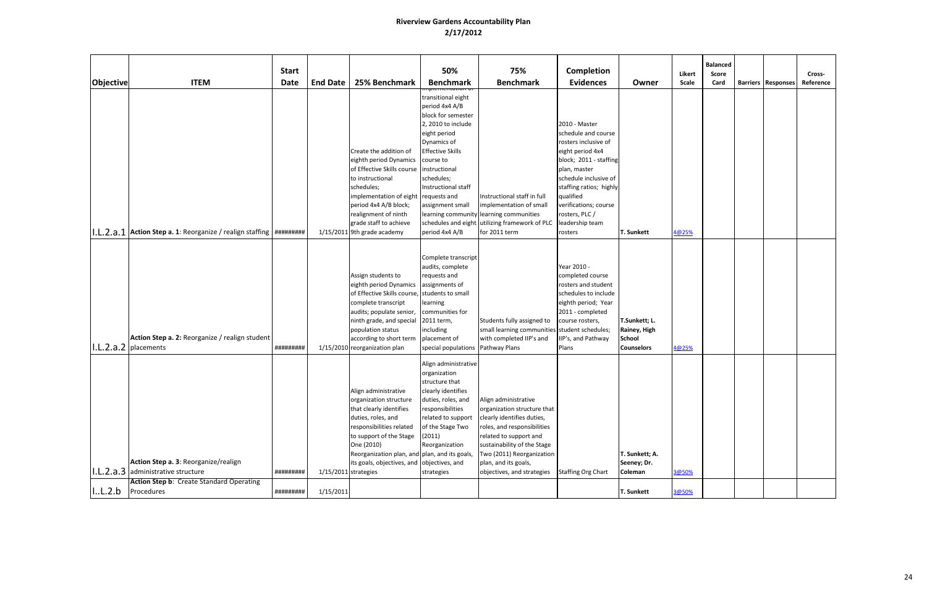|                                      |                                                                                                                               | <b>Start</b> |                        |                                                                                                                                                                                                                                                                     | 50%                                                                                                                                                                                                                                                                                        | 75%                                                                                                                                                                                                                                                          | Completion                                                                                                                                                                                                                                                           |                                                                     | Likert | <b>Balanced</b><br>Score |                           | Cross-    |
|--------------------------------------|-------------------------------------------------------------------------------------------------------------------------------|--------------|------------------------|---------------------------------------------------------------------------------------------------------------------------------------------------------------------------------------------------------------------------------------------------------------------|--------------------------------------------------------------------------------------------------------------------------------------------------------------------------------------------------------------------------------------------------------------------------------------------|--------------------------------------------------------------------------------------------------------------------------------------------------------------------------------------------------------------------------------------------------------------|----------------------------------------------------------------------------------------------------------------------------------------------------------------------------------------------------------------------------------------------------------------------|---------------------------------------------------------------------|--------|--------------------------|---------------------------|-----------|
| <b>Objective</b>                     | <b>ITEM</b>                                                                                                                   | <b>Date</b>  | <b>End Date</b>        | 25% Benchmark                                                                                                                                                                                                                                                       | <b>Benchmark</b>                                                                                                                                                                                                                                                                           | <b>Benchmark</b>                                                                                                                                                                                                                                             | <b>Evidences</b>                                                                                                                                                                                                                                                     | Owner                                                               | Scale  | Card                     | <b>Barriers Responses</b> | Reference |
|                                      | .L.2.a.1 Action Step a. 1: Reorganize / realign staffing   #########                                                          |              |                        | Create the addition of<br>eighth period Dynamics<br>of Effective Skills course<br>to instructional<br>schedules;<br>implementation of eight<br>period 4x4 A/B block;<br>realignment of ninth<br>grade staff to achieve<br>1/15/2011 9th grade academy               | transitional eight<br>period 4x4 A/B<br>block for semester<br>2, 2010 to include<br>eight period<br>Dynamics of<br><b>Effective Skills</b><br>course to<br>instructional<br>schedules;<br>Instructional staff<br>requests and<br>assignment small<br>schedules and eight<br>period 4x4 A/B | Instructional staff in full<br>implementation of small<br>learning community learning communities<br>utilizing framework of PLC<br>for 2011 term                                                                                                             | 2010 - Master<br>schedule and course<br>rosters inclusive of<br>eight period 4x4<br>block; 2011 - staffing<br>plan, master<br>schedule inclusive of<br>staffing ratios; highly<br>qualified<br>verifications; course<br>rosters, PLC /<br>leadership team<br>rosters | T. Sunkett                                                          | 4@25%  |                          |                           |           |
| $\vert$ l.L.2.a.2 $\vert$ placements | Action Step a. 2: Reorganize / realign student                                                                                | #########    |                        | Assign students to<br>eighth period Dynamics<br>of Effective Skills course, students to small<br>complete transcript<br>audits; populate senior,<br>ninth grade, and special<br>population status<br>according to short term<br>1/15/2010 reorganization plan       | Complete transcript<br>audits, complete<br>requests and<br>assignments of<br>learning<br>communities for<br>2011 term,<br>including<br>placement of<br>special populations Pathway Plans                                                                                                   | Students fully assigned to<br>small learning communities student schedules;<br>with completed IIP's and                                                                                                                                                      | Year 2010 -<br>completed course<br>rosters and student<br>schedules to include<br>eighth period; Year<br>2011 - completed<br>course rosters,<br>IIP's, and Pathway<br>Plans                                                                                          | T.Sunkett; L.<br>Rainey, High<br><b>School</b><br><b>Counselors</b> | 4@25%  |                          |                           |           |
|                                      | Action Step a. 3: Reorganize/realign<br>1.L.2.a.3 administrative structure<br><b>Action Step b: Create Standard Operating</b> | #########    | $1/15/2011$ strategies | Align administrative<br>organization structure<br>that clearly identifies<br>duties, roles, and<br>responsibilities related<br>to support of the Stage<br>One (2010)<br>Reorganization plan, and plan, and its goals,<br>its goals, objectives, and objectives, and | Align administrative<br>organization<br>structure that<br>clearly identifies<br>duties, roles, and<br>responsibilities<br>related to support<br>of the Stage Two<br>(2011)<br>Reorganization<br>strategies                                                                                 | Align administrative<br>organization structure that<br>clearly identifies duties,<br>roles, and responsibilities<br>related to support and<br>sustainability of the Stage<br>Two (2011) Reorganization<br>plan, and its goals,<br>objectives, and strategies | <b>Staffing Org Chart</b>                                                                                                                                                                                                                                            | T. Sunkett; A.<br>Seeney; Dr.<br>Coleman                            | 3@50%  |                          |                           |           |
| 1.L.2.b                              | Procedures                                                                                                                    | #########    | 1/15/2011              |                                                                                                                                                                                                                                                                     |                                                                                                                                                                                                                                                                                            |                                                                                                                                                                                                                                                              |                                                                                                                                                                                                                                                                      | <b>T. Sunkett</b>                                                   | 3@50%  |                          |                           |           |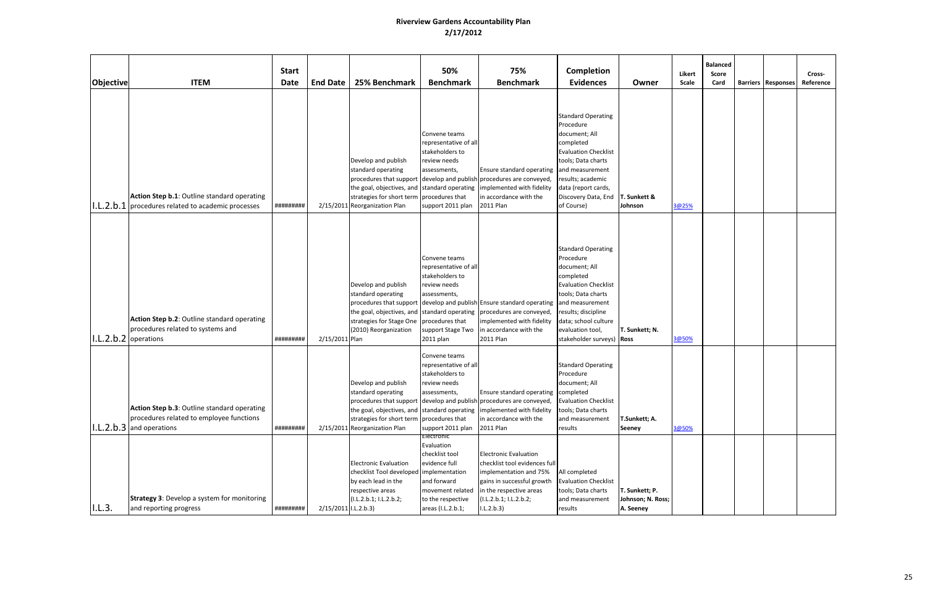| Objective | <b>ITEM</b>                                                                                                             | <b>Start</b><br><b>Date</b> | <b>End Date</b>      | 25% Benchmark                                                                                                                                          | 50%<br><b>Benchmark</b>                                                                                                                                    | 75%<br><b>Benchmark</b>                                                                                                                                                                                                            | Completion<br><b>Evidences</b>                                                                                                                                                                                            | Owner                                            | Likert<br>Scale | <b>Balanced</b><br>Score<br>Card | <b>Barriers Responses</b> | Cross-<br>Reference |
|-----------|-------------------------------------------------------------------------------------------------------------------------|-----------------------------|----------------------|--------------------------------------------------------------------------------------------------------------------------------------------------------|------------------------------------------------------------------------------------------------------------------------------------------------------------|------------------------------------------------------------------------------------------------------------------------------------------------------------------------------------------------------------------------------------|---------------------------------------------------------------------------------------------------------------------------------------------------------------------------------------------------------------------------|--------------------------------------------------|-----------------|----------------------------------|---------------------------|---------------------|
|           | Action Step b.1: Outline standard operating<br>$1.1.2.$ b.1 procedures related to academic processes                    | #########                   |                      | Develop and publish<br>standard operating<br>strategies for short term<br>2/15/2011 Reorganization Plan                                                | Convene teams<br>representative of all<br>stakeholders to<br>review needs<br>assessments,<br>procedures that<br>support 2011 plan                          | Ensure standard operating and measurement<br>procedures that support develop and publish procedures are conveyed,<br>the goal, objectives, and standard operating implemented with fidelity<br>in accordance with the<br>2011 Plan | <b>Standard Operating</b><br>Procedure<br>document; All<br>completed<br><b>Evaluation Checklist</b><br>tools; Data charts<br>results; academic<br>data (report cards,<br>Discovery Data, End<br>of Course)                | T. Sunkett &<br>Johnson                          | 3@25%           |                                  |                           |                     |
|           | Action Step b.2: Outline standard operating<br>procedures related to systems and<br>I.L.2.b.2 operations                | #########                   | 2/15/2011 Plan       | Develop and publish<br>standard operating<br>procedures that support<br>the goal, objectives, and<br>strategies for Stage One<br>(2010) Reorganization | Convene teams<br>representative of all<br>stakeholders to<br>review needs<br>assessments,<br>procedures that<br>support Stage Two<br>2011 plan             | develop and publish Ensure standard operating and measurement<br>standard operating procedures are conveyed,<br>implemented with fidelity<br>in accordance with the<br>2011 Plan                                                   | <b>Standard Operating</b><br>Procedure<br>document; All<br>completed<br><b>Evaluation Checklist</b><br>tools; Data charts<br>results; discipline<br>data; school culture<br>evaluation tool,<br>stakeholder surveys) Ross | T. Sunkett; N.                                   | 3@50%           |                                  |                           |                     |
|           | Action Step b.3: Outline standard operating<br>procedures related to employee functions<br>$ 1.L.2.b.3 $ and operations | #########                   |                      | Develop and publish<br>standard operating<br>strategies for short term<br>2/15/2011 Reorganization Plan                                                | Convene teams<br>representative of all<br>stakeholders to<br>review needs<br>assessments,<br>procedures that<br>support 2011 plan                          | Ensure standard operating completed<br>procedures that support develop and publish procedures are conveyed,<br>the goal, objectives, and standard operating implemented with fidelity<br>in accordance with the<br>2011 Plan       | <b>Standard Operating</b><br>Procedure<br>document; All<br><b>Evaluation Checklist</b><br>tools; Data charts<br>and measurement<br>results                                                                                | T.Sunkett; A.<br><b>Seeney</b>                   | 3@50%           |                                  |                           |                     |
| I.L.3.    | <b>Strategy 3: Develop a system for monitoring</b><br>and reporting progress                                            | #########                   | 2/15/2011 I.L.2.b.3) | <b>Electronic Evaluation</b><br>checklist Tool developed<br>by each lead in the<br>respective areas<br>(I.L.2.b.1; I.L.2.b.2;                          | Electronic<br>Evaluation<br>checklist tool<br>evidence full<br>implementation<br>and forward<br>movement related<br>to the respective<br>areas (I.L.2.b.1; | <b>Electronic Evaluation</b><br>checklist tool evidences full<br>implementation and 75%<br>gains in successful growth<br>in the respective areas<br>(I.L.2.b.1; I.L.2.b.2;<br>1.L.2.b.3)                                           | All completed<br><b>Evaluation Checklist</b><br>tools; Data charts<br>and measurement<br>results                                                                                                                          | T. Sunkett; P.<br>Johnson; N. Ross;<br>A. Seeney |                 |                                  |                           |                     |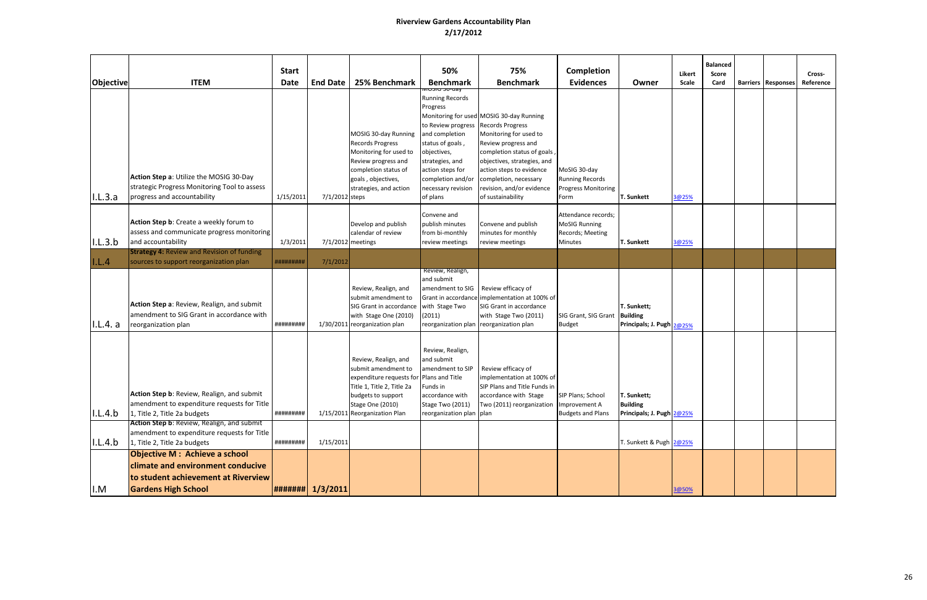|           |                                                                                                                                                                         | <b>Start</b> |                   |                                                                                                                                                                                  | 50%                                                                                                                                                                                                                          | 75%                                                                                                                                                                                                                                                                                       | <b>Completion</b>                                                                 |                                                             | Likert | <b>Balanced</b><br>Score |                           | Cross-    |
|-----------|-------------------------------------------------------------------------------------------------------------------------------------------------------------------------|--------------|-------------------|----------------------------------------------------------------------------------------------------------------------------------------------------------------------------------|------------------------------------------------------------------------------------------------------------------------------------------------------------------------------------------------------------------------------|-------------------------------------------------------------------------------------------------------------------------------------------------------------------------------------------------------------------------------------------------------------------------------------------|-----------------------------------------------------------------------------------|-------------------------------------------------------------|--------|--------------------------|---------------------------|-----------|
| Objective | <b>ITEM</b>                                                                                                                                                             | Date         | <b>End Date</b>   | 25% Benchmark                                                                                                                                                                    | <b>Benchmark</b>                                                                                                                                                                                                             | <b>Benchmark</b>                                                                                                                                                                                                                                                                          | <b>Evidences</b>                                                                  | Owner                                                       | Scale  | Card                     | <b>Barriers Responses</b> | Reference |
| I.L.3.a   | Action Step a: Utilize the MOSIG 30-Day<br>strategic Progress Monitoring Tool to assess<br>progress and accountability                                                  | 1/15/2011    | 7/1/2012 steps    | MOSIG 30-day Running<br><b>Records Progress</b><br>Monitoring for used to<br>Review progress and<br>completion status of<br>goals, objectives,<br>strategies, and action         | viosia su-uav<br><b>Running Records</b><br>Progress<br>to Review progress<br>and completion<br>status of goals,<br>objectives,<br>strategies, and<br>action steps for<br>completion and/or<br>necessary revision<br>of plans | Monitoring for used MOSIG 30-day Running<br><b>Records Progress</b><br>Monitoring for used to<br>Review progress and<br>completion status of goals,<br>objectives, strategies, and<br>action steps to evidence<br>completion, necessary<br>revision, and/or evidence<br>of sustainability | MoSIG 30-day<br><b>Running Records</b><br><b>Progress Monitoring</b><br>Form      | <b>T. Sunkett</b>                                           | 3@25%  |                          |                           |           |
| I.L.3.b   | Action Step b: Create a weekly forum to<br>assess and communicate progress monitoring<br>and accountability                                                             | 1/3/2011     |                   | Develop and publish<br>calendar of review<br>7/1/2012 meetings                                                                                                                   | Convene and<br>publish minutes<br>from bi-monthly<br>review meetings                                                                                                                                                         | Convene and publish<br>minutes for monthly<br>review meetings                                                                                                                                                                                                                             | Attendance records;<br><b>MoSIG Running</b><br>Records; Meeting<br><b>Minutes</b> | <b>T. Sunkett</b>                                           | 3@25%  |                          |                           |           |
| I.L.4     | <b>Strategy 4: Review and Revision of funding</b><br>sources to support reorganization plan                                                                             | #########    | 7/1/2012          |                                                                                                                                                                                  |                                                                                                                                                                                                                              |                                                                                                                                                                                                                                                                                           |                                                                                   |                                                             |        |                          |                           |           |
| I.L.4. a  | Action Step a: Review, Realign, and submit<br>amendment to SIG Grant in accordance with<br>reorganization plan                                                          | #########    |                   | Review, Realign, and<br>submit amendment to<br>SIG Grant in accordance<br>with Stage One (2010)<br>1/30/2011 reorganization plan                                                 | Review, Realign,<br>and submit<br>amendment to SIG<br>Grant in accordance<br>with Stage Two<br>(2011)                                                                                                                        | Review efficacy of<br>implementation at 100% of<br>SIG Grant in accordance<br>with Stage Two (2011)<br>reorganization plan reorganization plan                                                                                                                                            | SIG Grant, SIG Grant<br><b>Budget</b>                                             | T. Sunkett;<br><b>Building</b><br>Principals; J. Pugh 2@25% |        |                          |                           |           |
| I.L.4.b   | Action Step b: Review, Realign, and submit<br>amendment to expenditure requests for Title<br>1, Title 2, Title 2a budgets<br>Action Step b: Review, Realign, and submit | #########    |                   | Review, Realign, and<br>submit amendment to<br>expenditure requests for<br>Title 1, Title 2, Title 2a<br>budgets to support<br>Stage One (2010)<br>1/15/2011 Reorganization Plan | Review, Realign,<br>and submit<br>amendment to SIP<br>Plans and Title<br>Funds in<br>accordance with<br>Stage Two (2011)<br>reorganization plan plan                                                                         | Review efficacy of<br>implementation at 100% of<br>SIP Plans and Title Funds in<br>accordance with Stage<br>Two (2011) reorganization Improvement A                                                                                                                                       | SIP Plans; School<br><b>Budgets and Plans</b>                                     | T. Sunkett;<br><b>Building</b><br>Principals; J. Pugh 2@25% |        |                          |                           |           |
| I.L.4.b   | amendment to expenditure requests for Title<br>1, Title 2, Title 2a budgets                                                                                             | #########    | 1/15/2011         |                                                                                                                                                                                  |                                                                                                                                                                                                                              |                                                                                                                                                                                                                                                                                           |                                                                                   | T. Sunkett & Pugh 2@25%                                     |        |                          |                           |           |
| I.M       | <b>Objective M: Achieve a school</b><br>climate and environment conducive<br>to student achievement at Riverview<br><b>Gardens High School</b>                          |              | #######  1/3/2011 |                                                                                                                                                                                  |                                                                                                                                                                                                                              |                                                                                                                                                                                                                                                                                           |                                                                                   |                                                             | 3@50%  |                          |                           |           |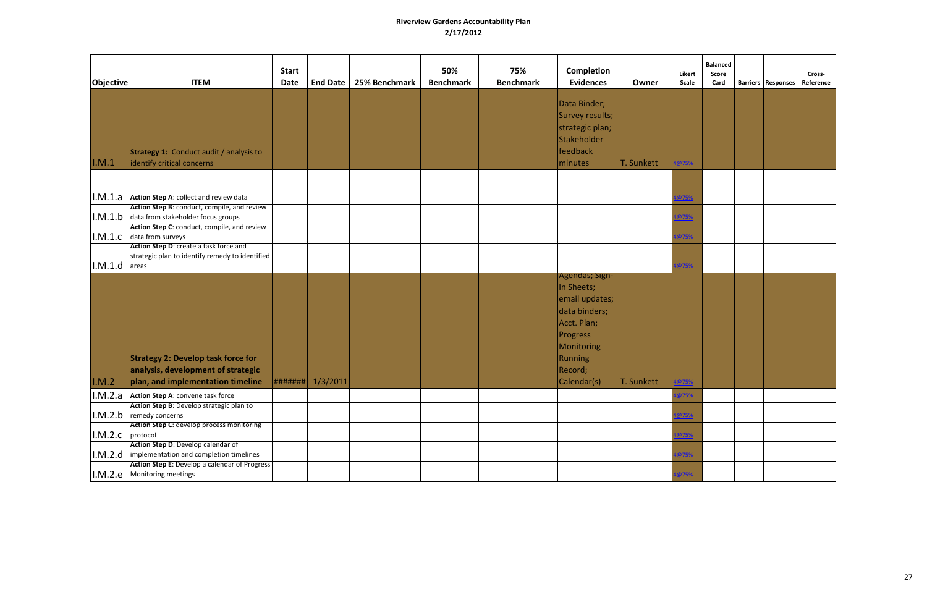| <b>Objective</b> | <b>ITEM</b>                                                                                                                                       | <b>Start</b><br>Date | <b>End Date</b> | 25% Benchmark | 50%<br><b>Benchmark</b> | 75%<br><b>Benchmark</b> | Completion<br><b>Evidences</b>                                                                                                                       | Owner      | Likert<br>Scale   | <b>Balanced</b><br>Score<br>Card | <b>Barriers   Responses</b> | Cross-<br>Reference |
|------------------|---------------------------------------------------------------------------------------------------------------------------------------------------|----------------------|-----------------|---------------|-------------------------|-------------------------|------------------------------------------------------------------------------------------------------------------------------------------------------|------------|-------------------|----------------------------------|-----------------------------|---------------------|
| I.M.1            | <b>Strategy 1: Conduct audit / analysis to</b><br>identify critical concerns                                                                      |                      |                 |               |                         |                         | Data Binder;<br>Survey results;<br>strategic plan;<br>Stakeholder<br>feedback<br><i>I</i> minutes                                                    | T. Sunkett | @75%              |                                  |                             |                     |
|                  | $\vert$ I.M.1.a $\vert$ Action Step A: collect and review data                                                                                    |                      |                 |               |                         |                         |                                                                                                                                                      |            | <mark>@75%</mark> |                                  |                             |                     |
|                  | Action Step B: conduct, compile, and review<br>$ I.M.1.b $ data from stakeholder focus groups<br>Action Step C: conduct, compile, and review      |                      |                 |               |                         |                         |                                                                                                                                                      |            | <mark>@75%</mark> |                                  |                             |                     |
| I.M.1.c          | data from surveys<br>Action Step D: create a task force and                                                                                       |                      |                 |               |                         |                         |                                                                                                                                                      |            | @75%              |                                  |                             |                     |
| I.M.1.d          | strategic plan to identify remedy to identified<br>areas                                                                                          |                      |                 |               |                         |                         |                                                                                                                                                      |            | @75%              |                                  |                             |                     |
| I.M.2            | <b>Strategy 2: Develop task force for</b><br>analysis, development of strategic<br>plan, and implementation timeline                              | #######              | 1/3/2011        |               |                         |                         | Agendas; Sign-<br>In Sheets;<br>email updates;<br>data binders;<br>Acct. Plan;<br><b>Progress</b><br>Monitoring<br>Running<br>Record;<br>Calendar(s) | T. Sunkett | @75%              |                                  |                             |                     |
|                  | I.M.2.a Action Step A: convene task force<br>Action Step B: Develop strategic plan to                                                             |                      |                 |               |                         |                         |                                                                                                                                                      |            |                   |                                  |                             |                     |
|                  | $ I.M.2.b $ remedy concerns<br>Action Step C: develop process monitoring                                                                          |                      |                 |               |                         |                         |                                                                                                                                                      |            | <mark>@75%</mark> |                                  |                             |                     |
| I.M.2.c protocol | Action Step D: Develop calendar of                                                                                                                |                      |                 |               |                         |                         |                                                                                                                                                      |            |                   |                                  |                             |                     |
|                  | $\vert$ I.M.2.d $\vert$ implementation and completion timelines<br>Action Step E: Develop a calendar of Progress<br>I.M.2.e   Monitoring meetings |                      |                 |               |                         |                         |                                                                                                                                                      |            | ง75%<br>75%       |                                  |                             |                     |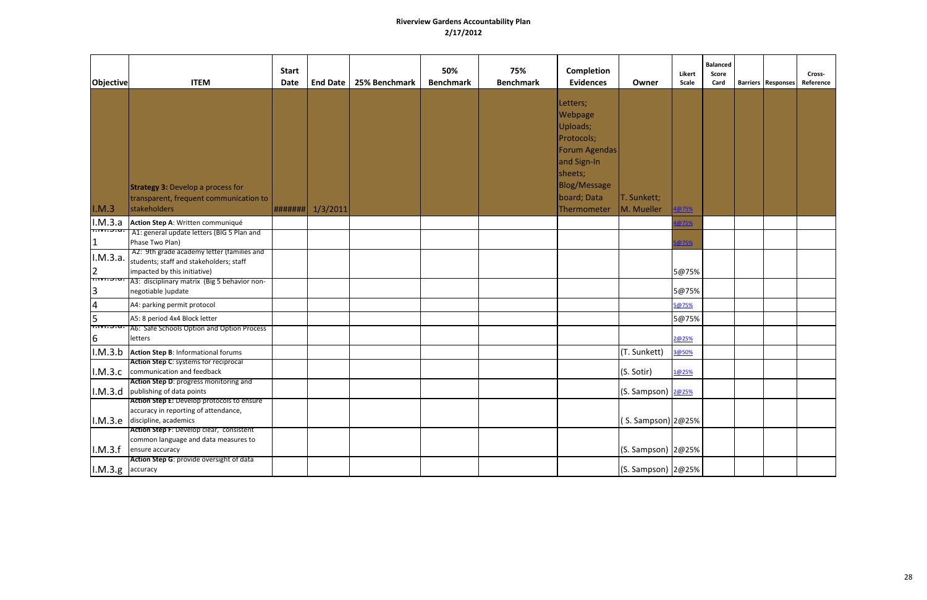| <b>Objective</b>             | <b>ITEM</b>                                                                                                                         | <b>Start</b><br><b>Date</b> | End Date | 25% Benchmark | 50%<br><b>Benchmark</b> | 75%<br><b>Benchmark</b> | <b>Completion</b><br><b>Evidences</b>                                                                                                         | Owner                     | Likert<br>Scale | <b>Balanced</b><br>Score<br>Card | <b>Barriers   Responses</b> | Cross-<br>Reference |
|------------------------------|-------------------------------------------------------------------------------------------------------------------------------------|-----------------------------|----------|---------------|-------------------------|-------------------------|-----------------------------------------------------------------------------------------------------------------------------------------------|---------------------------|-----------------|----------------------------------|-----------------------------|---------------------|
| I.M.3                        | <b>Strategy 3: Develop a process for</b><br>transparent, frequent communication to<br>stakeholders                                  | #######                     | 1/3/2011 |               |                         |                         | Letters;<br><b>Webpage</b><br>Uploads;<br>Protocols;<br>Forum Agendas<br>and Sign-In<br>sheets;<br>Blog/Message<br>board; Data<br>Thermometer | T. Sunkett;<br>M. Mueller | <u>@75%</u>     |                                  |                             |                     |
| I.M.3.a                      | Action Step A: Written communiqué                                                                                                   |                             |          |               |                         |                         |                                                                                                                                               |                           | @75%            |                                  |                             |                     |
| <mark>क्तमा उद्य</mark>      | A1: general update letters (BIG 5 Plan and<br>Phase Two Plan)                                                                       |                             |          |               |                         |                         |                                                                                                                                               |                           | @75%            |                                  |                             |                     |
| I.M.3.a.<br>2                | A2: 9th grade academy letter (families and<br>students; staff and stakeholders; staff<br>impacted by this initiative)               |                             |          |               |                         |                         |                                                                                                                                               |                           | 5@75%           |                                  |                             |                     |
| 3                            | http://www.pic.jplinary.matrix (Big 5 behavior non-<br>negotiable )update                                                           |                             |          |               |                         |                         |                                                                                                                                               |                           | 5@75%           |                                  |                             |                     |
| $\overline{4}$               | A4: parking permit protocol                                                                                                         |                             |          |               |                         |                         |                                                                                                                                               |                           | 5@75%           |                                  |                             |                     |
| 5                            | A5: 8 period 4x4 Block letter                                                                                                       |                             |          |               |                         |                         |                                                                                                                                               |                           | 5@75%           |                                  |                             |                     |
| <del>זה כ.חזה דו</del><br>16 | A6: Safe Schools Option and Option Process<br>etters                                                                                |                             |          |               |                         |                         |                                                                                                                                               |                           | 2@25%           |                                  |                             |                     |
| I.M.3.b                      | Action Step B: Informational forums                                                                                                 |                             |          |               |                         |                         |                                                                                                                                               | (T. Sunkett)              | 3@50%           |                                  |                             |                     |
|                              | Action Step C: systems for reciprocal<br>I.M.3.C communication and feedback                                                         |                             |          |               |                         |                         |                                                                                                                                               | (S. Sotir)                | 1@25%           |                                  |                             |                     |
|                              | Action Step D: progress monitoring and<br>I.M.3.d publishing of data points                                                         |                             |          |               |                         |                         |                                                                                                                                               | (S. Sampson) 2@25%        |                 |                                  |                             |                     |
|                              | Action Step E: Develop protocols to ensure<br>accuracy in reporting of attendance,<br>$\vert$ I.M.3.e $\vert$ discipline, academics |                             |          |               |                         |                         |                                                                                                                                               | (S. Sampson) 2@25%        |                 |                                  |                             |                     |
|                              | Action Step F: Develop clear, consistent<br>common language and data measures to<br>$\vert$ I.M.3.f ensure accuracy                 |                             |          |               |                         |                         |                                                                                                                                               | $(S.$ Sampson) $ 2@25% $  |                 |                                  |                             |                     |
| $ I.M.3.g $ accuracy         | Action Step G: provide oversight of data                                                                                            |                             |          |               |                         |                         |                                                                                                                                               | $(S.$ Sampson) $ 2@25% $  |                 |                                  |                             |                     |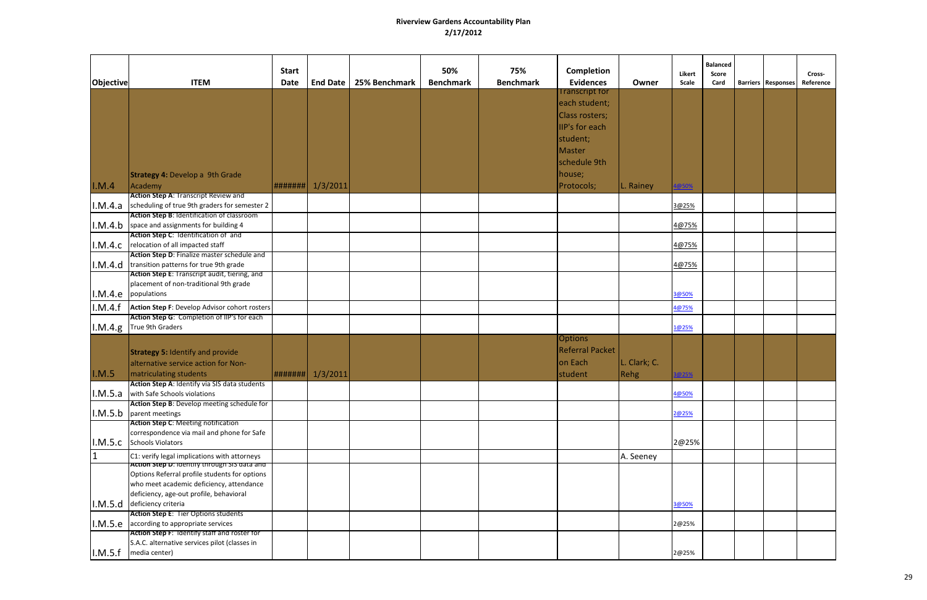| Objective | <b>ITEM</b>                                                                                             | <b>Start</b><br><b>Date</b> | <b>End Date</b> | 25% Benchmark | 50%<br><b>Benchmark</b> | 75%<br><b>Benchmark</b> | Completion<br><b>Evidences</b>                                                                                             | Owner        | Likert<br>Scale | <b>Balanced</b><br><b>Score</b><br>Card | <b>Barriers Responses</b> | Cross-<br>Reference |
|-----------|---------------------------------------------------------------------------------------------------------|-----------------------------|-----------------|---------------|-------------------------|-------------------------|----------------------------------------------------------------------------------------------------------------------------|--------------|-----------------|-----------------------------------------|---------------------------|---------------------|
|           | <b>Strategy 4: Develop a 9th Grade</b>                                                                  |                             |                 |               |                         |                         | <b>Transcript for</b><br>each student;<br>Class rosters;<br>IIP's for each<br>student;<br>Master<br>schedule 9th<br>house; |              |                 |                                         |                           |                     |
| I.M.4     | Academy                                                                                                 | #######                     | 1/3/2011        |               |                         |                         | Protocols;                                                                                                                 | L. Rainey    | @50%            |                                         |                           |                     |
|           | <b>Action Step A: Transcript Review and</b><br>$1. M.4.a$ scheduling of true 9th graders for semester 2 |                             |                 |               |                         |                         |                                                                                                                            |              | 3@25%           |                                         |                           |                     |
|           | Action Step B: Identification of classroom                                                              |                             |                 |               |                         |                         |                                                                                                                            |              |                 |                                         |                           |                     |
|           | $1. M.4.b$ space and assignments for building 4                                                         |                             |                 |               |                         |                         |                                                                                                                            |              | 4@75%           |                                         |                           |                     |
|           | Action Step C: Identification of and                                                                    |                             |                 |               |                         |                         |                                                                                                                            |              |                 |                                         |                           |                     |
| I.M.4.c   | relocation of all impacted staff<br>Action Step D: Finalize master schedule and                         |                             |                 |               |                         |                         |                                                                                                                            |              | 4@75%           |                                         |                           |                     |
| I.M.4.d   | transition patterns for true 9th grade                                                                  |                             |                 |               |                         |                         |                                                                                                                            |              | 4@75%           |                                         |                           |                     |
|           | Action Step E: Transcript audit, tiering, and                                                           |                             |                 |               |                         |                         |                                                                                                                            |              |                 |                                         |                           |                     |
|           | placement of non-traditional 9th grade                                                                  |                             |                 |               |                         |                         |                                                                                                                            |              |                 |                                         |                           |                     |
| I.M.4.e   | populations                                                                                             |                             |                 |               |                         |                         |                                                                                                                            |              | 3@50%           |                                         |                           |                     |
| I.M.4.f   | Action Step F: Develop Advisor cohort rosters                                                           |                             |                 |               |                         |                         |                                                                                                                            |              | 4@75%           |                                         |                           |                     |
| I.M.4.g.  | Action Step G: Completion of IIP's for each<br>True 9th Graders                                         |                             |                 |               |                         |                         |                                                                                                                            |              | 1@25%           |                                         |                           |                     |
|           |                                                                                                         |                             |                 |               |                         |                         | <b>Options</b>                                                                                                             |              |                 |                                         |                           |                     |
|           | <b>Strategy 5: Identify and provide</b>                                                                 |                             |                 |               |                         |                         | Referral Packet                                                                                                            |              |                 |                                         |                           |                     |
|           | alternative service action for Non-                                                                     |                             |                 |               |                         |                         | on Each                                                                                                                    | L. Clark; C. |                 |                                         |                           |                     |
| I.M.5     | matriculating students                                                                                  | #######                     | 1/3/2011        |               |                         |                         | student                                                                                                                    | <b>Rehg</b>  | @25%            |                                         |                           |                     |
|           | Action Step A: Identify via SIS data students                                                           |                             |                 |               |                         |                         |                                                                                                                            |              |                 |                                         |                           |                     |
|           | <b>I.M.5.a</b> with Safe Schools violations                                                             |                             |                 |               |                         |                         |                                                                                                                            |              | 4@50%           |                                         |                           |                     |
|           | Action Step B: Develop meeting schedule for<br>$\vert$ I.M.5.b $\vert$ parent meetings                  |                             |                 |               |                         |                         |                                                                                                                            |              | 2@25%           |                                         |                           |                     |
|           | <b>Action Step C: Meeting notification</b>                                                              |                             |                 |               |                         |                         |                                                                                                                            |              |                 |                                         |                           |                     |
|           | correspondence via mail and phone for Safe<br>I.M.5.C Schools Violators                                 |                             |                 |               |                         |                         |                                                                                                                            |              | 2@25%           |                                         |                           |                     |
| 1         | C1: verify legal implications with attorneys                                                            |                             |                 |               |                         |                         |                                                                                                                            | A. Seeney    |                 |                                         |                           |                     |
|           | Action Step D: Identify through SIS data and                                                            |                             |                 |               |                         |                         |                                                                                                                            |              |                 |                                         |                           |                     |
|           | Options Referral profile students for options                                                           |                             |                 |               |                         |                         |                                                                                                                            |              |                 |                                         |                           |                     |
|           | who meet academic deficiency, attendance                                                                |                             |                 |               |                         |                         |                                                                                                                            |              |                 |                                         |                           |                     |
|           | deficiency, age-out profile, behavioral<br>I.M.5.d deficiency criteria                                  |                             |                 |               |                         |                         |                                                                                                                            |              | 3@50%           |                                         |                           |                     |
|           | Action Step E: Tier Options students                                                                    |                             |                 |               |                         |                         |                                                                                                                            |              |                 |                                         |                           |                     |
|           | $\vert$ I.M.5.e $\vert$ according to appropriate services                                               |                             |                 |               |                         |                         |                                                                                                                            |              | 2@25%           |                                         |                           |                     |
|           | Action Step F: Identify staff and roster for                                                            |                             |                 |               |                         |                         |                                                                                                                            |              |                 |                                         |                           |                     |
|           | S.A.C. alternative services pilot (classes in                                                           |                             |                 |               |                         |                         |                                                                                                                            |              |                 |                                         |                           |                     |
| I.M.5.f   | media center)                                                                                           |                             |                 |               |                         |                         |                                                                                                                            |              | 2@25%           |                                         |                           |                     |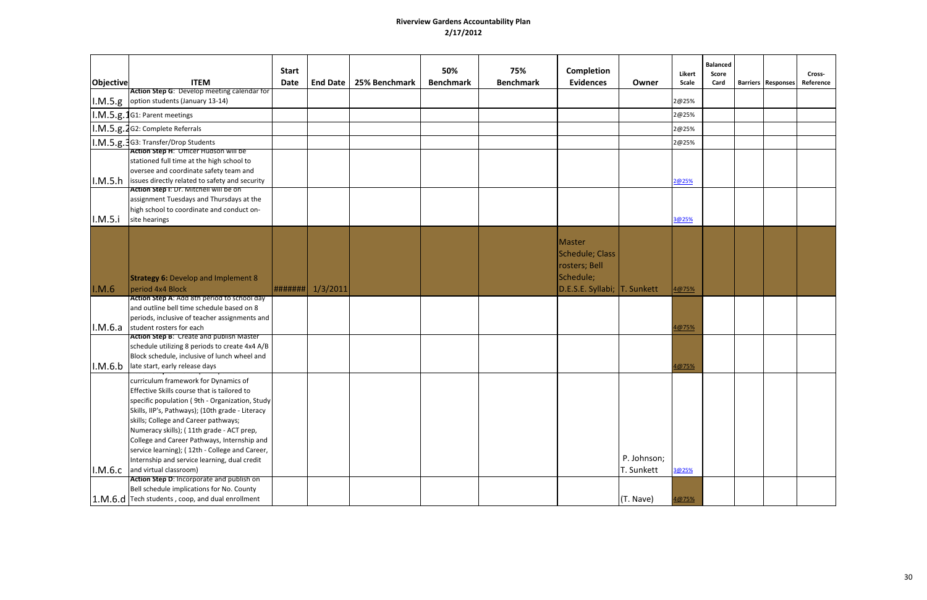|                  |                                                                                                                                                                                                                                                                                                                                                                                                                                                                   | <b>Start</b> |                 |               | 50%              | 75%              | Completion                                                                              |                           | Likert | <b>Balanced</b><br><b>Score</b> |                             | Cross-    |
|------------------|-------------------------------------------------------------------------------------------------------------------------------------------------------------------------------------------------------------------------------------------------------------------------------------------------------------------------------------------------------------------------------------------------------------------------------------------------------------------|--------------|-----------------|---------------|------------------|------------------|-----------------------------------------------------------------------------------------|---------------------------|--------|---------------------------------|-----------------------------|-----------|
| <b>Objective</b> | <b>ITEM</b><br>Action Step G: Develop meeting calendar for                                                                                                                                                                                                                                                                                                                                                                                                        | <b>Date</b>  | <b>End Date</b> | 25% Benchmark | <b>Benchmark</b> | <b>Benchmark</b> | <b>Evidences</b>                                                                        | Owner                     | Scale  | Card                            | <b>Barriers   Responses</b> | Reference |
|                  | $\vert$ I.M.5.g $\vert$ option students (January 13-14)                                                                                                                                                                                                                                                                                                                                                                                                           |              |                 |               |                  |                  |                                                                                         |                           | 2@25%  |                                 |                             |           |
|                  | I.M.5.g.1G1: Parent meetings                                                                                                                                                                                                                                                                                                                                                                                                                                      |              |                 |               |                  |                  |                                                                                         |                           | 2@25%  |                                 |                             |           |
|                  | I.M.5.g.2G2: Complete Referrals                                                                                                                                                                                                                                                                                                                                                                                                                                   |              |                 |               |                  |                  |                                                                                         |                           | 2@25%  |                                 |                             |           |
|                  | I.M.5.g.3G3: Transfer/Drop Students                                                                                                                                                                                                                                                                                                                                                                                                                               |              |                 |               |                  |                  |                                                                                         |                           | 2@25%  |                                 |                             |           |
|                  | Action Step H: Officer Hudson will be<br>stationed full time at the high school to                                                                                                                                                                                                                                                                                                                                                                                |              |                 |               |                  |                  |                                                                                         |                           |        |                                 |                             |           |
|                  | oversee and coordinate safety team and<br>$\vert$ I.M.5.h issues directly related to safety and security                                                                                                                                                                                                                                                                                                                                                          |              |                 |               |                  |                  |                                                                                         |                           | 2@25%  |                                 |                             |           |
|                  | Action Step I: Dr. Mitchell will be on<br>assignment Tuesdays and Thursdays at the                                                                                                                                                                                                                                                                                                                                                                                |              |                 |               |                  |                  |                                                                                         |                           |        |                                 |                             |           |
| I.M.5.i          | high school to coordinate and conduct on-<br>site hearings                                                                                                                                                                                                                                                                                                                                                                                                        |              |                 |               |                  |                  |                                                                                         |                           | 3@25%  |                                 |                             |           |
| I.M.6            | <b>Strategy 6: Develop and Implement 8</b><br>period 4x4 Block                                                                                                                                                                                                                                                                                                                                                                                                    | #######      | 1/3/2011        |               |                  |                  | Master<br>Schedule; Class<br>rosters; Bell<br>Schedule;<br>D.E.S.E. Syllabi; T. Sunkett |                           | 4@75%  |                                 |                             |           |
| I.M.6.a          | Action Step A: Add 8th period to school day<br>and outline bell time schedule based on 8<br>periods, inclusive of teacher assignments and<br>student rosters for each                                                                                                                                                                                                                                                                                             |              |                 |               |                  |                  |                                                                                         |                           | 4@75%  |                                 |                             |           |
| I.M.6.b          | Action Step B: Create and publish Master<br>schedule utilizing 8 periods to create 4x4 A/B<br>Block schedule, inclusive of lunch wheel and<br>late start, early release days                                                                                                                                                                                                                                                                                      |              |                 |               |                  |                  |                                                                                         |                           | 4@75%  |                                 |                             |           |
|                  | curriculum framework for Dynamics of<br>Effective Skills course that is tailored to<br>specific population (9th - Organization, Study<br>Skills, IIP's, Pathways); (10th grade - Literacy<br>skills; College and Career pathways;<br>Numeracy skills); (11th grade - ACT prep,<br>College and Career Pathways, Internship and<br>service learning); (12th - College and Career,<br>Internship and service learning, dual credit<br>I.M.6.c and virtual classroom) |              |                 |               |                  |                  |                                                                                         | P. Johnson;<br>T. Sunkett | 3@25%  |                                 |                             |           |
|                  | Action Step D: Incorporate and publish on<br>Bell schedule implications for No. County<br>1.M.6.d Tech students, coop, and dual enrollment                                                                                                                                                                                                                                                                                                                        |              |                 |               |                  |                  |                                                                                         | (T. Nave)                 | 4@75%  |                                 |                             |           |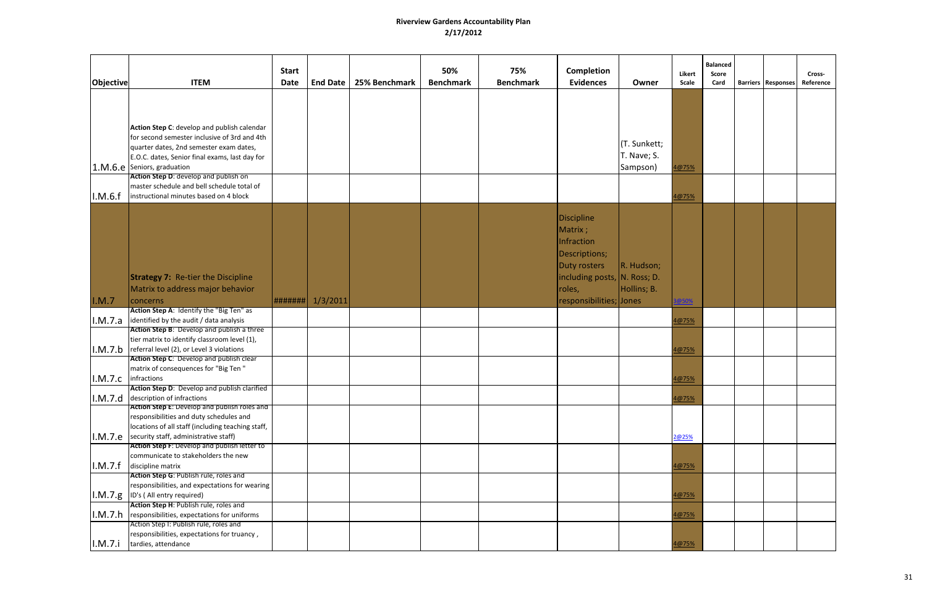| Objective | <b>ITEM</b>                                                 | <b>Start</b><br><b>Date</b> | <b>End Date</b> | 25% Benchmark | 50%<br><b>Benchmark</b> | 75%<br><b>Benchmark</b> | Completion<br><b>Evidences</b> | Owner        | Likert<br>Scale | <b>Balanced</b><br>Score<br>Card | <b>Barriers   Responses</b> | Cross-<br>Reference |
|-----------|-------------------------------------------------------------|-----------------------------|-----------------|---------------|-------------------------|-------------------------|--------------------------------|--------------|-----------------|----------------------------------|-----------------------------|---------------------|
|           |                                                             |                             |                 |               |                         |                         |                                |              |                 |                                  |                             |                     |
|           |                                                             |                             |                 |               |                         |                         |                                |              |                 |                                  |                             |                     |
|           |                                                             |                             |                 |               |                         |                         |                                |              |                 |                                  |                             |                     |
|           | Action Step C: develop and publish calendar                 |                             |                 |               |                         |                         |                                |              |                 |                                  |                             |                     |
|           | for second semester inclusive of 3rd and 4th                |                             |                 |               |                         |                         |                                |              |                 |                                  |                             |                     |
|           | quarter dates, 2nd semester exam dates,                     |                             |                 |               |                         |                         |                                | (T. Sunkett; |                 |                                  |                             |                     |
|           | E.O.C. dates, Senior final exams, last day for              |                             |                 |               |                         |                         |                                | T. Nave; S.  |                 |                                  |                             |                     |
|           | 1.M.6.e Seniors, graduation                                 |                             |                 |               |                         |                         |                                | Sampson)     | 4@75%           |                                  |                             |                     |
|           | Action Step D: develop and publish on                       |                             |                 |               |                         |                         |                                |              |                 |                                  |                             |                     |
|           | master schedule and bell schedule total of                  |                             |                 |               |                         |                         |                                |              |                 |                                  |                             |                     |
| I.M.6.f   | instructional minutes based on 4 block                      |                             |                 |               |                         |                         |                                |              | 4@75%           |                                  |                             |                     |
|           |                                                             |                             |                 |               |                         |                         |                                |              |                 |                                  |                             |                     |
|           |                                                             |                             |                 |               |                         |                         | <b>Discipline</b>              |              |                 |                                  |                             |                     |
|           |                                                             |                             |                 |               |                         |                         | Matrix;                        |              |                 |                                  |                             |                     |
|           |                                                             |                             |                 |               |                         |                         |                                |              |                 |                                  |                             |                     |
|           |                                                             |                             |                 |               |                         |                         | <b>Infraction</b>              |              |                 |                                  |                             |                     |
|           |                                                             |                             |                 |               |                         |                         | Descriptions;                  |              |                 |                                  |                             |                     |
|           |                                                             |                             |                 |               |                         |                         | <b>Duty rosters</b>            | R. Hudson;   |                 |                                  |                             |                     |
|           | <b>Strategy 7:</b> Re-tier the Discipline                   |                             |                 |               |                         |                         | including posts, N. Ross; D.   |              |                 |                                  |                             |                     |
|           | Matrix to address major behavior                            |                             |                 |               |                         |                         | roles,                         | Hollins; B.  |                 |                                  |                             |                     |
| I.M.7     | concerns                                                    | #######                     | 1/3/2011        |               |                         |                         | responsibilities; Jones        |              | @50%            |                                  |                             |                     |
|           | Action Step A: Identify the "Big Ten" as                    |                             |                 |               |                         |                         |                                |              |                 |                                  |                             |                     |
| I.M.7.a   | identified by the audit / data analysis                     |                             |                 |               |                         |                         |                                |              | 4@75%           |                                  |                             |                     |
|           | Action Step B: Develop and publish a three                  |                             |                 |               |                         |                         |                                |              |                 |                                  |                             |                     |
|           | tier matrix to identify classroom level (1),                |                             |                 |               |                         |                         |                                |              |                 |                                  |                             |                     |
| I.M.7.b   | referral level (2), or Level 3 violations                   |                             |                 |               |                         |                         |                                |              | 4@75%           |                                  |                             |                     |
|           | Action Step C: Develop and publish clear                    |                             |                 |               |                         |                         |                                |              |                 |                                  |                             |                     |
|           | matrix of consequences for "Big Ten "                       |                             |                 |               |                         |                         |                                |              |                 |                                  |                             |                     |
| I.M.7.c   | infractions                                                 |                             |                 |               |                         |                         |                                |              | 4@75%           |                                  |                             |                     |
|           | Action Step D: Develop and publish clarified                |                             |                 |               |                         |                         |                                |              |                 |                                  |                             |                     |
|           | I.M.7.d description of infractions                          |                             |                 |               |                         |                         |                                |              | 4@75%           |                                  |                             |                     |
|           | Action Step E: Develop and publish roles and                |                             |                 |               |                         |                         |                                |              |                 |                                  |                             |                     |
|           | responsibilities and duty schedules and                     |                             |                 |               |                         |                         |                                |              |                 |                                  |                             |                     |
|           | locations of all staff (including teaching staff,           |                             |                 |               |                         |                         |                                |              |                 |                                  |                             |                     |
|           | $ I.M.7.e $ security staff, administrative staff)           |                             |                 |               |                         |                         |                                |              | 2@25%           |                                  |                             |                     |
|           | Action Step F: Develop and publish letter to                |                             |                 |               |                         |                         |                                |              |                 |                                  |                             |                     |
|           | communicate to stakeholders the new                         |                             |                 |               |                         |                         |                                |              |                 |                                  |                             |                     |
| I.M.7.f   | discipline matrix<br>Action Step G: Publish rule, roles and |                             |                 |               |                         |                         |                                |              | 4@75%           |                                  |                             |                     |
|           | responsibilities, and expectations for wearing              |                             |                 |               |                         |                         |                                |              |                 |                                  |                             |                     |
|           | $ I.M.7.g $ ID's (All entry required)                       |                             |                 |               |                         |                         |                                |              | 4@75%           |                                  |                             |                     |
|           | Action Step H: Publish rule, roles and                      |                             |                 |               |                         |                         |                                |              |                 |                                  |                             |                     |
| I.M.7.h   | responsibilities, expectations for uniforms                 |                             |                 |               |                         |                         |                                |              | 4@75%           |                                  |                             |                     |
|           | Action Step I: Publish rule, roles and                      |                             |                 |               |                         |                         |                                |              |                 |                                  |                             |                     |
|           | responsibilities, expectations for truancy,                 |                             |                 |               |                         |                         |                                |              |                 |                                  |                             |                     |
| I.M.7.i   | tardies, attendance                                         |                             |                 |               |                         |                         |                                |              | 4@75%           |                                  |                             |                     |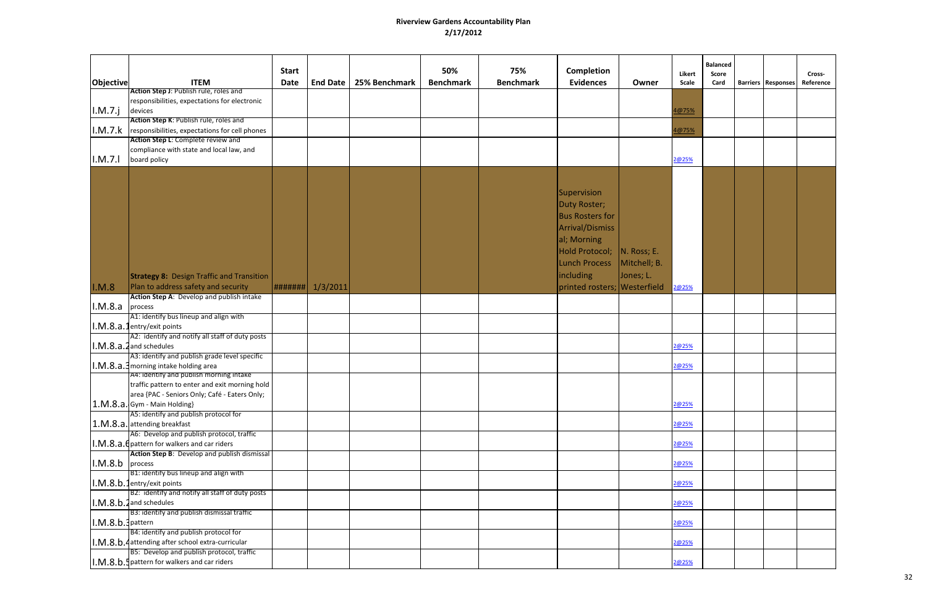| <b>Objective</b>     | <b>ITEM</b>                                                                                    | <b>Start</b><br><b>Date</b> | <b>End Date</b> | 25% Benchmark | 50%<br><b>Benchmark</b> | 75%<br><b>Benchmark</b> | <b>Completion</b><br><b>Evidences</b>                                                                                                           | Owner                       | Likert<br>Scale | <b>Balanced</b><br>Score<br>Card | Barriers   Responses | Cross-<br>Reference |
|----------------------|------------------------------------------------------------------------------------------------|-----------------------------|-----------------|---------------|-------------------------|-------------------------|-------------------------------------------------------------------------------------------------------------------------------------------------|-----------------------------|-----------------|----------------------------------|----------------------|---------------------|
|                      | Action Step J: Publish rule, roles and<br>responsibilities, expectations for electronic        |                             |                 |               |                         |                         |                                                                                                                                                 |                             |                 |                                  |                      |                     |
| I.M.7.j              | devices<br>Action Step K: Publish rule, roles and                                              |                             |                 |               |                         |                         |                                                                                                                                                 |                             | 4@75%           |                                  |                      |                     |
| I.M.7.k              | responsibilities, expectations for cell phones                                                 |                             |                 |               |                         |                         |                                                                                                                                                 |                             | 4@75%           |                                  |                      |                     |
| I.M.7.1              | Action Step L: Complete review and<br>compliance with state and local law, and<br>board policy |                             |                 |               |                         |                         |                                                                                                                                                 |                             | 2@25%           |                                  |                      |                     |
|                      |                                                                                                |                             |                 |               |                         |                         |                                                                                                                                                 |                             |                 |                                  |                      |                     |
|                      |                                                                                                |                             |                 |               |                         |                         | Supervision<br><b>Duty Roster;</b><br><b>Bus Rosters for</b><br><b>Arrival/Dismiss</b><br>al; Morning<br>Hold Protocol;<br><b>Lunch Process</b> | N. Ross; E.<br>Mitchell; B. |                 |                                  |                      |                     |
|                      | <b>Strategy 8: Design Traffic and Transition</b>                                               |                             |                 |               |                         |                         | <b>including</b>                                                                                                                                | Jones; L.                   |                 |                                  |                      |                     |
| I.M.8                | Plan to address safety and security                                                            | #######                     | 1/3/2011        |               |                         |                         | printed rosters;   Westerfield                                                                                                                  |                             | 2@25%           |                                  |                      |                     |
|                      | Action Step A: Develop and publish intake                                                      |                             |                 |               |                         |                         |                                                                                                                                                 |                             |                 |                                  |                      |                     |
| $1. M. 8.a$ process  |                                                                                                |                             |                 |               |                         |                         |                                                                                                                                                 |                             |                 |                                  |                      |                     |
|                      | A1: identify bus lineup and align with                                                         |                             |                 |               |                         |                         |                                                                                                                                                 |                             |                 |                                  |                      |                     |
|                      | I.M.8.a.1entry/exit points<br>A2: identify and notify all staff of duty posts                  |                             |                 |               |                         |                         |                                                                                                                                                 |                             |                 |                                  |                      |                     |
|                      | $1. M. 8.a. 2$ and schedules                                                                   |                             |                 |               |                         |                         |                                                                                                                                                 |                             | 2@25%           |                                  |                      |                     |
|                      | A3: identify and publish grade level specific                                                  |                             |                 |               |                         |                         |                                                                                                                                                 |                             |                 |                                  |                      |                     |
|                      | I.M.8.a.3 morning intake holding area                                                          |                             |                 |               |                         |                         |                                                                                                                                                 |                             | 2@25%           |                                  |                      |                     |
|                      | A4: identify and publish morning intake                                                        |                             |                 |               |                         |                         |                                                                                                                                                 |                             |                 |                                  |                      |                     |
|                      | traffic pattern to enter and exit morning hold                                                 |                             |                 |               |                         |                         |                                                                                                                                                 |                             |                 |                                  |                      |                     |
|                      | area {PAC - Seniors Only; Café - Eaters Only;<br>1.M.8.a. Gym - Main Holding}                  |                             |                 |               |                         |                         |                                                                                                                                                 |                             | 2@25%           |                                  |                      |                     |
|                      | A5: identify and publish protocol for                                                          |                             |                 |               |                         |                         |                                                                                                                                                 |                             |                 |                                  |                      |                     |
|                      | 1.M.8.a. attending breakfast                                                                   |                             |                 |               |                         |                         |                                                                                                                                                 |                             | 2@25%           |                                  |                      |                     |
|                      | A6: Develop and publish protocol, traffic<br>I.M.8.a. C pattern for walkers and car riders     |                             |                 |               |                         |                         |                                                                                                                                                 |                             | 2@25%           |                                  |                      |                     |
|                      | Action Step B: Develop and publish dismissal                                                   |                             |                 |               |                         |                         |                                                                                                                                                 |                             |                 |                                  |                      |                     |
| $1. M. 8.b$ process  |                                                                                                |                             |                 |               |                         |                         |                                                                                                                                                 |                             | 2@25%           |                                  |                      |                     |
|                      | B1: identify bus lineup and align with                                                         |                             |                 |               |                         |                         |                                                                                                                                                 |                             |                 |                                  |                      |                     |
|                      | I.M.8.b.1entry/exit points                                                                     |                             |                 |               |                         |                         |                                                                                                                                                 |                             | 2@25%           |                                  |                      |                     |
|                      | B2: identify and notify all staff of duty posts<br>$1. M. 8.b. 2$ and schedules                |                             |                 |               |                         |                         |                                                                                                                                                 |                             | 2@25%           |                                  |                      |                     |
|                      | B3: identify and publish dismissal traffic                                                     |                             |                 |               |                         |                         |                                                                                                                                                 |                             |                 |                                  |                      |                     |
| $I.M.8.b.$ ] pattern |                                                                                                |                             |                 |               |                         |                         |                                                                                                                                                 |                             | 2@25%           |                                  |                      |                     |
|                      | B4: identify and publish protocol for                                                          |                             |                 |               |                         |                         |                                                                                                                                                 |                             |                 |                                  |                      |                     |
|                      | I.M.8.b.4 attending after school extra-curricular                                              |                             |                 |               |                         |                         |                                                                                                                                                 |                             | 2@25%           |                                  |                      |                     |
|                      | B5: Develop and publish protocol, traffic<br>I.M.8.b. Ipattern for walkers and car riders      |                             |                 |               |                         |                         |                                                                                                                                                 |                             | 2@25%           |                                  |                      |                     |